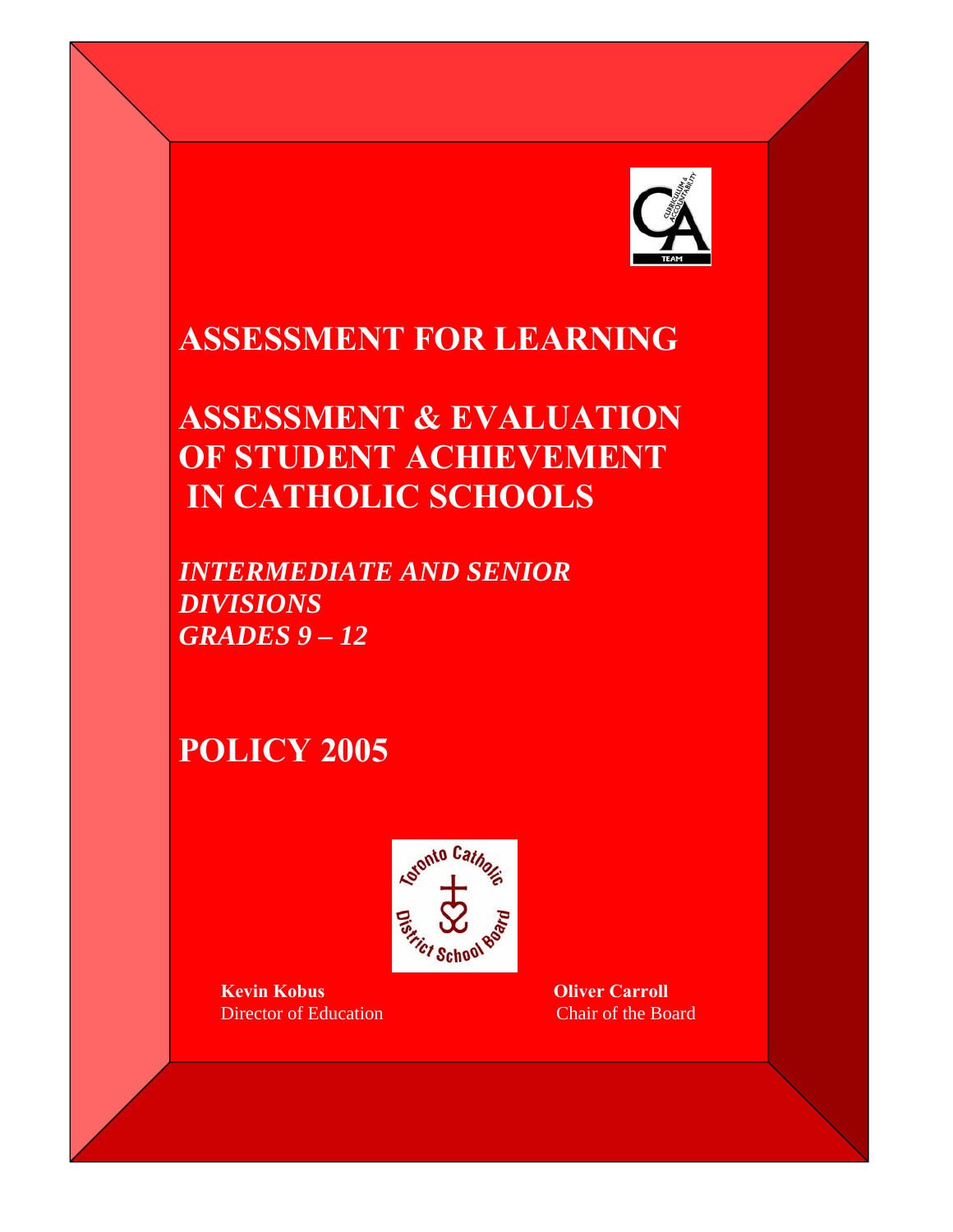

# **ASSESSMENT FOR LEARNING**

# **ASSESSMENT & EVALUATION OF STUDENT ACHIEVEMENT IN CATHOLIC SCHOOLS**

*INTERMEDIATE AND SENIOR DIVISIONS GRADES 9 – 12* 

# **POLICY 2005**



 **Kevin Kobus Oliver Carroll** Director of Education Chair of the Board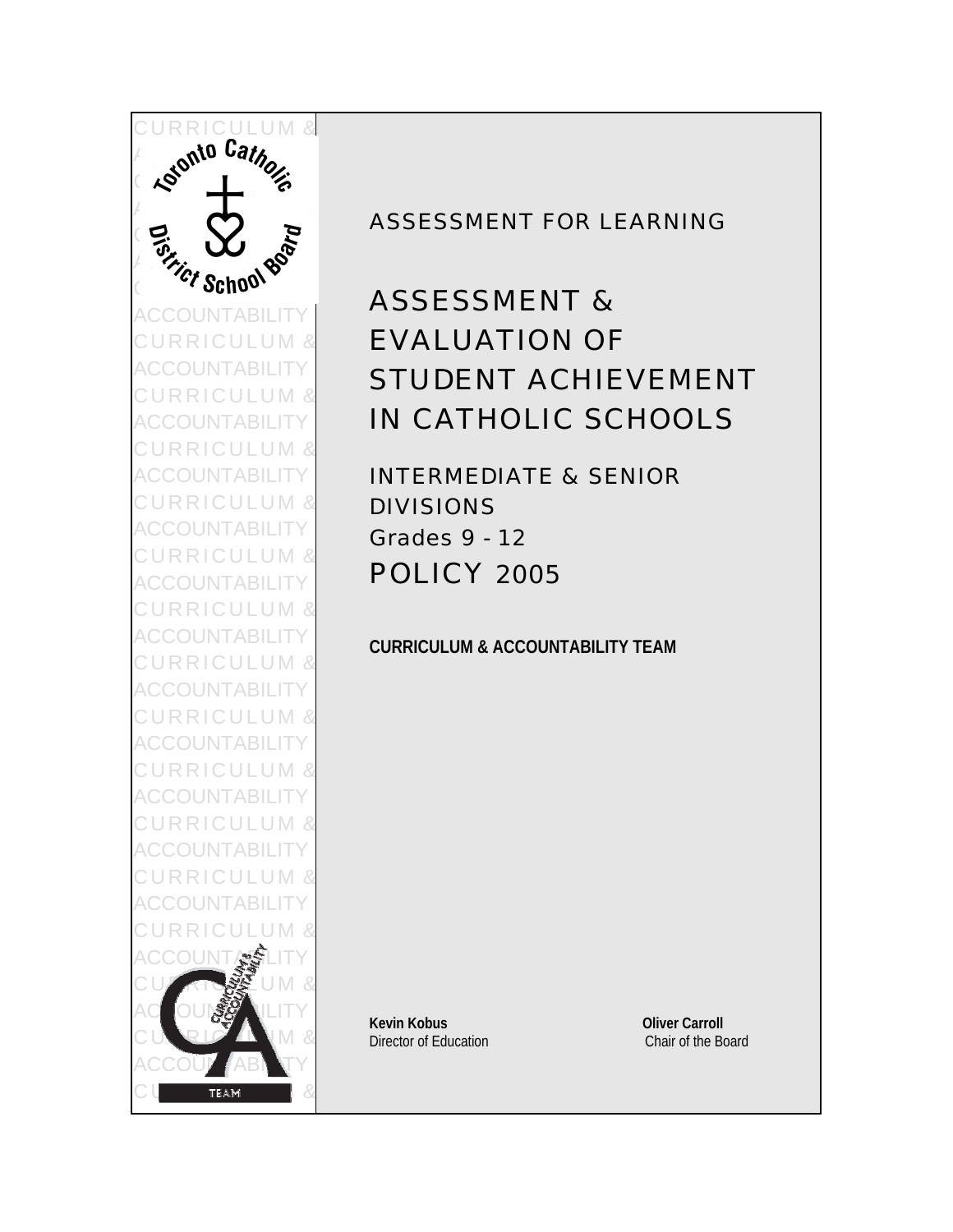

TABILIT CURRICULUM & ARIT CURRICULUM & ACCOUNTABILITY UM 8 ACCOUNTABILITY UM 8 ACCOUNTABILITY CURRICULUM & ACCOUNTABILITY CURRICULUM & ARIL CURRICULUM & ACCOUNTABILITY CURRICULUM & ACCOUNTABILITY CURRICULUM & ACCOUNTABILITY CURRICULUM & ACCOUNTABILITY CURRICULUM & ACCOUNTABILITY CURRICULUM & ACCOUNTABILITY CU**RRICHS** UM & AC**COUNTY** CURRICULUM & ACCOUNTABILITY CU **team** 4 &

## ASSESSMENT FOR LEARNING

# ASSESSMENT & EVALUATION OF STUDENT ACHIEVEMENT IN CATHOLIC SCHOOLS

*INTERMEDIATE & SENIOR DIVISIONS Grades 9 - 12*  POLICY 2005

**CURRICULUM & ACCOUNTABILITY TEAM** 

**Kevin Kobus Coliver Carroll Chair of the Board Director of Education Chair of the Board Chair of the Board Chair of the Board Chair of the Board Chair of the Board Chair of the Board Chair of the Board Chair of the Board** Director of Education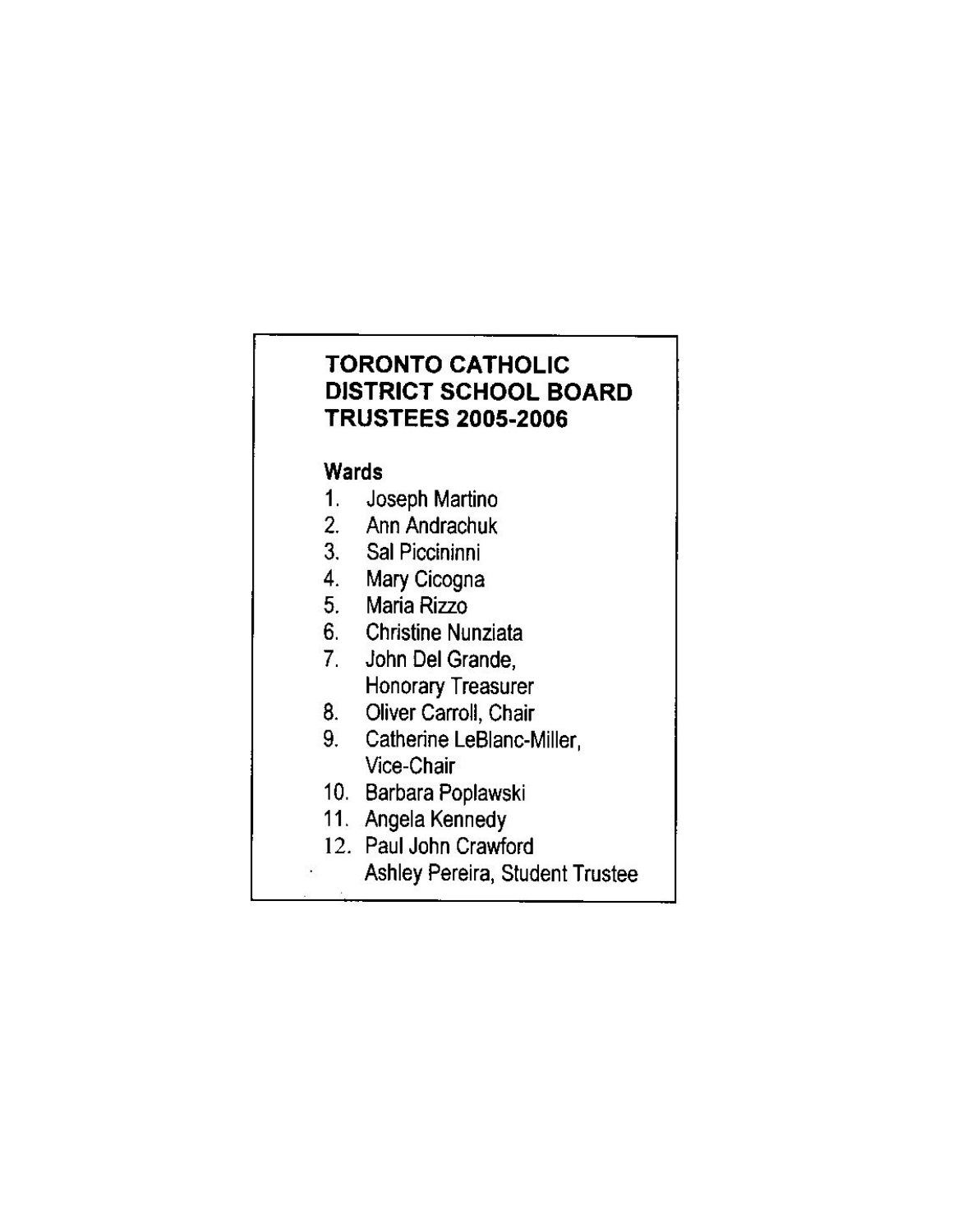## **TORONTO CATHOLIC DISTRICT SCHOOL BOARD TRUSTEES 2005-2006**

### Wards

- $\mathbf{1}$ . Joseph Martino
- $2.$ Ann Andrachuk
- $3.$ Sal Piccininni
- 4. Mary Cicogna
- 5. Maria Rizzo
- **Christine Nunziata** 6.
- $7.$ John Del Grande, Honorary Treasurer
- 8. Oliver Carroll, Chair
- Catherine LeBlanc-Miller,  $9.$ Vice-Chair
- 10. Barbara Poplawski
- 11. Angela Kennedy
- 12. Paul John Crawford
	- Ashley Pereira, Student Trustee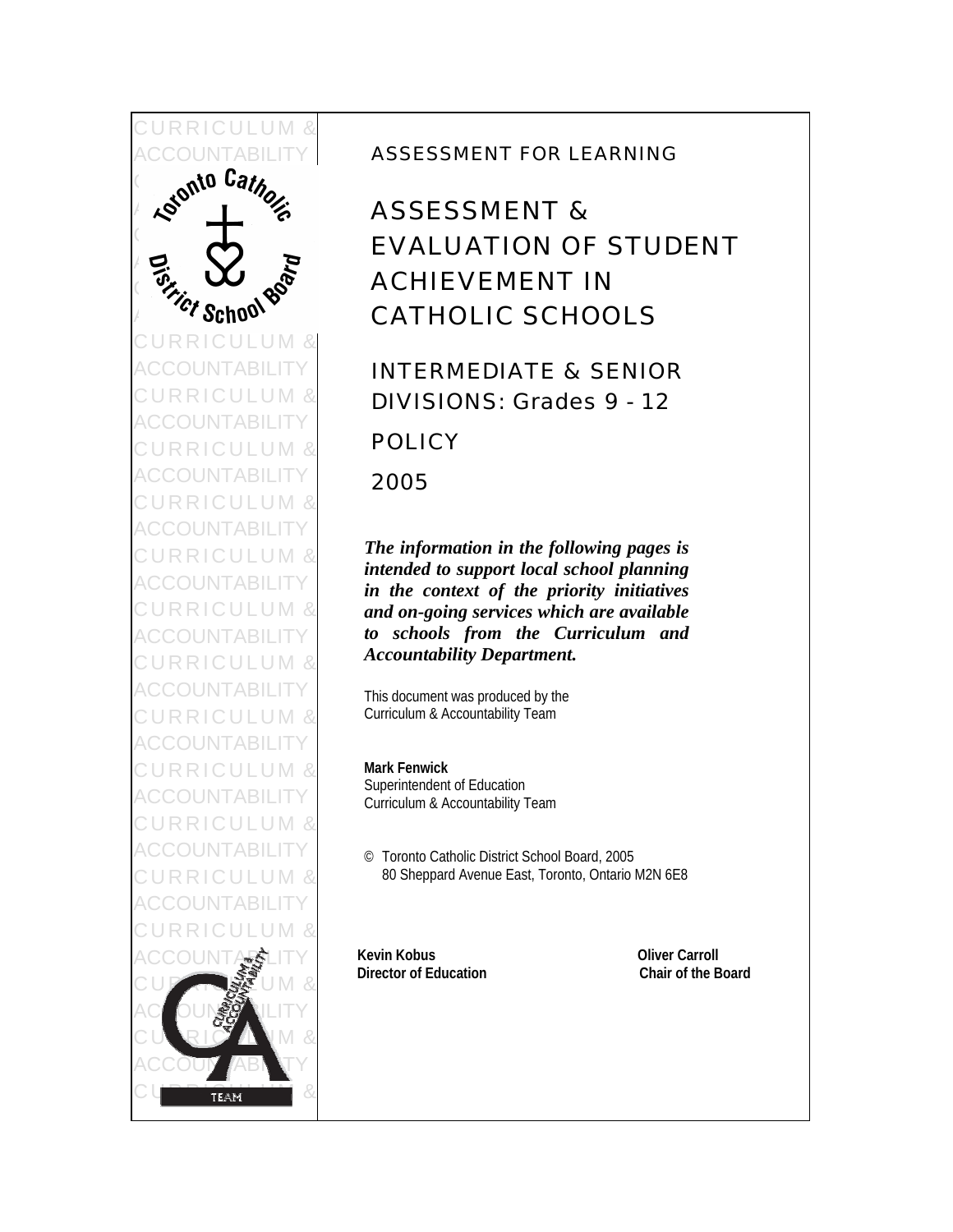

ARIT CURRICULUM & ACCOUNTABILITY CURRICULUM & ACCOUNTABILITY CURRICULUM & ACCOUNTABILITY CURRICULUM & ACCOUNTABILITY CURRICULUM & ACCOUNTABILITY CURRICULUM & ACCOUNTABILITY CURRICULUM & ACCOUNTABILITY CURRICULUM & ACCOUNTABILITY CURRICULUM & ACCOUNTABILITY CURRICULUM & ACCOUNTABILITY CURRICULUM & ACCOUNTABILITY CUPRICUS SEUM & AC<mark>countability</mark> CURRICULUM & ACCOUNTABILITY CURRICULUM TEAM

#### ASSESSMENT FOR LEARNING

# ASSESSMENT & EVALUATION OF STUDENT ACHIEVEMENT IN CATHOLIC SCHOOLS

# *INTERMEDIATE & SENIOR DIVISIONS: Grades 9 - 12*

### **POLICY**

## 2005

*The information in the following pages is intended to support local school planning in the context of the priority initiatives and on-going services which are available to schools from the Curriculum and Accountability Department.* 

This document was produced by the Curriculum & Accountability Team

**Mark Fenwick**  Superintendent of Education Curriculum & Accountability Team

© Toronto Catholic District School Board, 2005 80 Sheppard Avenue East, Toronto, Ontario M2N 6E8

**Kevin Kobus Oliver Carroll Director of Education** Chair of the Board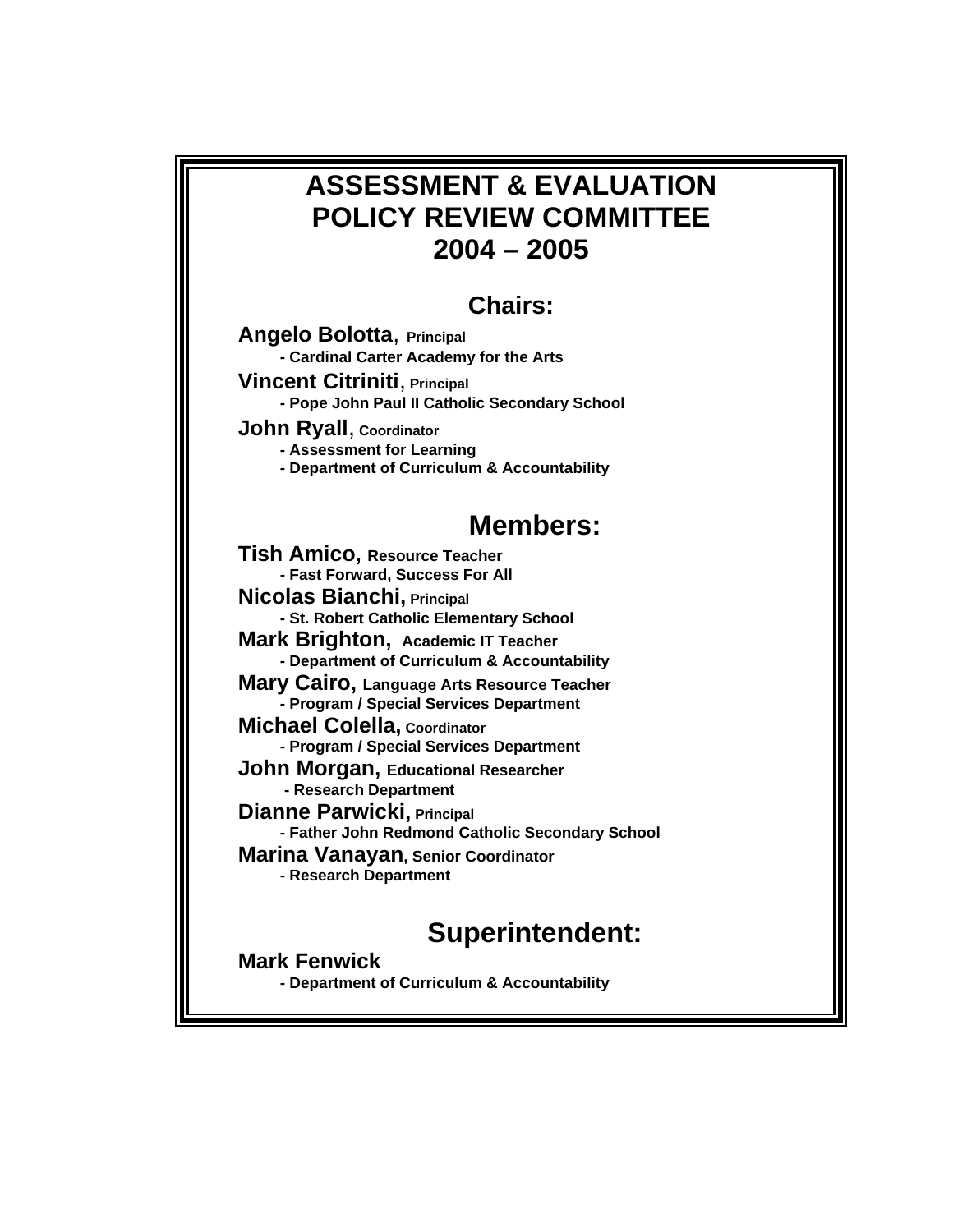# **ASSESSMENT & EVALUATION POLICY REVIEW COMMITTEE 2004 – 2005**

## **Chairs:**

**Angelo Bolotta**, **Principal - Cardinal Carter Academy for the Arts** 

**Vincent Citriniti**, **Principal** 

**- Pope John Paul II Catholic Secondary School** 

**John Ryall**, **Coordinator** 

**- Assessment for Learning** 

**- Department of Curriculum & Accountability** 

# **Members:**

**Tish Amico, Resource Teacher - Fast Forward, Success For All Nicolas Bianchi, Principal - St. Robert Catholic Elementary School** 

**Mark Brighton, Academic IT Teacher - Department of Curriculum & Accountability**

**Mary Cairo, Language Arts Resource Teacher - Program / Special Services Department** 

**Michael Colella, Coordinator**

**- Program / Special Services Department** 

**John Morgan, Educational Researcher - Research Department** 

**Dianne Parwicki, Principal - Father John Redmond Catholic Secondary School** 

**Marina Vanayan, Senior Coordinator - Research Department** 

# **Superintendent:**

#### **Mark Fenwick**

**- Department of Curriculum & Accountability**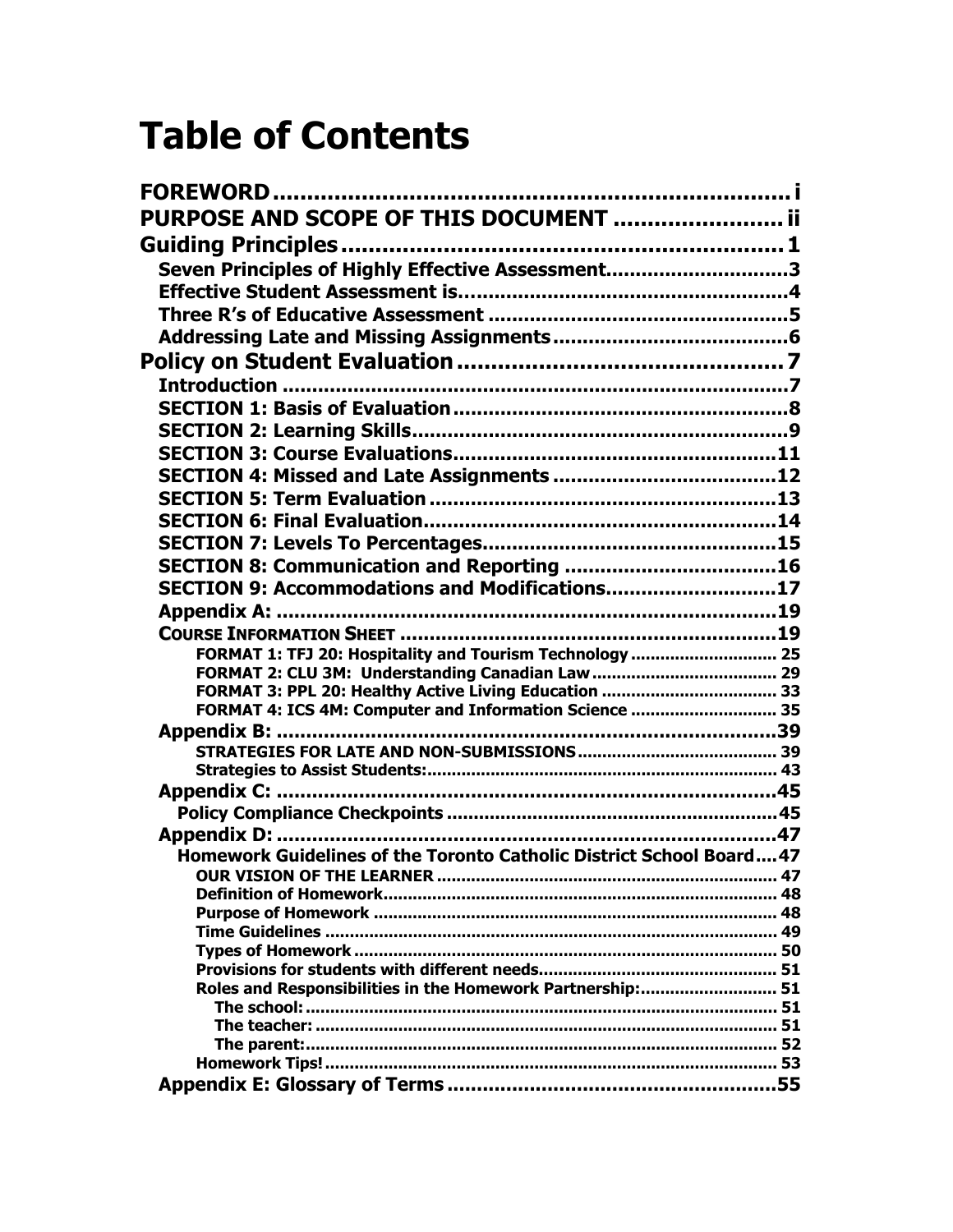# **Table of Contents**

| PURPOSE AND SCOPE OF THIS DOCUMENT  ii                               |  |
|----------------------------------------------------------------------|--|
|                                                                      |  |
| Seven Principles of Highly Effective Assessment3                     |  |
|                                                                      |  |
|                                                                      |  |
|                                                                      |  |
|                                                                      |  |
|                                                                      |  |
|                                                                      |  |
|                                                                      |  |
|                                                                      |  |
|                                                                      |  |
|                                                                      |  |
|                                                                      |  |
|                                                                      |  |
|                                                                      |  |
| SECTION 8: Communication and Reporting 16                            |  |
| SECTION 9: Accommodations and Modifications17                        |  |
|                                                                      |  |
|                                                                      |  |
| FORMAT 1: TFJ 20: Hospitality and Tourism Technology  25             |  |
|                                                                      |  |
| FORMAT 4: ICS 4M: Computer and Information Science  35               |  |
|                                                                      |  |
|                                                                      |  |
|                                                                      |  |
|                                                                      |  |
|                                                                      |  |
|                                                                      |  |
| Homework Guidelines of the Toronto Catholic District School Board 47 |  |
|                                                                      |  |
|                                                                      |  |
|                                                                      |  |
|                                                                      |  |
|                                                                      |  |
| Roles and Responsibilities in the Homework Partnership: 51           |  |
|                                                                      |  |
|                                                                      |  |
|                                                                      |  |
|                                                                      |  |
|                                                                      |  |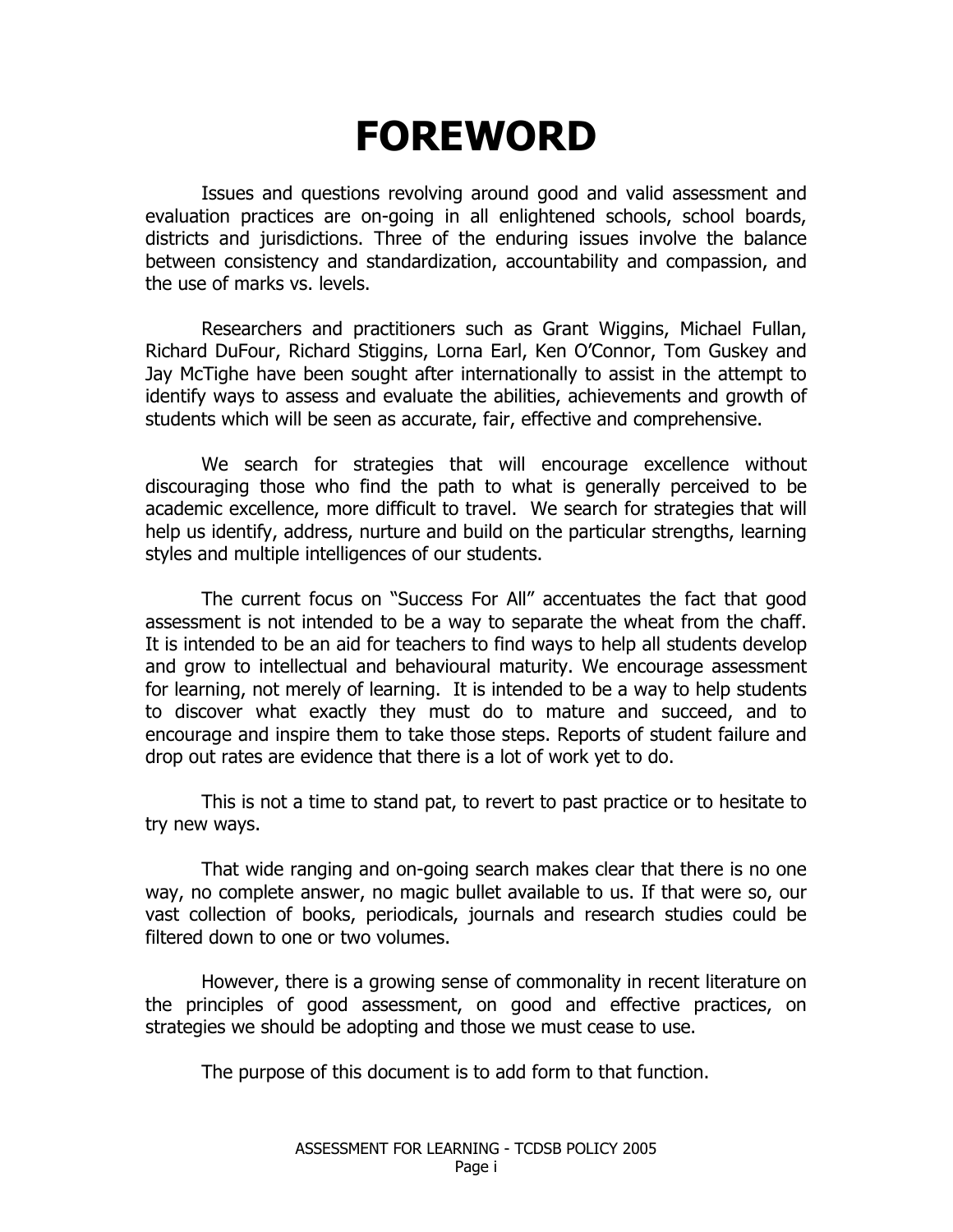# **FOREWORD**

Issues and questions revolving around good and valid assessment and evaluation practices are on-going in all enlightened schools, school boards, districts and jurisdictions. Three of the enduring issues involve the balance between consistency and standardization, accountability and compassion, and the use of marks vs. levels.

Researchers and practitioners such as Grant Wiggins, Michael Fullan, Richard DuFour, Richard Stiggins, Lorna Earl, Ken O'Connor, Tom Guskey and Jay McTighe have been sought after internationally to assist in the attempt to identify ways to assess and evaluate the abilities, achievements and growth of students which will be seen as accurate, fair, effective and comprehensive.

We search for strategies that will encourage excellence without discouraging those who find the path to what is generally perceived to be academic excellence, more difficult to travel. We search for strategies that will help us identify, address, nurture and build on the particular strengths, learning styles and multiple intelligences of our students.

The current focus on "Success For All" accentuates the fact that good assessment is not intended to be a way to separate the wheat from the chaff. It is intended to be an aid for teachers to find ways to help all students develop and grow to intellectual and behavioural maturity. We encourage assessment for learning, not merely of learning. It is intended to be a way to help students to discover what exactly they must do to mature and succeed, and to encourage and inspire them to take those steps. Reports of student failure and drop out rates are evidence that there is a lot of work yet to do.

This is not a time to stand pat, to revert to past practice or to hesitate to try new ways.

That wide ranging and on-going search makes clear that there is no one way, no complete answer, no magic bullet available to us. If that were so, our vast collection of books, periodicals, journals and research studies could be filtered down to one or two volumes.

However, there is a growing sense of commonality in recent literature on the principles of good assessment, on good and effective practices, on strategies we should be adopting and those we must cease to use.

The purpose of this document is to add form to that function.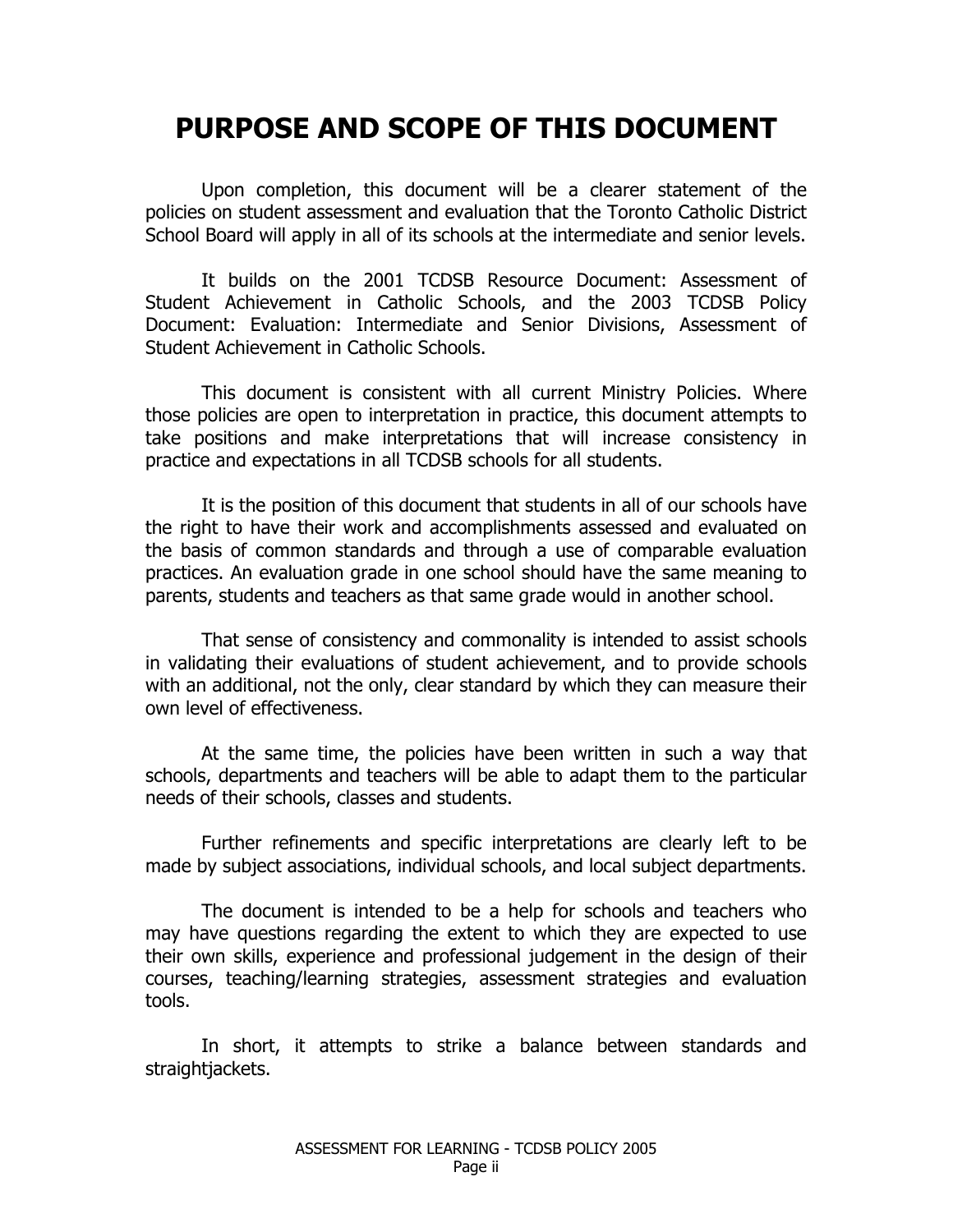# **PURPOSE AND SCOPE OF THIS DOCUMENT**

Upon completion, this document will be a clearer statement of the policies on student assessment and evaluation that the Toronto Catholic District School Board will apply in all of its schools at the intermediate and senior levels.

It builds on the 2001 TCDSB Resource Document: Assessment of Student Achievement in Catholic Schools, and the 2003 TCDSB Policy Document: Evaluation: Intermediate and Senior Divisions, Assessment of Student Achievement in Catholic Schools.

This document is consistent with all current Ministry Policies. Where those policies are open to interpretation in practice, this document attempts to take positions and make interpretations that will increase consistency in practice and expectations in all TCDSB schools for all students.

It is the position of this document that students in all of our schools have the right to have their work and accomplishments assessed and evaluated on the basis of common standards and through a use of comparable evaluation practices. An evaluation grade in one school should have the same meaning to parents, students and teachers as that same grade would in another school.

That sense of consistency and commonality is intended to assist schools in validating their evaluations of student achievement, and to provide schools with an additional, not the only, clear standard by which they can measure their own level of effectiveness.

At the same time, the policies have been written in such a way that schools, departments and teachers will be able to adapt them to the particular needs of their schools, classes and students.

Further refinements and specific interpretations are clearly left to be made by subject associations, individual schools, and local subject departments.

The document is intended to be a help for schools and teachers who may have questions regarding the extent to which they are expected to use their own skills, experience and professional judgement in the design of their courses, teaching/learning strategies, assessment strategies and evaluation tools.

In short, it attempts to strike a balance between standards and straightjackets.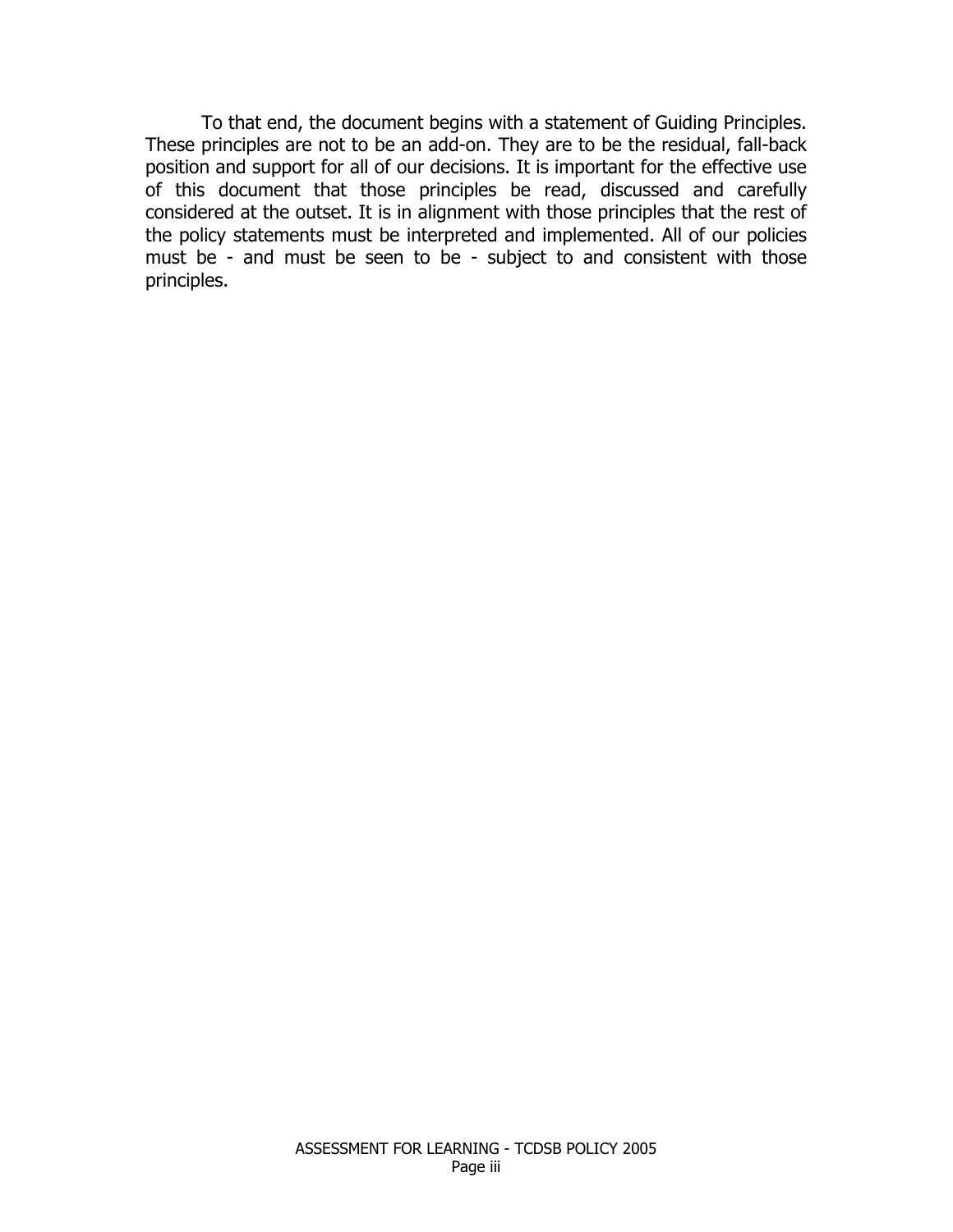To that end, the document begins with a statement of Guiding Principles. These principles are not to be an add-on. They are to be the residual, fall-back position and support for all of our decisions. It is important for the effective use of this document that those principles be read, discussed and carefully considered at the outset. It is in alignment with those principles that the rest of the policy statements must be interpreted and implemented. All of our policies must be - and must be seen to be - subject to and consistent with those principles.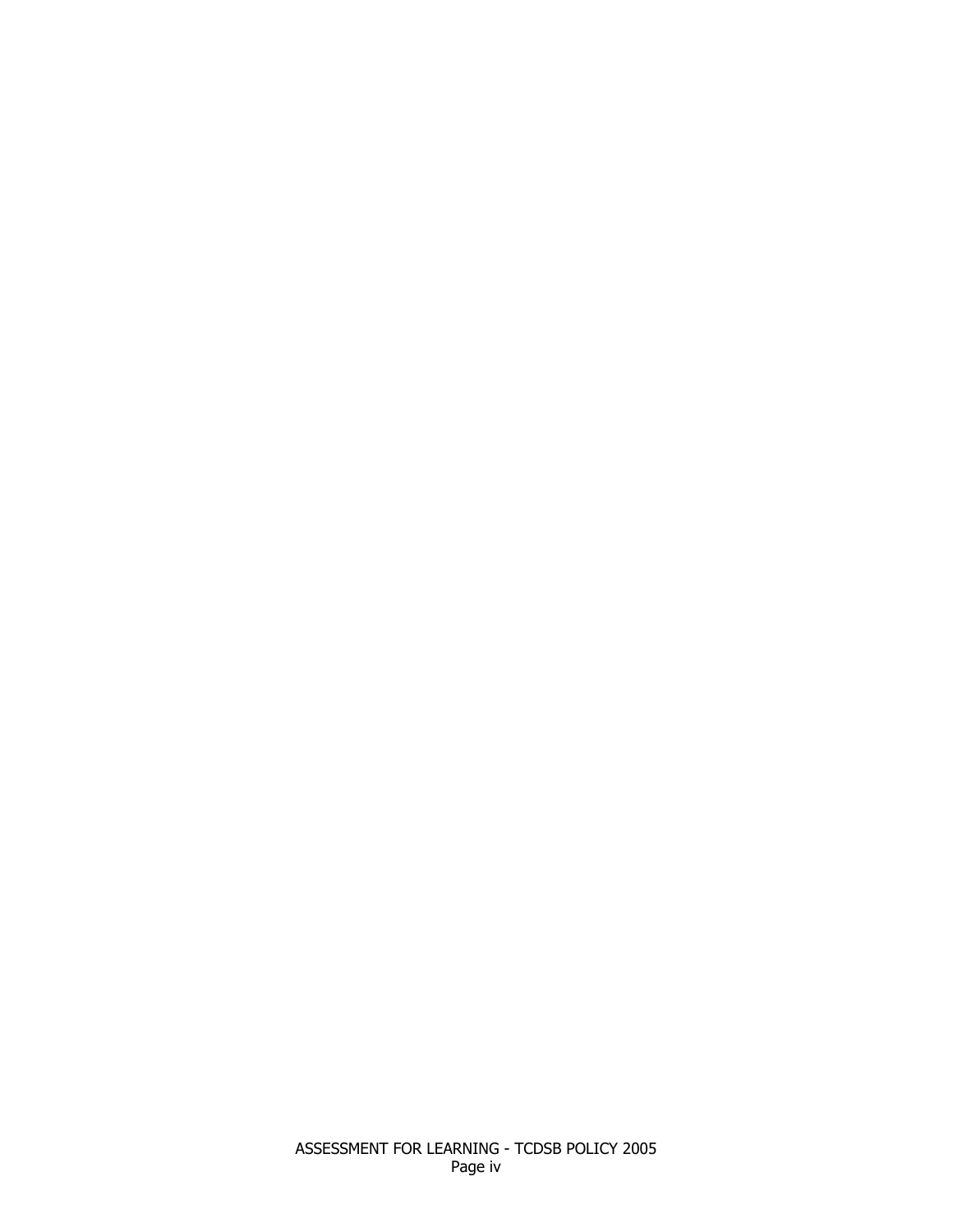ASSESSMENT FOR LEARNING - TCDSB POLICY 2005 Page iv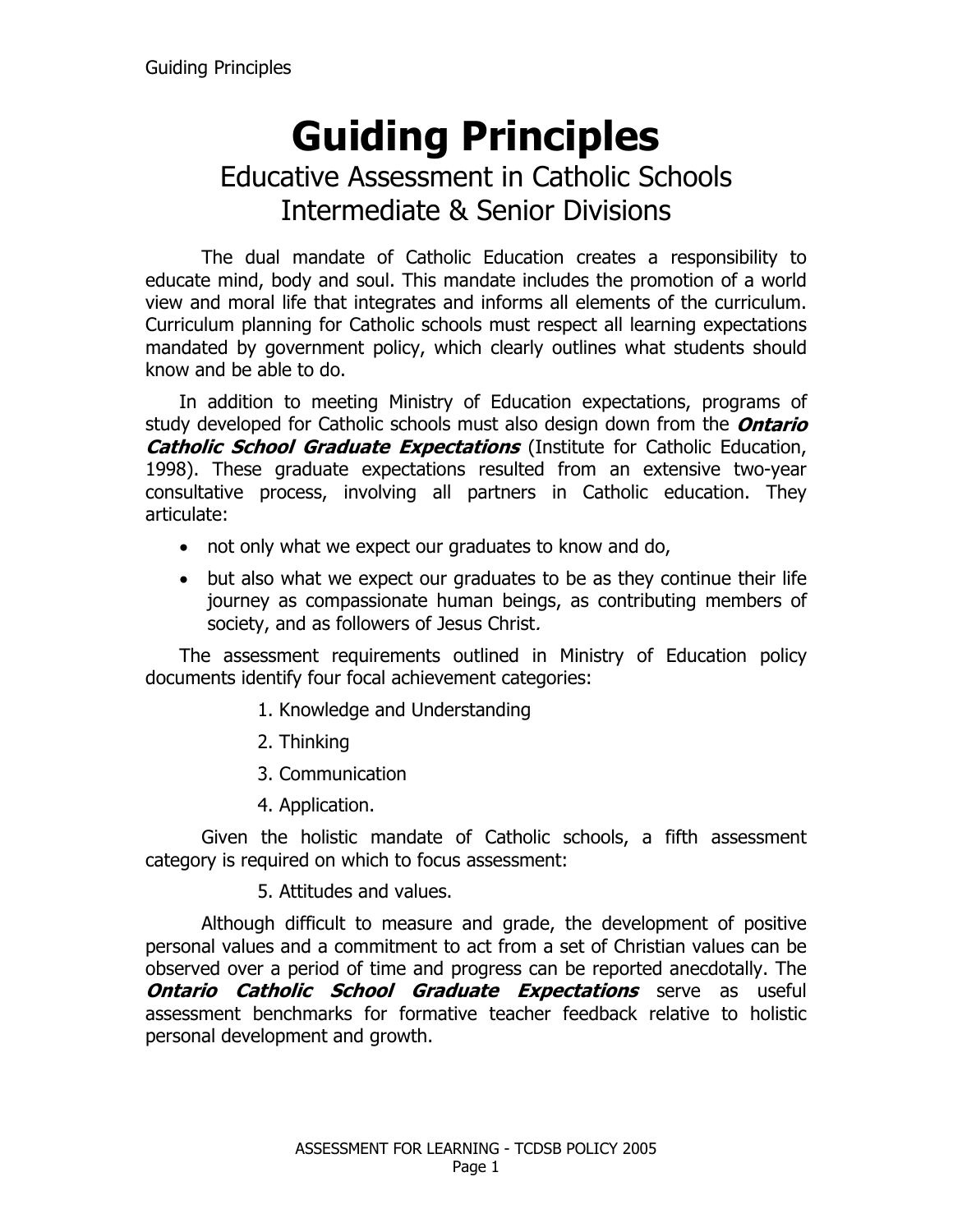# **Guiding Principles**  Educative Assessment in Catholic Schools Intermediate & Senior Divisions

The dual mandate of Catholic Education creates a responsibility to educate mind, body and soul. This mandate includes the promotion of a world view and moral life that integrates and informs all elements of the curriculum. Curriculum planning for Catholic schools must respect all learning expectations mandated by government policy, which clearly outlines what students should know and be able to do.

In addition to meeting Ministry of Education expectations, programs of study developed for Catholic schools must also design down from the **Ontario Catholic School Graduate Expectations** (Institute for Catholic Education, 1998). These graduate expectations resulted from an extensive two-year consultative process, involving all partners in Catholic education. They articulate:

- not only what we expect our graduates to know and do,
- but also what we expect our graduates to be as they continue their life journey as compassionate human beings, as contributing members of society, and as followers of Jesus Christ.

The assessment requirements outlined in Ministry of Education policy documents identify four focal achievement categories:

- 1. Knowledge and Understanding
- 2. Thinking
- 3. Communication
- 4. Application.

Given the holistic mandate of Catholic schools, a fifth assessment category is required on which to focus assessment:

5. Attitudes and values.

Although difficult to measure and grade, the development of positive personal values and a commitment to act from a set of Christian values can be observed over a period of time and progress can be reported anecdotally. The **Ontario Catholic School Graduate Expectations** serve as useful assessment benchmarks for formative teacher feedback relative to holistic personal development and growth.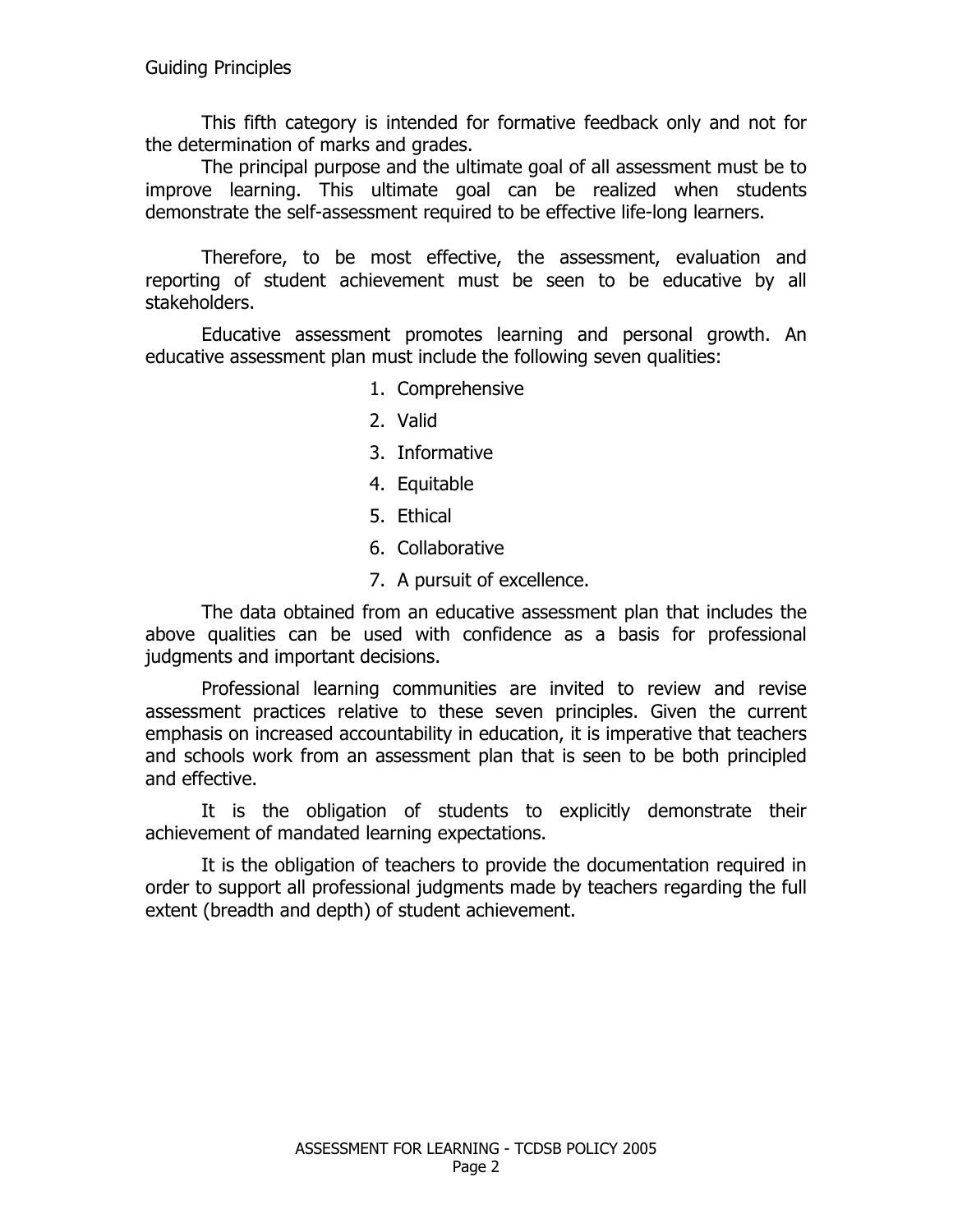This fifth category is intended for formative feedback only and not for the determination of marks and grades.

The principal purpose and the ultimate goal of all assessment must be to improve learning. This ultimate goal can be realized when students demonstrate the self-assessment required to be effective life-long learners.

Therefore, to be most effective, the assessment, evaluation and reporting of student achievement must be seen to be educative by all stakeholders.

Educative assessment promotes learning and personal growth. An educative assessment plan must include the following seven qualities:

- 1. Comprehensive
- 2. Valid
- 3. Informative
- 4. Equitable
- 5. Ethical
- 6. Collaborative
- 7. A pursuit of excellence.

The data obtained from an educative assessment plan that includes the above qualities can be used with confidence as a basis for professional judgments and important decisions.

Professional learning communities are invited to review and revise assessment practices relative to these seven principles. Given the current emphasis on increased accountability in education, it is imperative that teachers and schools work from an assessment plan that is seen to be both principled and effective.

It is the obligation of students to explicitly demonstrate their achievement of mandated learning expectations.

It is the obligation of teachers to provide the documentation required in order to support all professional judgments made by teachers regarding the full extent (breadth and depth) of student achievement.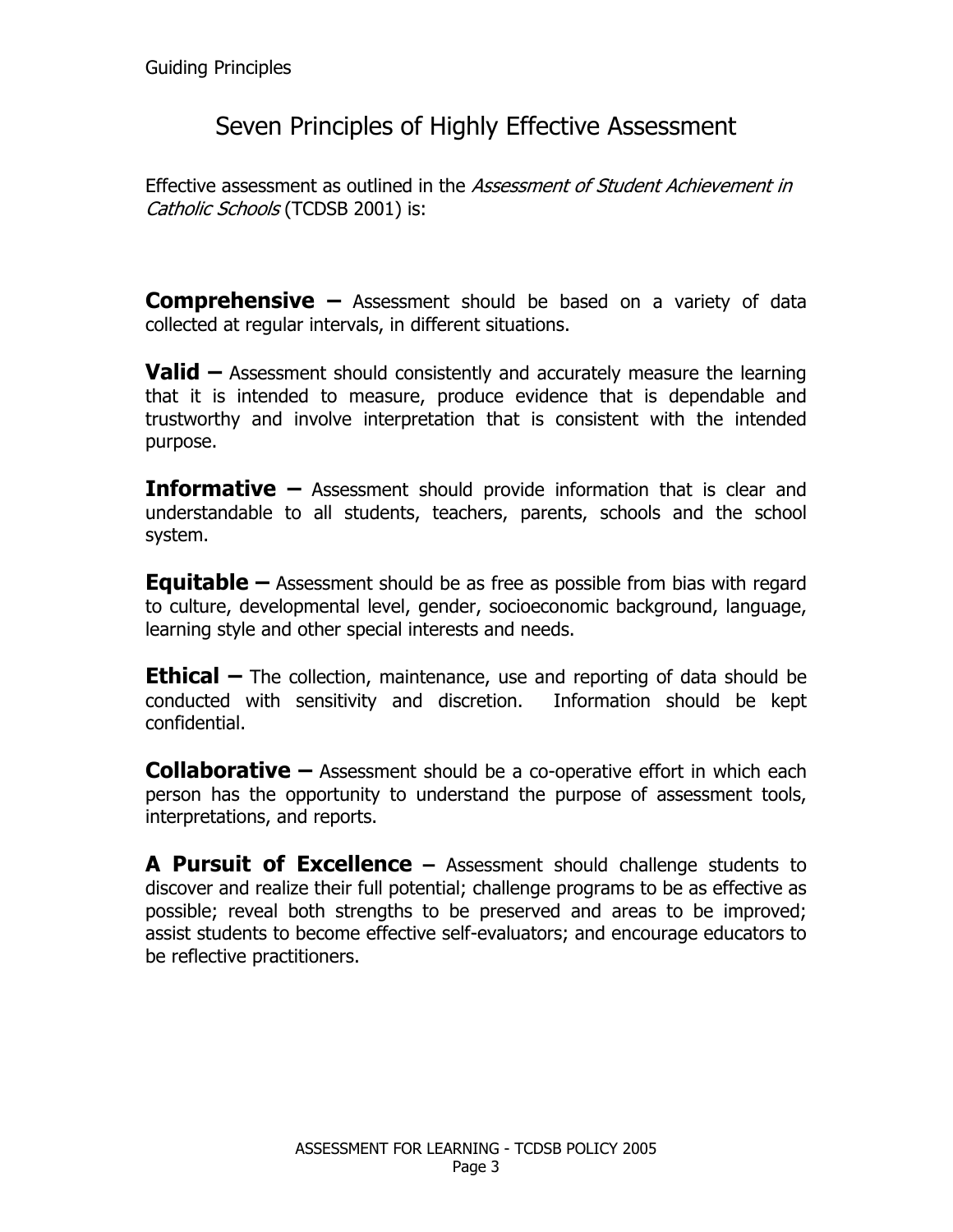# Seven Principles of Highly Effective Assessment

Effective assessment as outlined in the Assessment of Student Achievement in Catholic Schools (TCDSB 2001) is:

**Comprehensive –** Assessment should be based on a variety of data collected at regular intervals, in different situations.

**Valid –** Assessment should consistently and accurately measure the learning that it is intended to measure, produce evidence that is dependable and trustworthy and involve interpretation that is consistent with the intended purpose.

**Informative –** Assessment should provide information that is clear and understandable to all students, teachers, parents, schools and the school system.

**Equitable –** Assessment should be as free as possible from bias with regard to culture, developmental level, gender, socioeconomic background, language, learning style and other special interests and needs.

**Ethical –** The collection, maintenance, use and reporting of data should be conducted with sensitivity and discretion. Information should be kept confidential.

**Collaborative –** Assessment should be a co-operative effort in which each person has the opportunity to understand the purpose of assessment tools, interpretations, and reports.

**A Pursuit of Excellence –** Assessment should challenge students to discover and realize their full potential; challenge programs to be as effective as possible; reveal both strengths to be preserved and areas to be improved; assist students to become effective self-evaluators; and encourage educators to be reflective practitioners.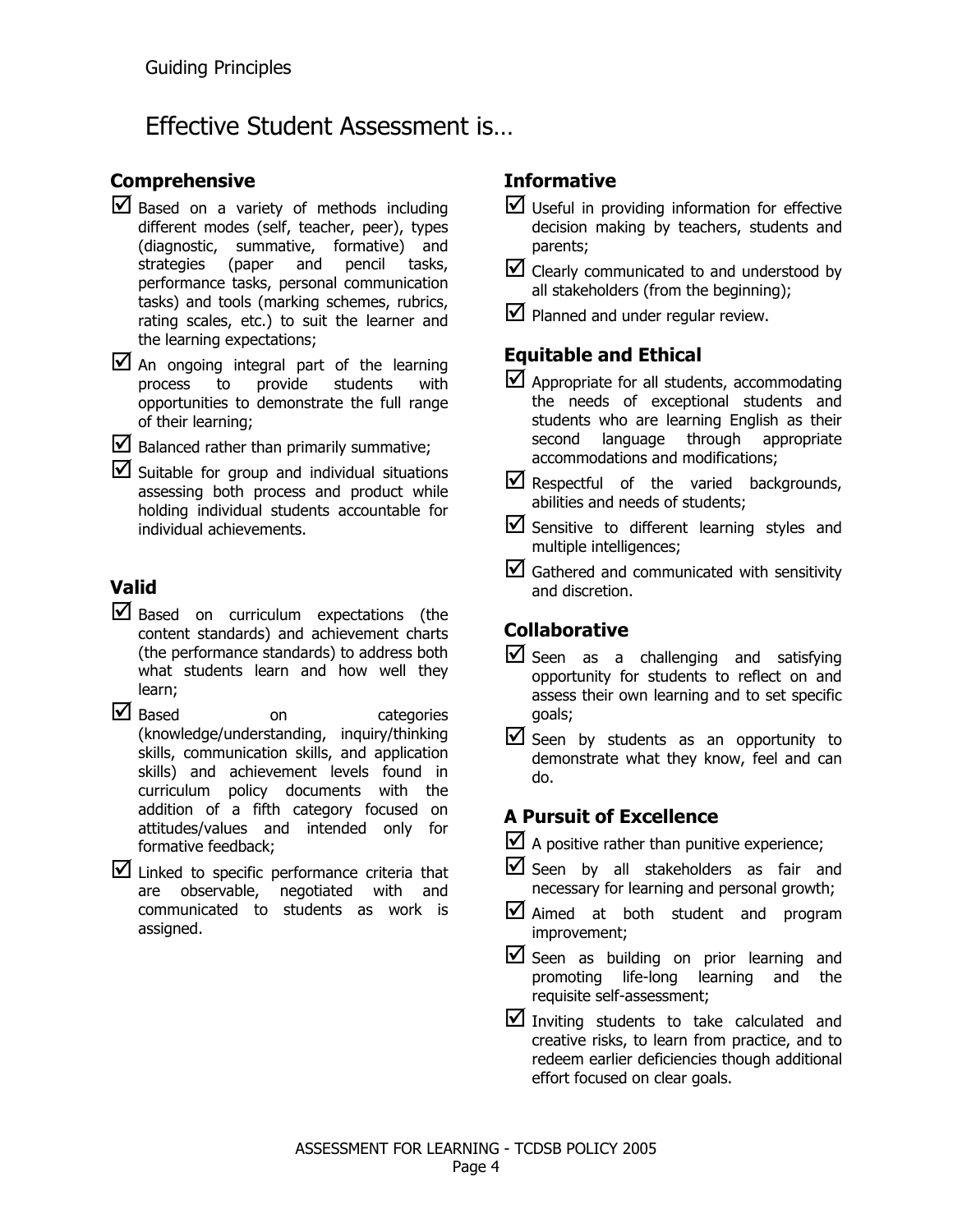# Effective Student Assessment is…

#### **Comprehensive**

- $\boxtimes$  Based on a variety of methods including different modes (self, teacher, peer), types (diagnostic, summative, formative) and strategies (paper and pencil tasks, performance tasks, personal communication tasks) and tools (marking schemes, rubrics, rating scales, etc.) to suit the learner and the learning expectations;
- $\boxtimes$  An ongoing integral part of the learning process to provide students with opportunities to demonstrate the full range of their learning;
- $\triangleright$  Balanced rather than primarily summative;
- $\triangledown$  Suitable for group and individual situations assessing both process and product while holding individual students accountable for individual achievements.

## **Valid**

- $\boxtimes$  Based on curriculum expectations (the content standards) and achievement charts (the performance standards) to address both what students learn and how well they learn;
- $\overline{\mathbf{y}}$  Based on categories (knowledge/understanding, inquiry/thinking skills, communication skills, and application skills) and achievement levels found in curriculum policy documents with the addition of a fifth category focused on attitudes/values and intended only for formative feedback;
- $\triangleright$  Linked to specific performance criteria that are observable, negotiated with and communicated to students as work is assigned.

#### **Informative**

- $\triangledown$  Useful in providing information for effective decision making by teachers, students and parents;
- $\triangledown$  Clearly communicated to and understood by all stakeholders (from the beginning);
- $\triangledown$  Planned and under regular review.

## **Equitable and Ethical**

- $\boxtimes$  Appropriate for all students, accommodating the needs of exceptional students and students who are learning English as their second language through appropriate accommodations and modifications;
- $\blacksquare$  Respectful of the varied backgrounds, abilities and needs of students;
- $\boxtimes$  Sensitive to different learning styles and multiple intelligences;
- $\triangledown$  Gathered and communicated with sensitivity and discretion.

### **Collaborative**

- $\boxtimes$  Seen as a challenging and satisfying opportunity for students to reflect on and assess their own learning and to set specific goals;
- $\triangleright$  Seen by students as an opportunity to demonstrate what they know, feel and can do.

#### **A Pursuit of Excellence**

- $\boxtimes$  A positive rather than punitive experience;
- $\triangledown$  Seen by all stakeholders as fair and necessary for learning and personal growth;
- $\boxtimes$  Aimed at both student and program improvement;
- $\boxtimes$  Seen as building on prior learning and promoting life-long learning and the requisite self-assessment;
- $\triangledown$  Inviting students to take calculated and creative risks, to learn from practice, and to redeem earlier deficiencies though additional effort focused on clear goals.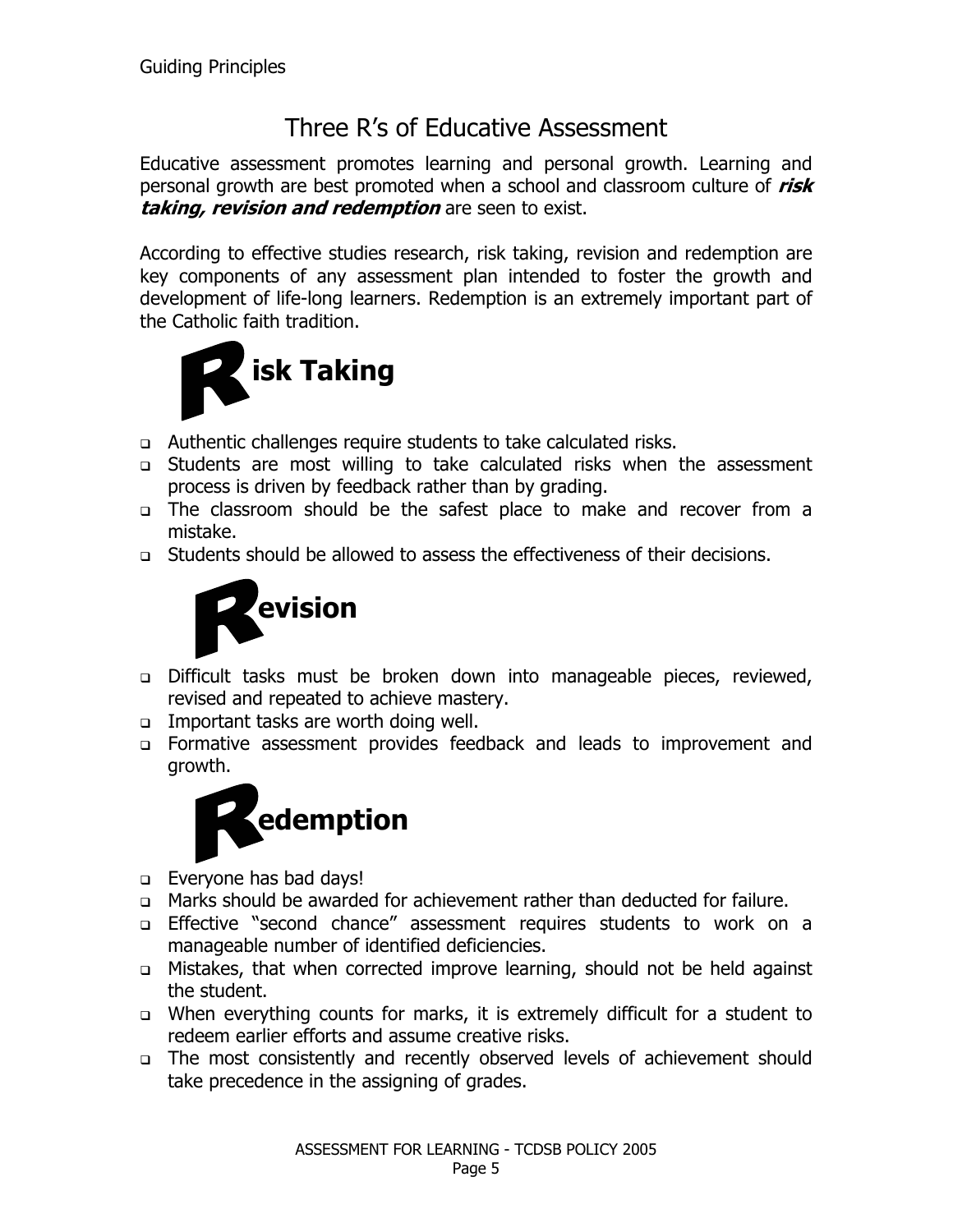# Three R's of Educative Assessment

Educative assessment promotes learning and personal growth. Learning and personal growth are best promoted when a school and classroom culture of **risk taking, revision and redemption** are seen to exist.

According to effective studies research, risk taking, revision and redemption are key components of any assessment plan intended to foster the growth and development of life-long learners. Redemption is an extremely important part of the Catholic faith tradition.



- □ Authentic challenges require students to take calculated risks.
- Students are most willing to take calculated risks when the assessment process is driven by feedback rather than by grading.
- The classroom should be the safest place to make and recover from a mistake.
- $\Box$  Students should be allowed to assess the effectiveness of their decisions.



- Difficult tasks must be broken down into manageable pieces, reviewed, revised and repeated to achieve mastery.
- **Important tasks are worth doing well.**
- Formative assessment provides feedback and leads to improvement and growth.



- □ Everyone has bad days!
- Marks should be awarded for achievement rather than deducted for failure.
- Effective "second chance" assessment requires students to work on a manageable number of identified deficiencies.
- Mistakes, that when corrected improve learning, should not be held against the student.
- When everything counts for marks, it is extremely difficult for a student to redeem earlier efforts and assume creative risks.
- The most consistently and recently observed levels of achievement should take precedence in the assigning of grades.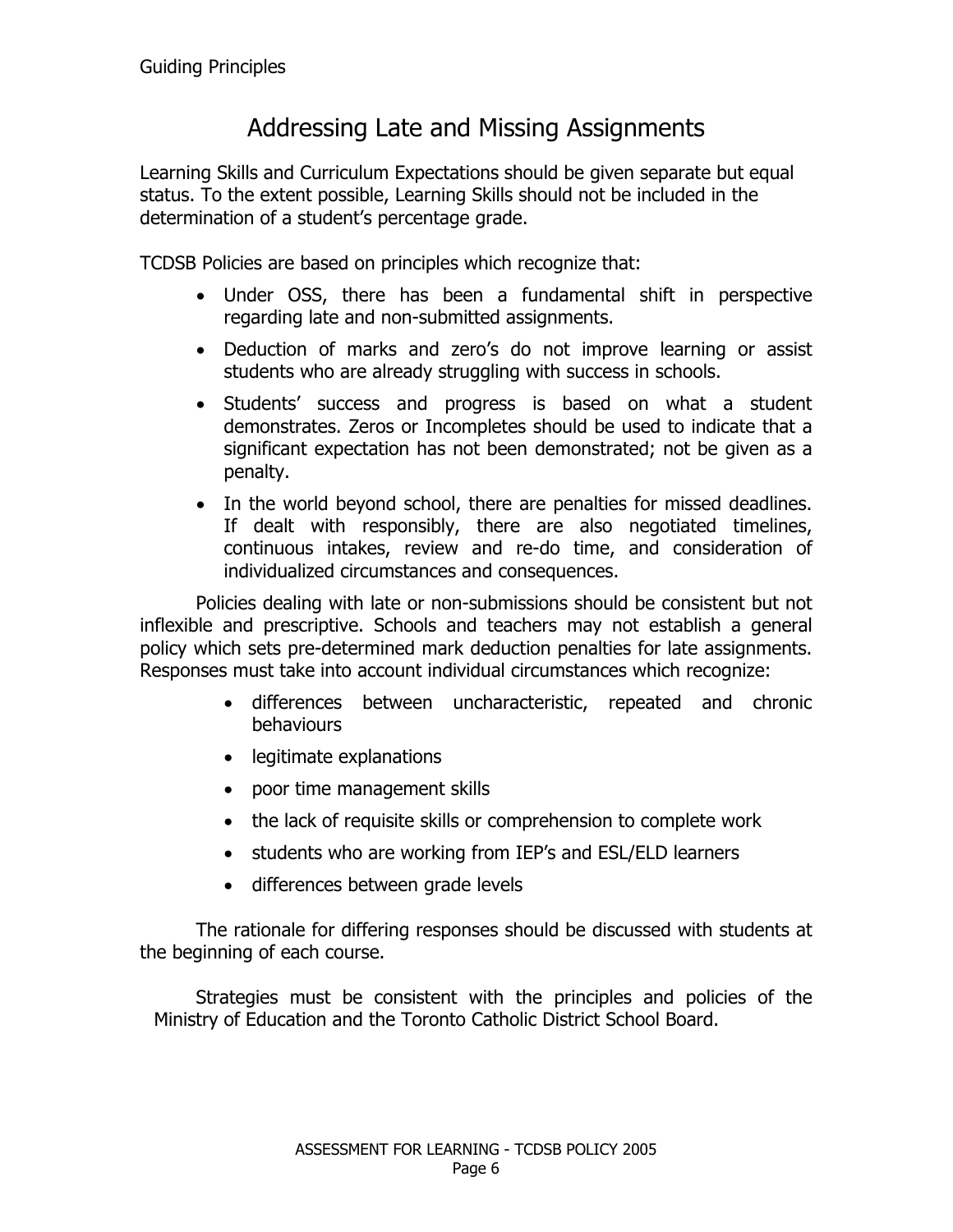# Addressing Late and Missing Assignments

Learning Skills and Curriculum Expectations should be given separate but equal status. To the extent possible, Learning Skills should not be included in the determination of a student's percentage grade.

TCDSB Policies are based on principles which recognize that:

- Under OSS, there has been a fundamental shift in perspective regarding late and non-submitted assignments.
- Deduction of marks and zero's do not improve learning or assist students who are already struggling with success in schools.
- Students' success and progress is based on what a student demonstrates. Zeros or Incompletes should be used to indicate that a significant expectation has not been demonstrated; not be given as a penalty.
- In the world beyond school, there are penalties for missed deadlines. If dealt with responsibly, there are also negotiated timelines, continuous intakes, review and re-do time, and consideration of individualized circumstances and consequences.

Policies dealing with late or non-submissions should be consistent but not inflexible and prescriptive. Schools and teachers may not establish a general policy which sets pre-determined mark deduction penalties for late assignments. Responses must take into account individual circumstances which recognize:

- differences between uncharacteristic, repeated and chronic behaviours
- legitimate explanations
- poor time management skills
- the lack of requisite skills or comprehension to complete work
- students who are working from IEP's and ESL/ELD learners
- differences between grade levels

The rationale for differing responses should be discussed with students at the beginning of each course.

Strategies must be consistent with the principles and policies of the Ministry of Education and the Toronto Catholic District School Board.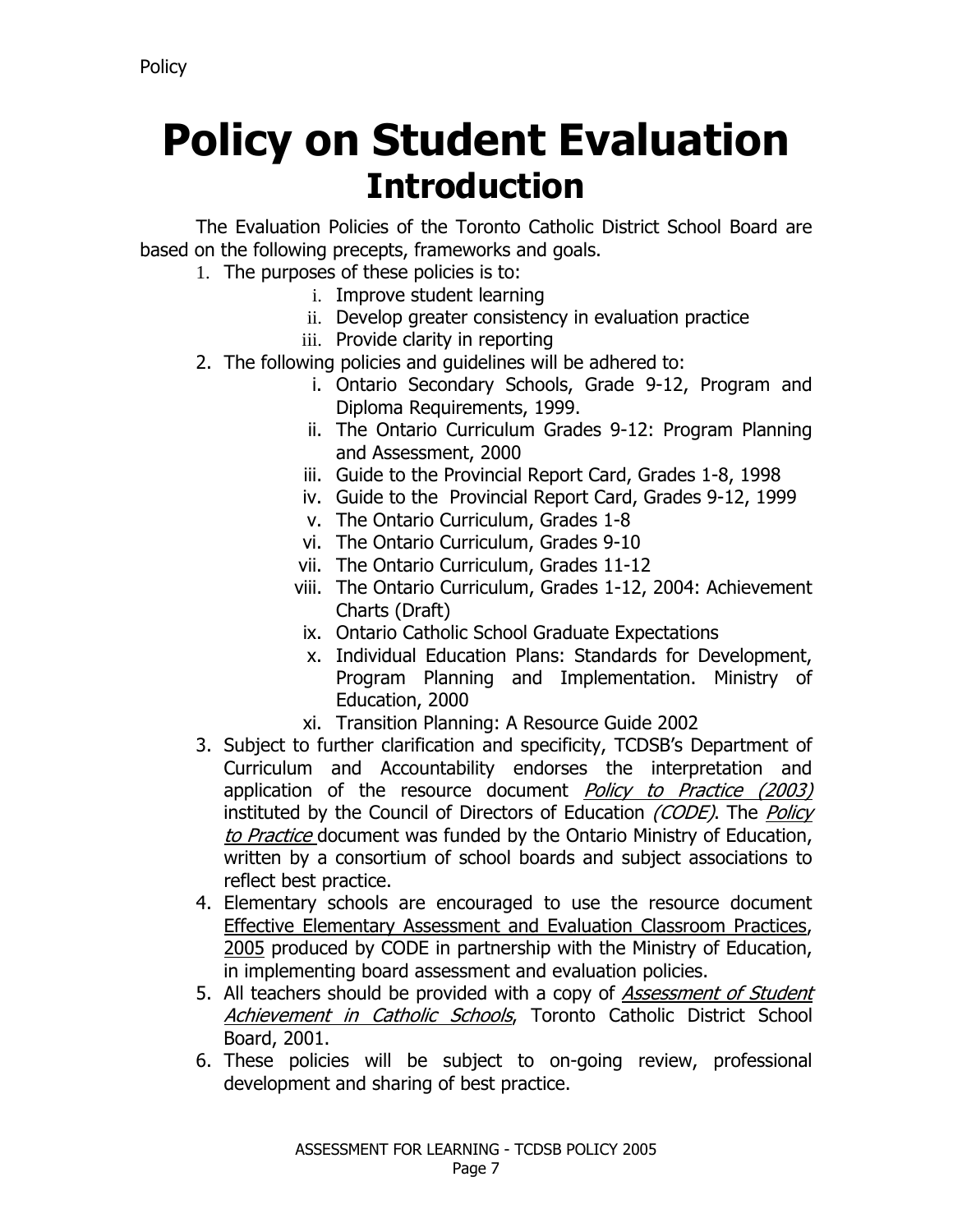# **Policy on Student Evaluation Introduction**

The Evaluation Policies of the Toronto Catholic District School Board are based on the following precepts, frameworks and goals.

- 1. The purposes of these policies is to:
	- i. Improve student learning
	- ii. Develop greater consistency in evaluation practice
	- iii. Provide clarity in reporting
- 2. The following policies and guidelines will be adhered to:
	- i. Ontario Secondary Schools, Grade 9-12, Program and Diploma Requirements, 1999.
	- ii. The Ontario Curriculum Grades 9-12: Program Planning and Assessment, 2000
	- iii. Guide to the Provincial Report Card, Grades 1-8, 1998
	- iv. Guide to the Provincial Report Card, Grades 9-12, 1999
	- v. The Ontario Curriculum, Grades 1-8
	- vi. The Ontario Curriculum, Grades 9-10
	- vii. The Ontario Curriculum, Grades 11-12
	- viii. The Ontario Curriculum, Grades 1-12, 2004: Achievement Charts (Draft)
	- ix. Ontario Catholic School Graduate Expectations
	- x. Individual Education Plans: Standards for Development, Program Planning and Implementation. Ministry of Education, 2000
	- xi. Transition Planning: A Resource Guide 2002
- 3. Subject to further clarification and specificity, TCDSB's Department of Curriculum and Accountability endorses the interpretation and application of the resource document *Policy to Practice (2003)* instituted by the Council of Directors of Education (CODE). The Policy to Practice document was funded by the Ontario Ministry of Education, written by a consortium of school boards and subject associations to reflect best practice.
- 4. Elementary schools are encouraged to use the resource document Effective Elementary Assessment and Evaluation Classroom Practices, 2005 produced by CODE in partnership with the Ministry of Education, in implementing board assessment and evaluation policies.
- 5. All teachers should be provided with a copy of Assessment of Student Achievement in Catholic Schools, Toronto Catholic District School Board, 2001.
- 6. These policies will be subject to on-going review, professional development and sharing of best practice.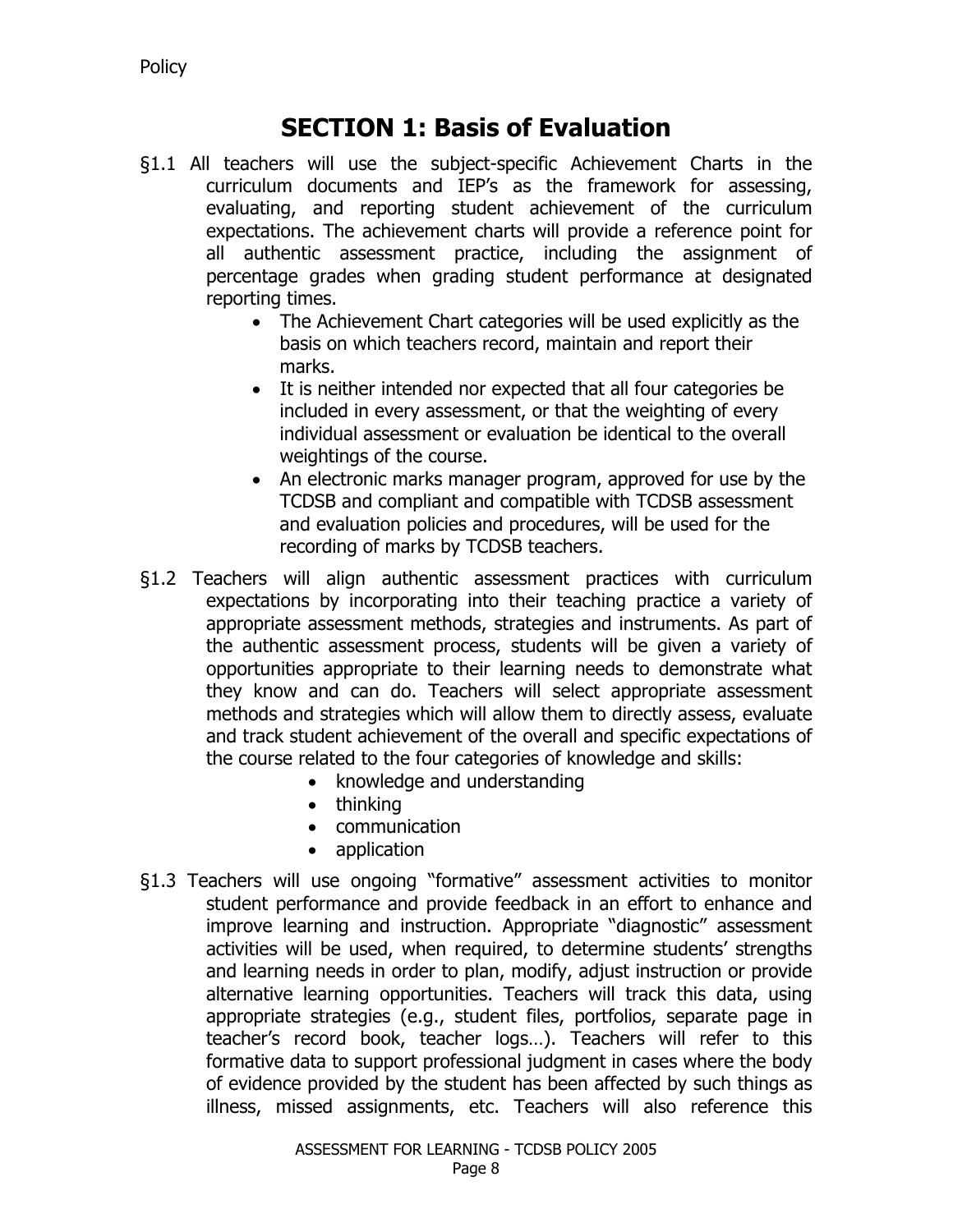**Policy** 

# **SECTION 1: Basis of Evaluation**

- §1.1 All teachers will use the subject-specific Achievement Charts in the curriculum documents and IEP's as the framework for assessing, evaluating, and reporting student achievement of the curriculum expectations. The achievement charts will provide a reference point for all authentic assessment practice, including the assignment of percentage grades when grading student performance at designated reporting times.
	- The Achievement Chart categories will be used explicitly as the basis on which teachers record, maintain and report their marks.
	- It is neither intended nor expected that all four categories be included in every assessment, or that the weighting of every individual assessment or evaluation be identical to the overall weightings of the course.
	- An electronic marks manager program, approved for use by the TCDSB and compliant and compatible with TCDSB assessment and evaluation policies and procedures, will be used for the recording of marks by TCDSB teachers.
- §1.2 Teachers will align authentic assessment practices with curriculum expectations by incorporating into their teaching practice a variety of appropriate assessment methods, strategies and instruments. As part of the authentic assessment process, students will be given a variety of opportunities appropriate to their learning needs to demonstrate what they know and can do. Teachers will select appropriate assessment methods and strategies which will allow them to directly assess, evaluate and track student achievement of the overall and specific expectations of the course related to the four categories of knowledge and skills:
	- knowledge and understanding
	- thinking
	- communication
	- application
- §1.3 Teachers will use ongoing "formative" assessment activities to monitor student performance and provide feedback in an effort to enhance and improve learning and instruction. Appropriate "diagnostic" assessment activities will be used, when required, to determine students' strengths and learning needs in order to plan, modify, adjust instruction or provide alternative learning opportunities. Teachers will track this data, using appropriate strategies (e.g., student files, portfolios, separate page in teacher's record book, teacher logs…). Teachers will refer to this formative data to support professional judgment in cases where the body of evidence provided by the student has been affected by such things as illness, missed assignments, etc. Teachers will also reference this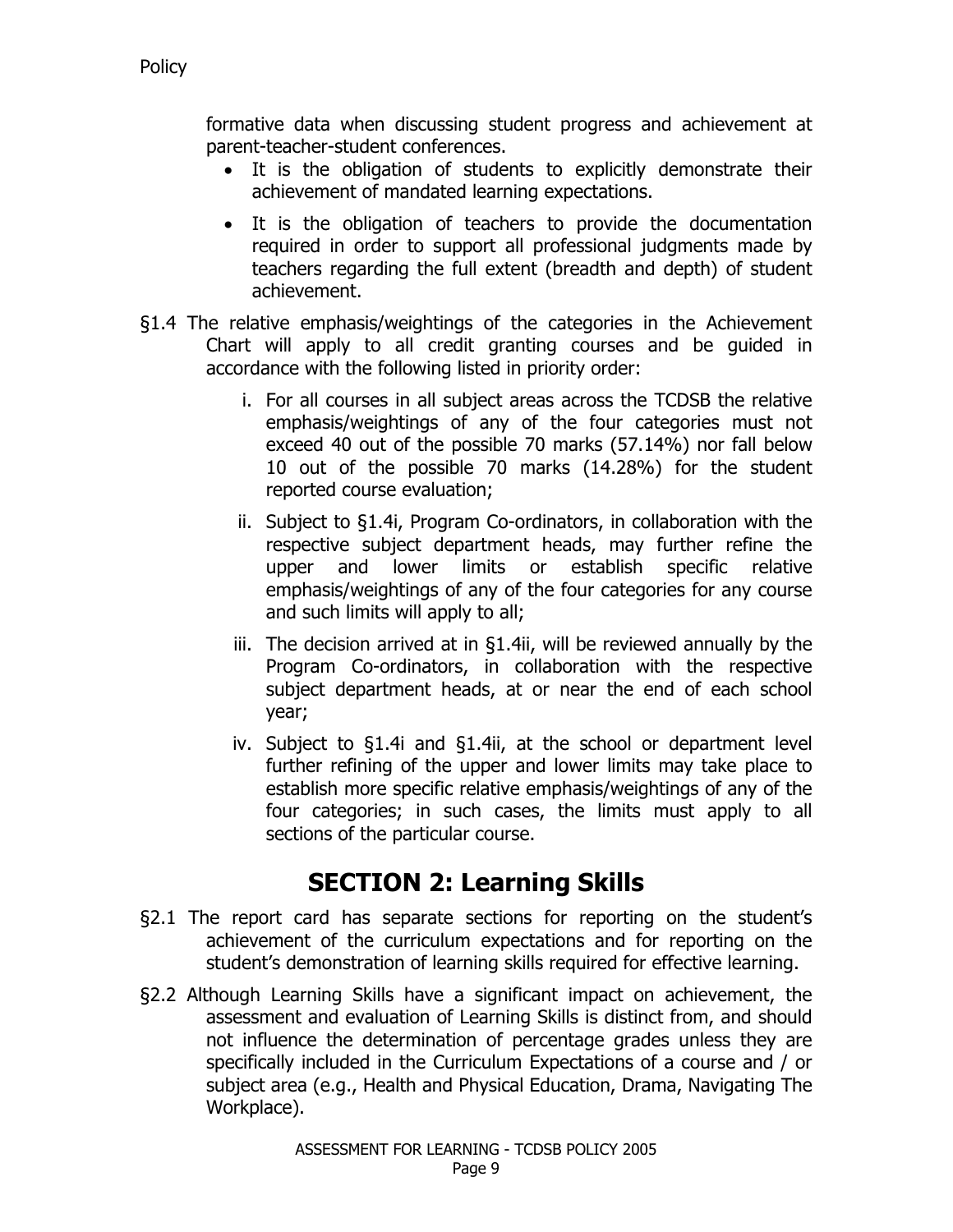formative data when discussing student progress and achievement at parent-teacher-student conferences.

- It is the obligation of students to explicitly demonstrate their achievement of mandated learning expectations.
- It is the obligation of teachers to provide the documentation required in order to support all professional judgments made by teachers regarding the full extent (breadth and depth) of student achievement.
- §1.4 The relative emphasis/weightings of the categories in the Achievement Chart will apply to all credit granting courses and be guided in accordance with the following listed in priority order:
	- i. For all courses in all subject areas across the TCDSB the relative emphasis/weightings of any of the four categories must not exceed 40 out of the possible 70 marks (57.14%) nor fall below 10 out of the possible 70 marks (14.28%) for the student reported course evaluation;
	- ii. Subject to §1.4i, Program Co-ordinators, in collaboration with the respective subject department heads, may further refine the upper and lower limits or establish specific relative emphasis/weightings of any of the four categories for any course and such limits will apply to all;
	- iii. The decision arrived at in §1.4ii, will be reviewed annually by the Program Co-ordinators, in collaboration with the respective subject department heads, at or near the end of each school year;
	- iv. Subject to §1.4i and §1.4ii, at the school or department level further refining of the upper and lower limits may take place to establish more specific relative emphasis/weightings of any of the four categories; in such cases, the limits must apply to all sections of the particular course.

# **SECTION 2: Learning Skills**

- §2.1 The report card has separate sections for reporting on the student's achievement of the curriculum expectations and for reporting on the student's demonstration of learning skills required for effective learning.
- §2.2 Although Learning Skills have a significant impact on achievement, the assessment and evaluation of Learning Skills is distinct from, and should not influence the determination of percentage grades unless they are specifically included in the Curriculum Expectations of a course and / or subject area (e.g., Health and Physical Education, Drama, Navigating The Workplace).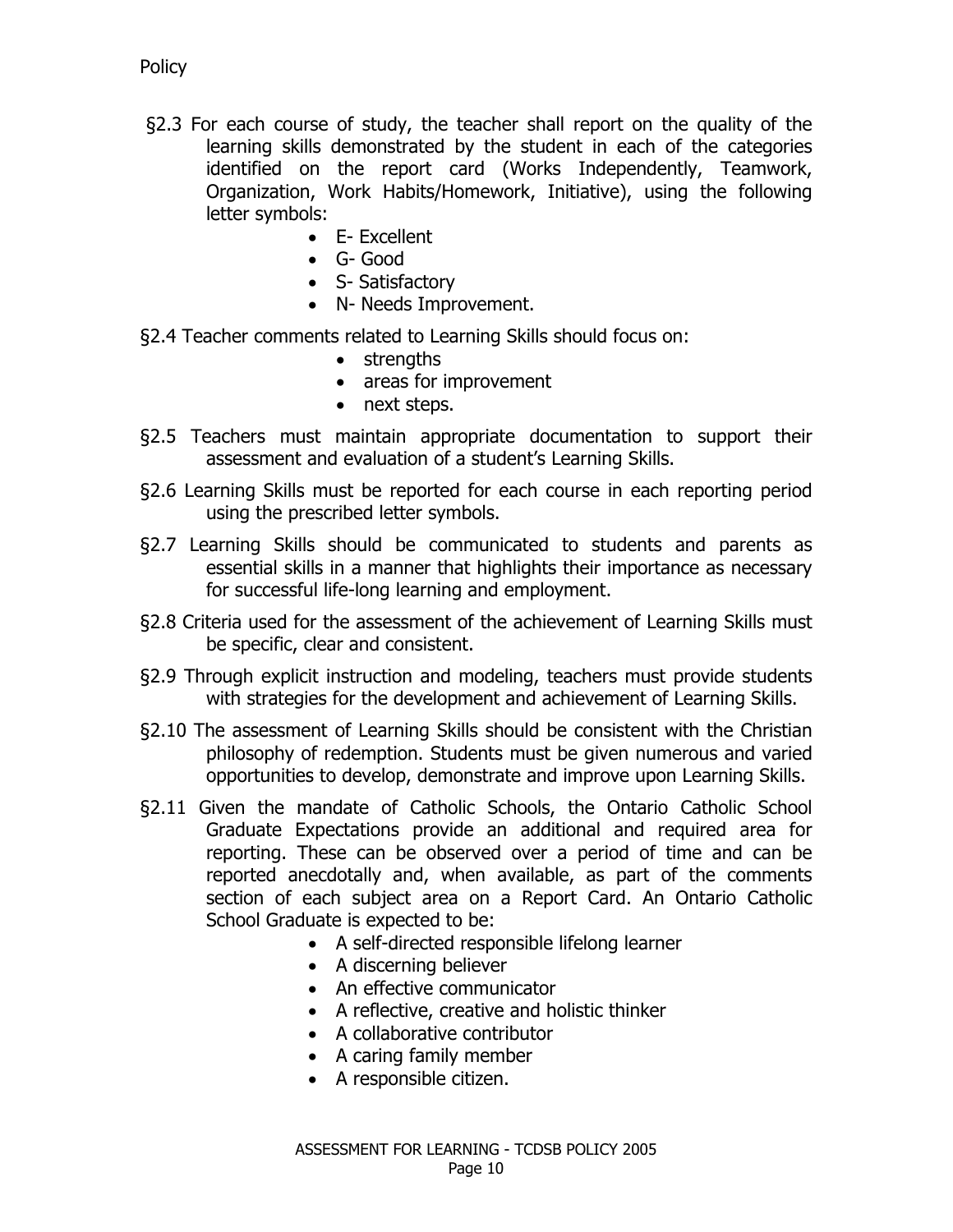**Policy** 

- §2.3 For each course of study, the teacher shall report on the quality of the learning skills demonstrated by the student in each of the categories identified on the report card (Works Independently, Teamwork, Organization, Work Habits/Homework, Initiative), using the following letter symbols:
	- E- Excellent
	- G- Good
	- S- Satisfactory
	- N- Needs Improvement.
- §2.4 Teacher comments related to Learning Skills should focus on:
	- strengths
	- areas for improvement
	- next steps.
- §2.5 Teachers must maintain appropriate documentation to support their assessment and evaluation of a student's Learning Skills.
- §2.6 Learning Skills must be reported for each course in each reporting period using the prescribed letter symbols.
- §2.7 Learning Skills should be communicated to students and parents as essential skills in a manner that highlights their importance as necessary for successful life-long learning and employment.
- §2.8 Criteria used for the assessment of the achievement of Learning Skills must be specific, clear and consistent.
- §2.9 Through explicit instruction and modeling, teachers must provide students with strategies for the development and achievement of Learning Skills.
- §2.10 The assessment of Learning Skills should be consistent with the Christian philosophy of redemption. Students must be given numerous and varied opportunities to develop, demonstrate and improve upon Learning Skills.
- §2.11 Given the mandate of Catholic Schools, the Ontario Catholic School Graduate Expectations provide an additional and required area for reporting. These can be observed over a period of time and can be reported anecdotally and, when available, as part of the comments section of each subject area on a Report Card. An Ontario Catholic School Graduate is expected to be:
	- A self-directed responsible lifelong learner
	- A discerning believer
	- An effective communicator
	- A reflective, creative and holistic thinker
	- A collaborative contributor
	- A caring family member
	- A responsible citizen.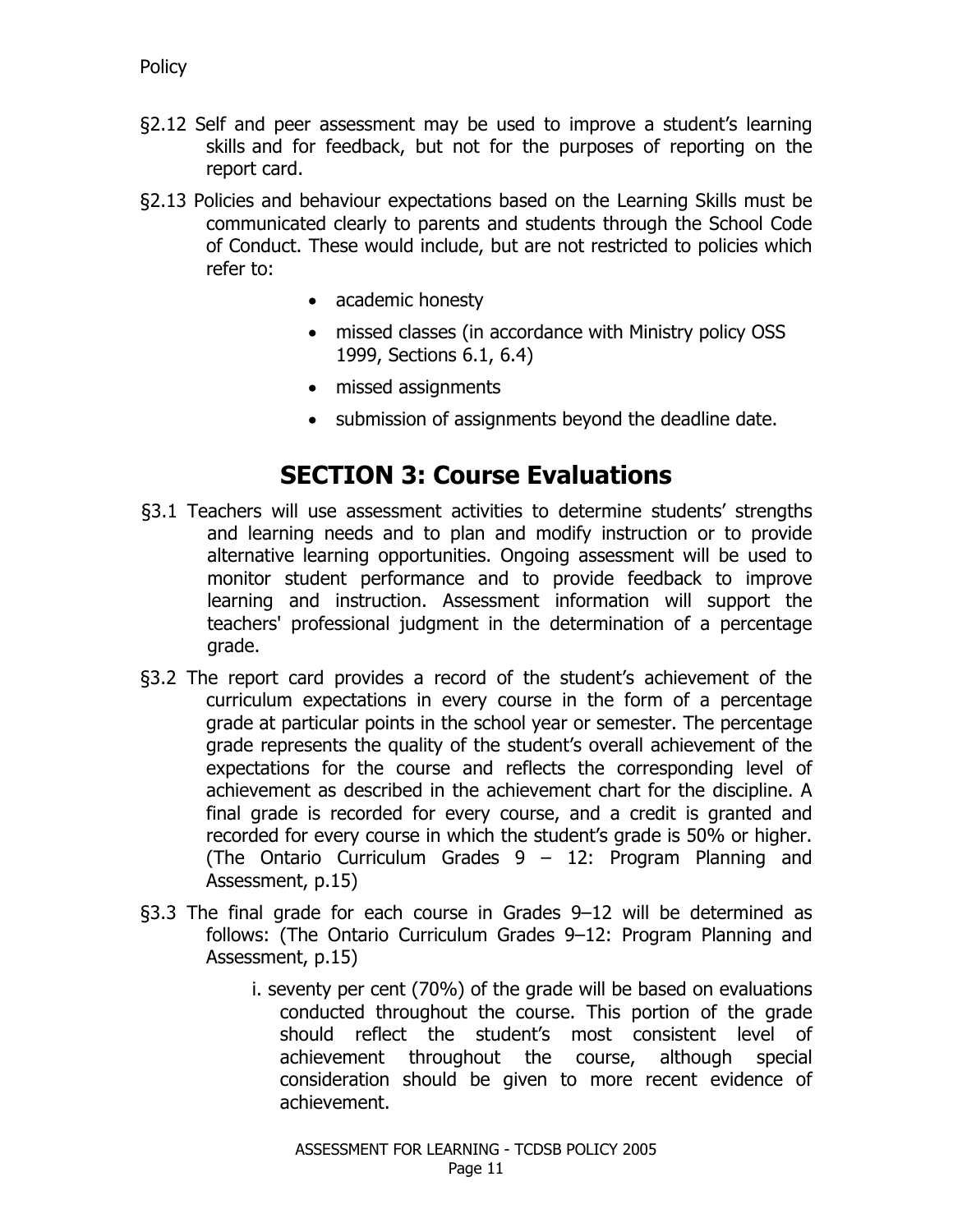- §2.12 Self and peer assessment may be used to improve a student's learning skills and for feedback, but not for the purposes of reporting on the report card.
- §2.13 Policies and behaviour expectations based on the Learning Skills must be communicated clearly to parents and students through the School Code of Conduct. These would include, but are not restricted to policies which refer to:
	- academic honesty
	- missed classes (in accordance with Ministry policy OSS 1999, Sections 6.1, 6.4)
	- missed assignments
	- submission of assignments beyond the deadline date.

# **SECTION 3: Course Evaluations**

- §3.1 Teachers will use assessment activities to determine students' strengths and learning needs and to plan and modify instruction or to provide alternative learning opportunities. Ongoing assessment will be used to monitor student performance and to provide feedback to improve learning and instruction. Assessment information will support the teachers' professional judgment in the determination of a percentage grade.
- §3.2 The report card provides a record of the student's achievement of the curriculum expectations in every course in the form of a percentage grade at particular points in the school year or semester. The percentage grade represents the quality of the student's overall achievement of the expectations for the course and reflects the corresponding level of achievement as described in the achievement chart for the discipline. A final grade is recorded for every course, and a credit is granted and recorded for every course in which the student's grade is 50% or higher. (The Ontario Curriculum Grades 9 – 12: Program Planning and Assessment, p.15)
- §3.3 The final grade for each course in Grades 9–12 will be determined as follows: (The Ontario Curriculum Grades 9–12: Program Planning and Assessment, p.15)
	- i. seventy per cent (70%) of the grade will be based on evaluations conducted throughout the course. This portion of the grade should reflect the student's most consistent level of achievement throughout the course, although special consideration should be given to more recent evidence of achievement.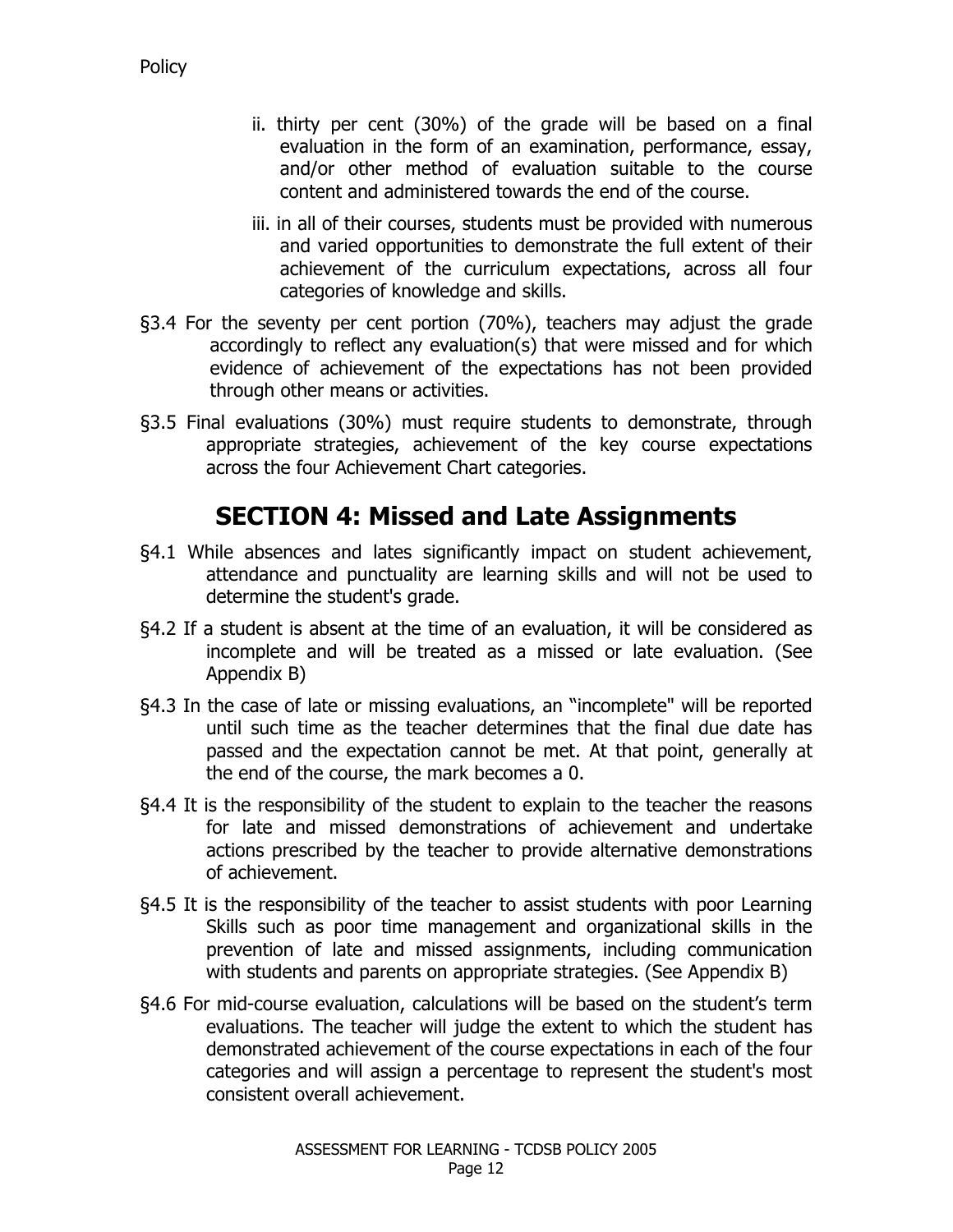- ii. thirty per cent (30%) of the grade will be based on a final evaluation in the form of an examination, performance, essay, and/or other method of evaluation suitable to the course content and administered towards the end of the course.
- iii. in all of their courses, students must be provided with numerous and varied opportunities to demonstrate the full extent of their achievement of the curriculum expectations, across all four categories of knowledge and skills.
- §3.4 For the seventy per cent portion (70%), teachers may adjust the grade accordingly to reflect any evaluation(s) that were missed and for which evidence of achievement of the expectations has not been provided through other means or activities.
- §3.5 Final evaluations (30%) must require students to demonstrate, through appropriate strategies, achievement of the key course expectations across the four Achievement Chart categories.

# **SECTION 4: Missed and Late Assignments**

- §4.1 While absences and lates significantly impact on student achievement, attendance and punctuality are learning skills and will not be used to determine the student's grade.
- §4.2 If a student is absent at the time of an evaluation, it will be considered as incomplete and will be treated as a missed or late evaluation. (See Appendix B)
- §4.3 In the case of late or missing evaluations, an "incomplete" will be reported until such time as the teacher determines that the final due date has passed and the expectation cannot be met. At that point, generally at the end of the course, the mark becomes a 0.
- §4.4 It is the responsibility of the student to explain to the teacher the reasons for late and missed demonstrations of achievement and undertake actions prescribed by the teacher to provide alternative demonstrations of achievement.
- §4.5 It is the responsibility of the teacher to assist students with poor Learning Skills such as poor time management and organizational skills in the prevention of late and missed assignments, including communication with students and parents on appropriate strategies. (See Appendix B)
- §4.6 For mid-course evaluation, calculations will be based on the student's term evaluations. The teacher will judge the extent to which the student has demonstrated achievement of the course expectations in each of the four categories and will assign a percentage to represent the student's most consistent overall achievement.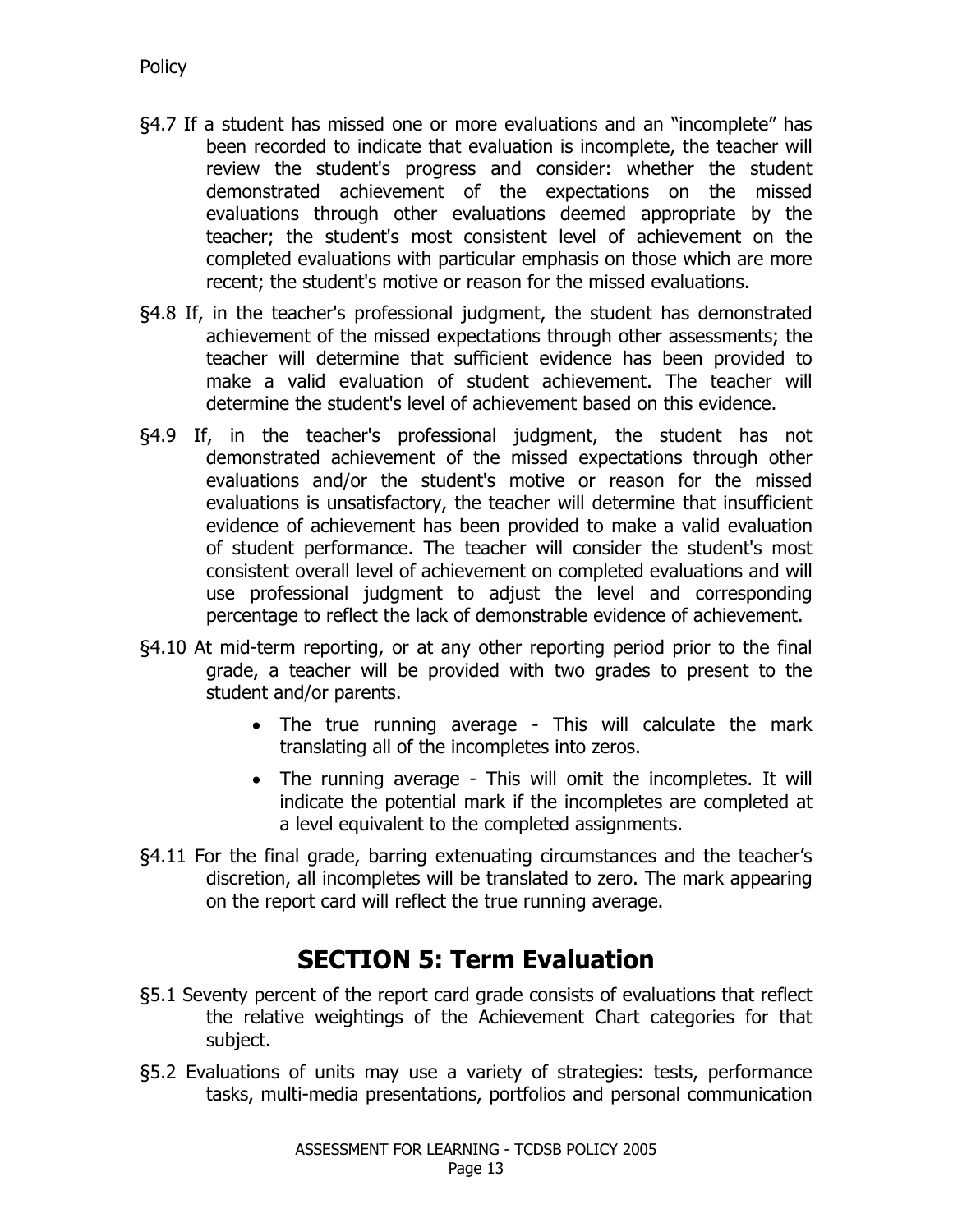- §4.7 If a student has missed one or more evaluations and an "incomplete" has been recorded to indicate that evaluation is incomplete, the teacher will review the student's progress and consider: whether the student demonstrated achievement of the expectations on the missed evaluations through other evaluations deemed appropriate by the teacher; the student's most consistent level of achievement on the completed evaluations with particular emphasis on those which are more recent; the student's motive or reason for the missed evaluations.
- §4.8 If, in the teacher's professional judgment, the student has demonstrated achievement of the missed expectations through other assessments; the teacher will determine that sufficient evidence has been provided to make a valid evaluation of student achievement. The teacher will determine the student's level of achievement based on this evidence.
- §4.9 If, in the teacher's professional judgment, the student has not demonstrated achievement of the missed expectations through other evaluations and/or the student's motive or reason for the missed evaluations is unsatisfactory, the teacher will determine that insufficient evidence of achievement has been provided to make a valid evaluation of student performance. The teacher will consider the student's most consistent overall level of achievement on completed evaluations and will use professional judgment to adjust the level and corresponding percentage to reflect the lack of demonstrable evidence of achievement.
- §4.10 At mid-term reporting, or at any other reporting period prior to the final grade, a teacher will be provided with two grades to present to the student and/or parents.
	- The true running average This will calculate the mark translating all of the incompletes into zeros.
	- The running average This will omit the incompletes. It will indicate the potential mark if the incompletes are completed at a level equivalent to the completed assignments.
- §4.11 For the final grade, barring extenuating circumstances and the teacher's discretion, all incompletes will be translated to zero. The mark appearing on the report card will reflect the true running average.

# **SECTION 5: Term Evaluation**

- §5.1 Seventy percent of the report card grade consists of evaluations that reflect the relative weightings of the Achievement Chart categories for that subject.
- §5.2 Evaluations of units may use a variety of strategies: tests, performance tasks, multi-media presentations, portfolios and personal communication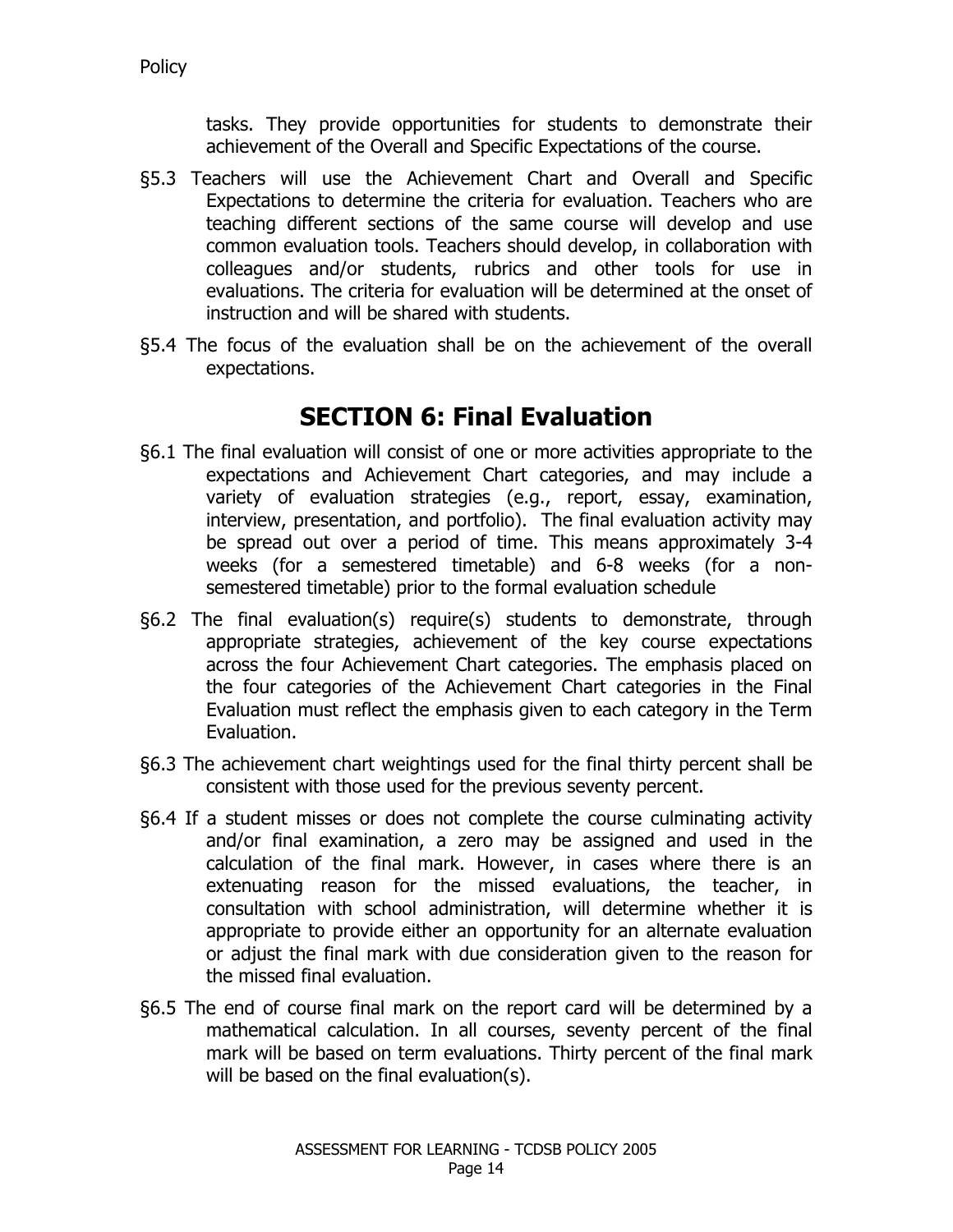tasks. They provide opportunities for students to demonstrate their achievement of the Overall and Specific Expectations of the course.

- §5.3 Teachers will use the Achievement Chart and Overall and Specific Expectations to determine the criteria for evaluation. Teachers who are teaching different sections of the same course will develop and use common evaluation tools. Teachers should develop, in collaboration with colleagues and/or students, rubrics and other tools for use in evaluations. The criteria for evaluation will be determined at the onset of instruction and will be shared with students.
- §5.4 The focus of the evaluation shall be on the achievement of the overall expectations.

# **SECTION 6: Final Evaluation**

- §6.1 The final evaluation will consist of one or more activities appropriate to the expectations and Achievement Chart categories, and may include a variety of evaluation strategies (e.g., report, essay, examination, interview, presentation, and portfolio). The final evaluation activity may be spread out over a period of time. This means approximately 3-4 weeks (for a semestered timetable) and 6-8 weeks (for a nonsemestered timetable) prior to the formal evaluation schedule
- §6.2 The final evaluation(s) require(s) students to demonstrate, through appropriate strategies, achievement of the key course expectations across the four Achievement Chart categories. The emphasis placed on the four categories of the Achievement Chart categories in the Final Evaluation must reflect the emphasis given to each category in the Term Evaluation.
- §6.3 The achievement chart weightings used for the final thirty percent shall be consistent with those used for the previous seventy percent.
- §6.4 If a student misses or does not complete the course culminating activity and/or final examination, a zero may be assigned and used in the calculation of the final mark. However, in cases where there is an extenuating reason for the missed evaluations, the teacher, in consultation with school administration, will determine whether it is appropriate to provide either an opportunity for an alternate evaluation or adjust the final mark with due consideration given to the reason for the missed final evaluation.
- §6.5 The end of course final mark on the report card will be determined by a mathematical calculation. In all courses, seventy percent of the final mark will be based on term evaluations. Thirty percent of the final mark will be based on the final evaluation(s).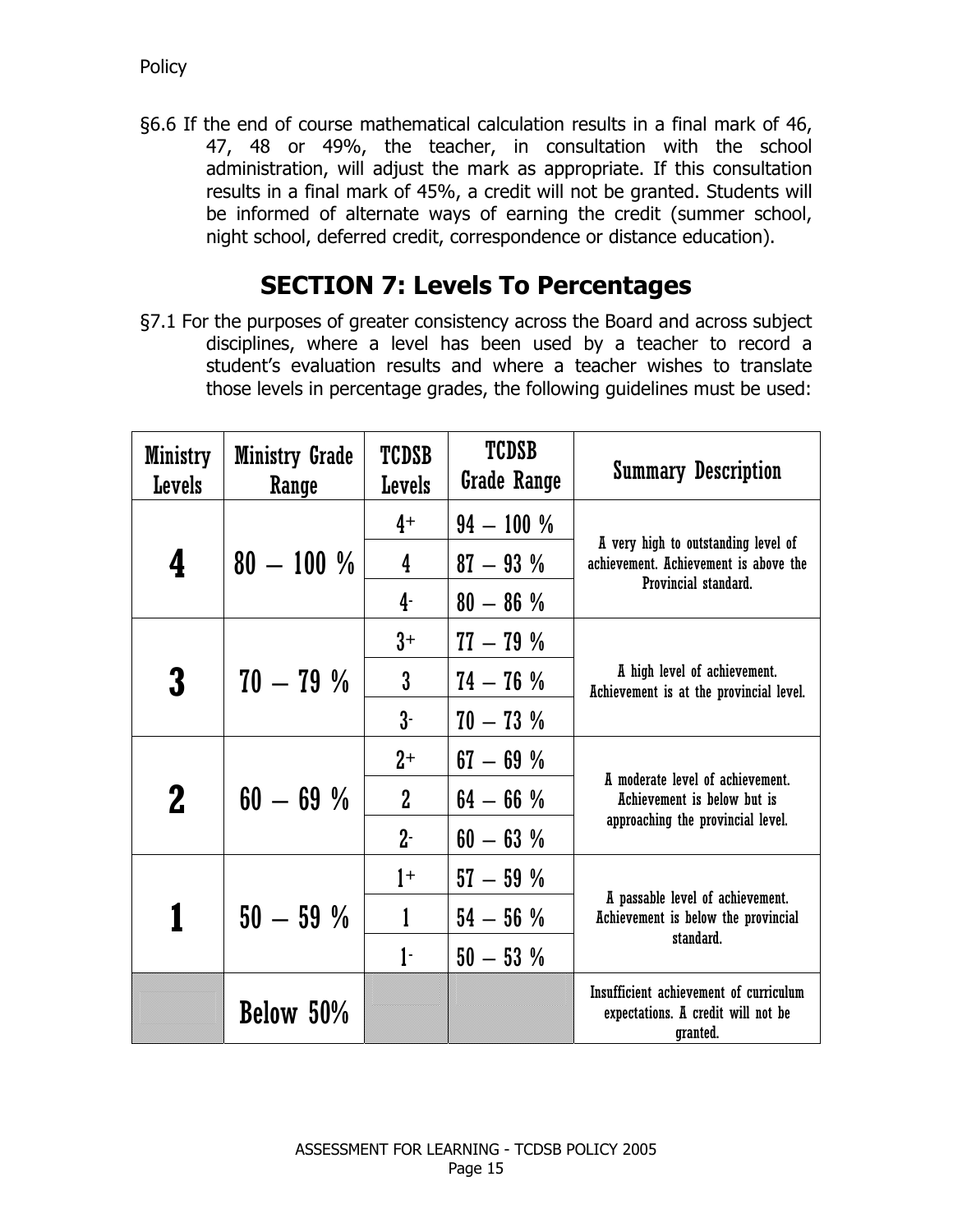Policy

§6.6 If the end of course mathematical calculation results in a final mark of 46, 47, 48 or 49%, the teacher, in consultation with the school administration, will adjust the mark as appropriate. If this consultation results in a final mark of 45%, a credit will not be granted. Students will be informed of alternate ways of earning the credit (summer school, night school, deferred credit, correspondence or distance education).

# **SECTION 7: Levels To Percentages**

§7.1 For the purposes of greater consistency across the Board and across subject disciplines, where a level has been used by a teacher to record a student's evaluation results and where a teacher wishes to translate those levels in percentage grades, the following guidelines must be used:

| <b>Ministry</b><br>Levels | <b>Ministry Grade</b><br>Range | <b>TCDSB</b><br>Levels | <b>TCDSB</b><br>Grade Range | <b>Summary Description</b>                                                               |
|---------------------------|--------------------------------|------------------------|-----------------------------|------------------------------------------------------------------------------------------|
|                           |                                | $4+$                   | $94 - 100 %$                |                                                                                          |
| 4                         | $80 - 100 %$                   | 4                      | $87 - 93%$                  | A very high to outstanding level of<br>achievement. Achievement is above the             |
|                           |                                | 4                      | $80 - 86%$                  | Provincial standard.                                                                     |
|                           |                                | $3+$                   | $77 - 79%$                  |                                                                                          |
| 3                         | $70 - 79%$                     | 3                      | $74 - 76%$                  | A high level of achievement.<br>Achievement is at the provincial level.                  |
|                           |                                | ვ.                     | $70 - 73%$                  |                                                                                          |
|                           |                                | $2^{+}$                | $67 - 69%$                  |                                                                                          |
| $\mathbf 2$               | $60 - 69 %$                    | $\overline{2}$         | $64 - 66%$                  | A moderate level of achievement.<br>Achievement is below but is                          |
|                           |                                | $2 -$                  | $60 - 63 %$                 | approaching the provincial level.                                                        |
|                           |                                | $1+$                   | $57 - 59%$                  |                                                                                          |
|                           | $50 - 59%$                     | 1                      | $54 - 56%$                  | A passable level of achievement.<br>Achievement is below the provincial                  |
|                           |                                | $1 -$                  | $50 - 53%$                  | standard.                                                                                |
|                           | Below 50%                      |                        |                             | Insufficient achievement of curriculum<br>expectations. A credit will not be<br>granted. |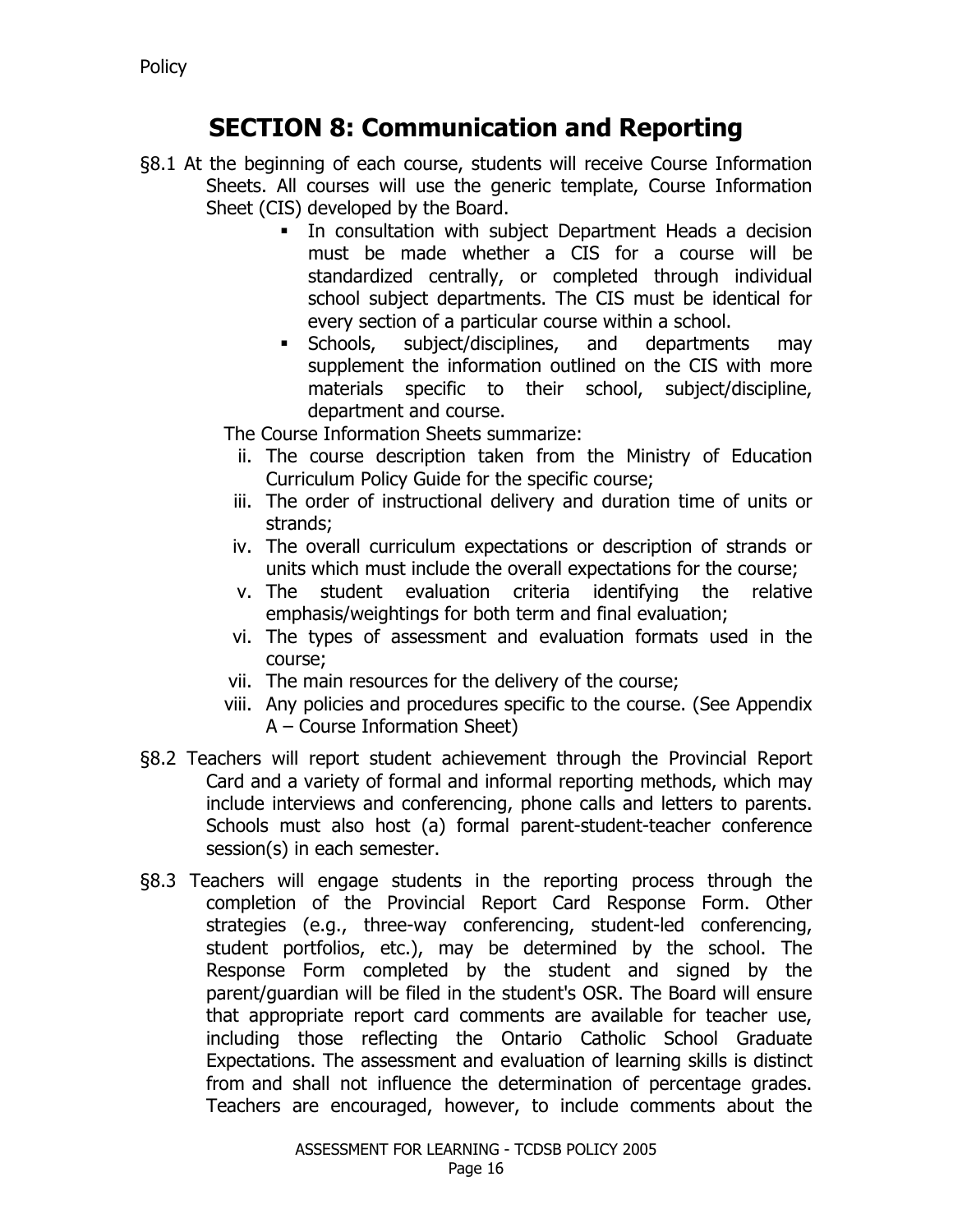# **SECTION 8: Communication and Reporting**

- §8.1 At the beginning of each course, students will receive Course Information Sheets. All courses will use the generic template, Course Information Sheet (CIS) developed by the Board.
	- **IF In consultation with subject Department Heads a decision** must be made whether a CIS for a course will be standardized centrally, or completed through individual school subject departments. The CIS must be identical for every section of a particular course within a school.
	- Schools, subject/disciplines, and departments may supplement the information outlined on the CIS with more materials specific to their school, subject/discipline, department and course.

The Course Information Sheets summarize:

- ii. The course description taken from the Ministry of Education Curriculum Policy Guide for the specific course;
- iii. The order of instructional delivery and duration time of units or strands;
- iv. The overall curriculum expectations or description of strands or units which must include the overall expectations for the course;
- v. The student evaluation criteria identifying the relative emphasis/weightings for both term and final evaluation;
- vi. The types of assessment and evaluation formats used in the course;
- vii. The main resources for the delivery of the course;
- viii. Any policies and procedures specific to the course. (See Appendix A – Course Information Sheet)
- §8.2 Teachers will report student achievement through the Provincial Report Card and a variety of formal and informal reporting methods, which may include interviews and conferencing, phone calls and letters to parents. Schools must also host (a) formal parent-student-teacher conference session(s) in each semester.
- §8.3 Teachers will engage students in the reporting process through the completion of the Provincial Report Card Response Form. Other strategies (e.g., three-way conferencing, student-led conferencing, student portfolios, etc.), may be determined by the school. The Response Form completed by the student and signed by the parent/guardian will be filed in the student's OSR. The Board will ensure that appropriate report card comments are available for teacher use, including those reflecting the Ontario Catholic School Graduate Expectations. The assessment and evaluation of learning skills is distinct from and shall not influence the determination of percentage grades. Teachers are encouraged, however, to include comments about the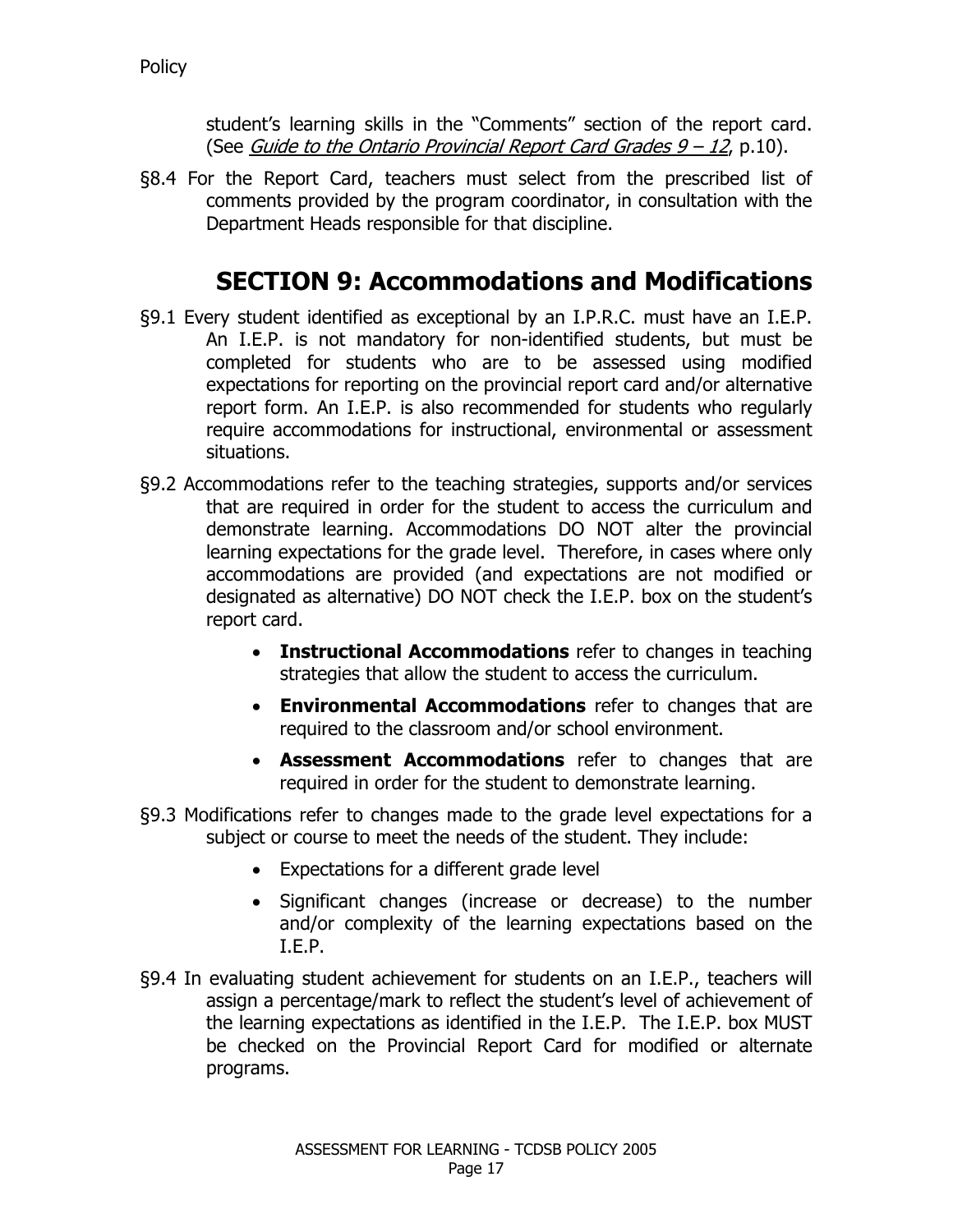student's learning skills in the "Comments" section of the report card. (See Guide to the Ontario Provincial Report Card Grades  $9 - 12$ , p.10).

§8.4 For the Report Card, teachers must select from the prescribed list of comments provided by the program coordinator, in consultation with the Department Heads responsible for that discipline.

# **SECTION 9: Accommodations and Modifications**

- §9.1 Every student identified as exceptional by an I.P.R.C. must have an I.E.P. An I.E.P. is not mandatory for non-identified students, but must be completed for students who are to be assessed using modified expectations for reporting on the provincial report card and/or alternative report form. An I.E.P. is also recommended for students who regularly require accommodations for instructional, environmental or assessment situations.
- §9.2 Accommodations refer to the teaching strategies, supports and/or services that are required in order for the student to access the curriculum and demonstrate learning. Accommodations DO NOT alter the provincial learning expectations for the grade level. Therefore, in cases where only accommodations are provided (and expectations are not modified or designated as alternative) DO NOT check the I.E.P. box on the student's report card.
	- **Instructional Accommodations** refer to changes in teaching strategies that allow the student to access the curriculum.
	- **Environmental Accommodations** refer to changes that are required to the classroom and/or school environment.
	- **Assessment Accommodations** refer to changes that are required in order for the student to demonstrate learning.
- §9.3 Modifications refer to changes made to the grade level expectations for a subject or course to meet the needs of the student. They include:
	- Expectations for a different grade level
	- Significant changes (increase or decrease) to the number and/or complexity of the learning expectations based on the I.E.P.
- §9.4 In evaluating student achievement for students on an I.E.P., teachers will assign a percentage/mark to reflect the student's level of achievement of the learning expectations as identified in the I.E.P. The I.E.P. box MUST be checked on the Provincial Report Card for modified or alternate programs.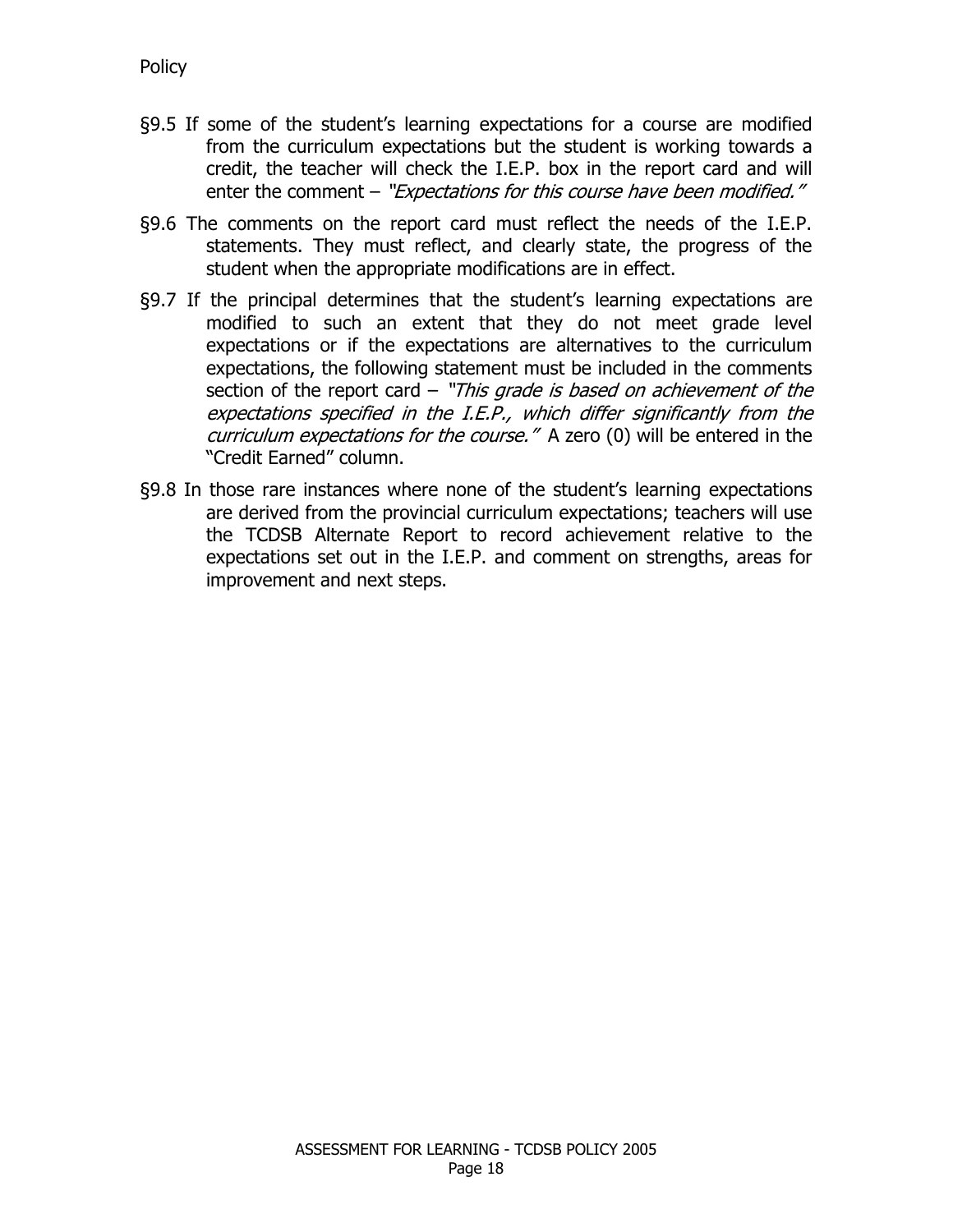- §9.5 If some of the student's learning expectations for a course are modified from the curriculum expectations but the student is working towards a credit, the teacher will check the I.E.P. box in the report card and will enter the comment – "Expectations for this course have been modified."
- §9.6 The comments on the report card must reflect the needs of the I.E.P. statements. They must reflect, and clearly state, the progress of the student when the appropriate modifications are in effect.
- §9.7 If the principal determines that the student's learning expectations are modified to such an extent that they do not meet grade level expectations or if the expectations are alternatives to the curriculum expectations, the following statement must be included in the comments section of the report card – "This grade is based on achievement of the expectations specified in the I.E.P., which differ significantly from the curriculum expectations for the course." A zero (0) will be entered in the "Credit Earned" column.
- §9.8 In those rare instances where none of the student's learning expectations are derived from the provincial curriculum expectations; teachers will use the TCDSB Alternate Report to record achievement relative to the expectations set out in the I.E.P. and comment on strengths, areas for improvement and next steps.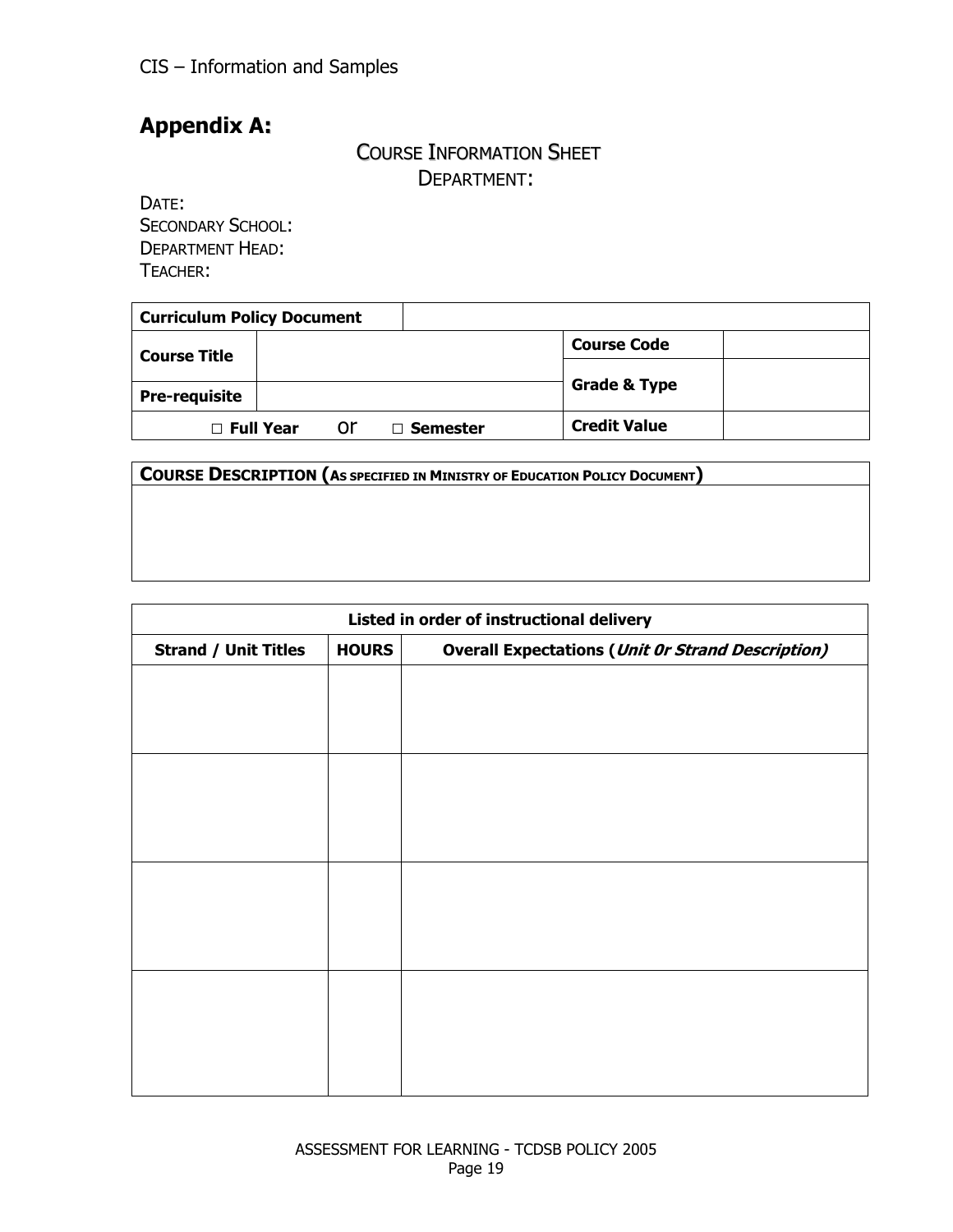# **Appendix A:**

## COURSE INFORMATION SHEET DEPARTMENT:

DATE: SECONDARY SCHOOL: DEPARTMENT HEAD: TEACHER:

| <b>Curriculum Policy Document</b> |                  |    |                 |                         |  |
|-----------------------------------|------------------|----|-----------------|-------------------------|--|
| <b>Course Title</b>               |                  |    |                 | <b>Course Code</b>      |  |
|                                   |                  |    |                 |                         |  |
| <b>Pre-requisite</b>              |                  |    |                 | <b>Grade &amp; Type</b> |  |
|                                   | $\Box$ Full Year | 0r | $\Box$ Semester | <b>Credit Value</b>     |  |

**COURSE DESCRIPTION (AS SPECIFIED IN MINISTRY OF EDUCATION POLICY DOCUMENT)** 

| Listed in order of instructional delivery |                                                                          |  |  |  |  |  |
|-------------------------------------------|--------------------------------------------------------------------------|--|--|--|--|--|
| <b>Strand / Unit Titles</b>               | <b>Overall Expectations (Unit Or Strand Description)</b><br><b>HOURS</b> |  |  |  |  |  |
|                                           |                                                                          |  |  |  |  |  |
|                                           |                                                                          |  |  |  |  |  |
|                                           |                                                                          |  |  |  |  |  |
|                                           |                                                                          |  |  |  |  |  |
|                                           |                                                                          |  |  |  |  |  |
|                                           |                                                                          |  |  |  |  |  |
|                                           |                                                                          |  |  |  |  |  |
|                                           |                                                                          |  |  |  |  |  |
|                                           |                                                                          |  |  |  |  |  |
|                                           |                                                                          |  |  |  |  |  |
|                                           |                                                                          |  |  |  |  |  |
|                                           |                                                                          |  |  |  |  |  |
|                                           |                                                                          |  |  |  |  |  |
|                                           |                                                                          |  |  |  |  |  |
|                                           |                                                                          |  |  |  |  |  |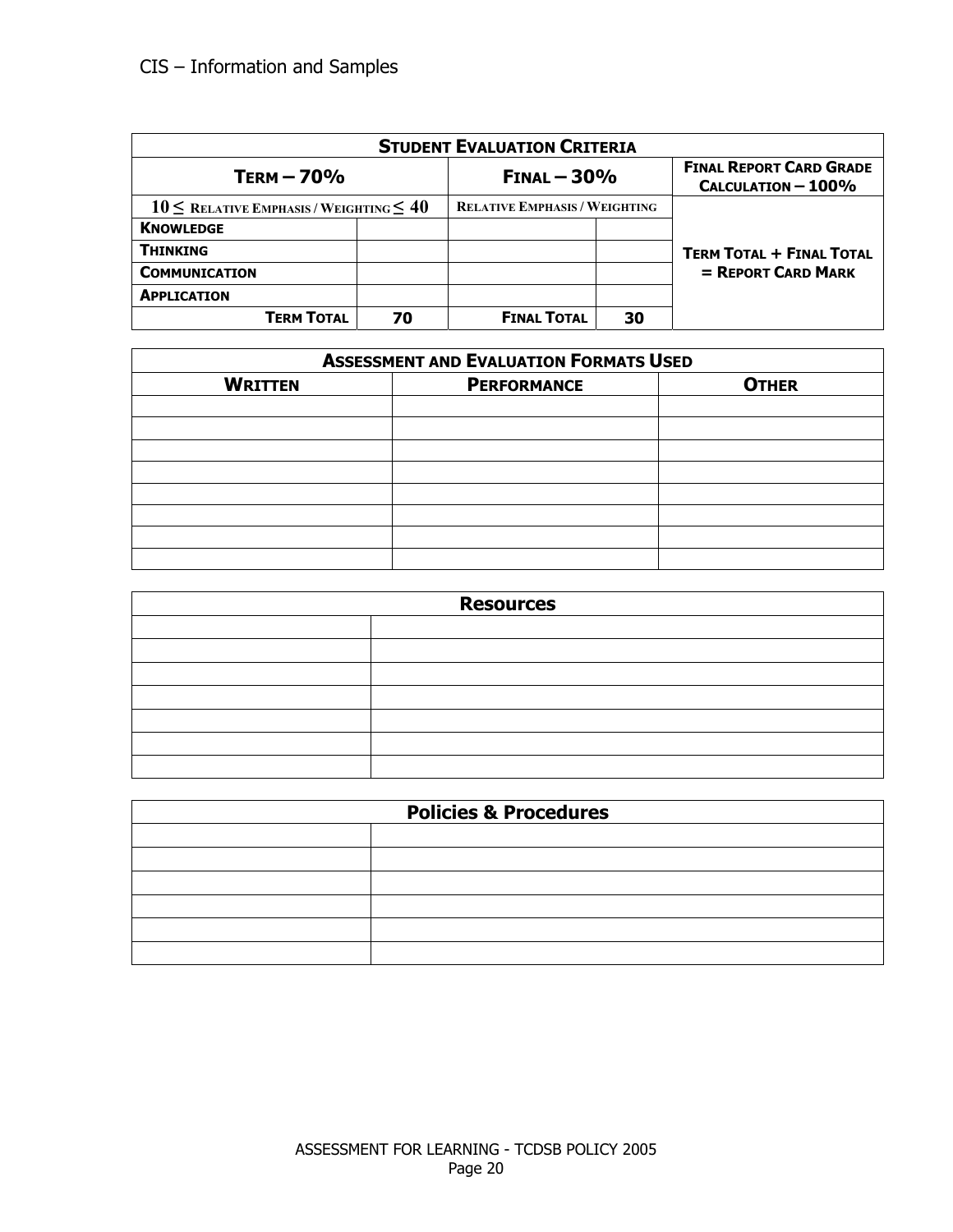## CIS – Information and Samples

| <b>STUDENT EVALUATION CRITERIA</b>                                                     |    |                                      |    |                                 |  |  |
|----------------------------------------------------------------------------------------|----|--------------------------------------|----|---------------------------------|--|--|
| <b>FINAL REPORT CARD GRADE</b><br>$FinAL - 30%$<br>$T$ ERM – 70%<br>CALCULATION - 100% |    |                                      |    |                                 |  |  |
| $10 \leq$ RELATIVE EMPHASIS / WEIGHTING $\leq 40$                                      |    | <b>RELATIVE EMPHASIS / WEIGHTING</b> |    |                                 |  |  |
| <b>KNOWLEDGE</b>                                                                       |    |                                      |    |                                 |  |  |
| <b>THINKING</b>                                                                        |    |                                      |    | <b>TERM TOTAL + FINAL TOTAL</b> |  |  |
| <b>COMMUNICATION</b>                                                                   |    |                                      |    | $=$ REPORT CARD MARK            |  |  |
| <b>APPLICATION</b>                                                                     |    |                                      |    |                                 |  |  |
| <b>TERM TOTAL</b>                                                                      | 70 | <b>FINAL TOTAL</b>                   | 30 |                                 |  |  |

| <b>ASSESSMENT AND EVALUATION FORMATS USED</b> |                    |              |  |  |  |
|-----------------------------------------------|--------------------|--------------|--|--|--|
| <b>WRITTEN</b>                                | <b>PERFORMANCE</b> | <b>OTHER</b> |  |  |  |
|                                               |                    |              |  |  |  |
|                                               |                    |              |  |  |  |
|                                               |                    |              |  |  |  |
|                                               |                    |              |  |  |  |
|                                               |                    |              |  |  |  |
|                                               |                    |              |  |  |  |
|                                               |                    |              |  |  |  |
|                                               |                    |              |  |  |  |

| <b>Resources</b> |  |  |  |
|------------------|--|--|--|
|                  |  |  |  |
|                  |  |  |  |
|                  |  |  |  |
|                  |  |  |  |
|                  |  |  |  |
|                  |  |  |  |
|                  |  |  |  |

| <b>Policies &amp; Procedures</b> |  |  |  |
|----------------------------------|--|--|--|
|                                  |  |  |  |
|                                  |  |  |  |
|                                  |  |  |  |
|                                  |  |  |  |
|                                  |  |  |  |
|                                  |  |  |  |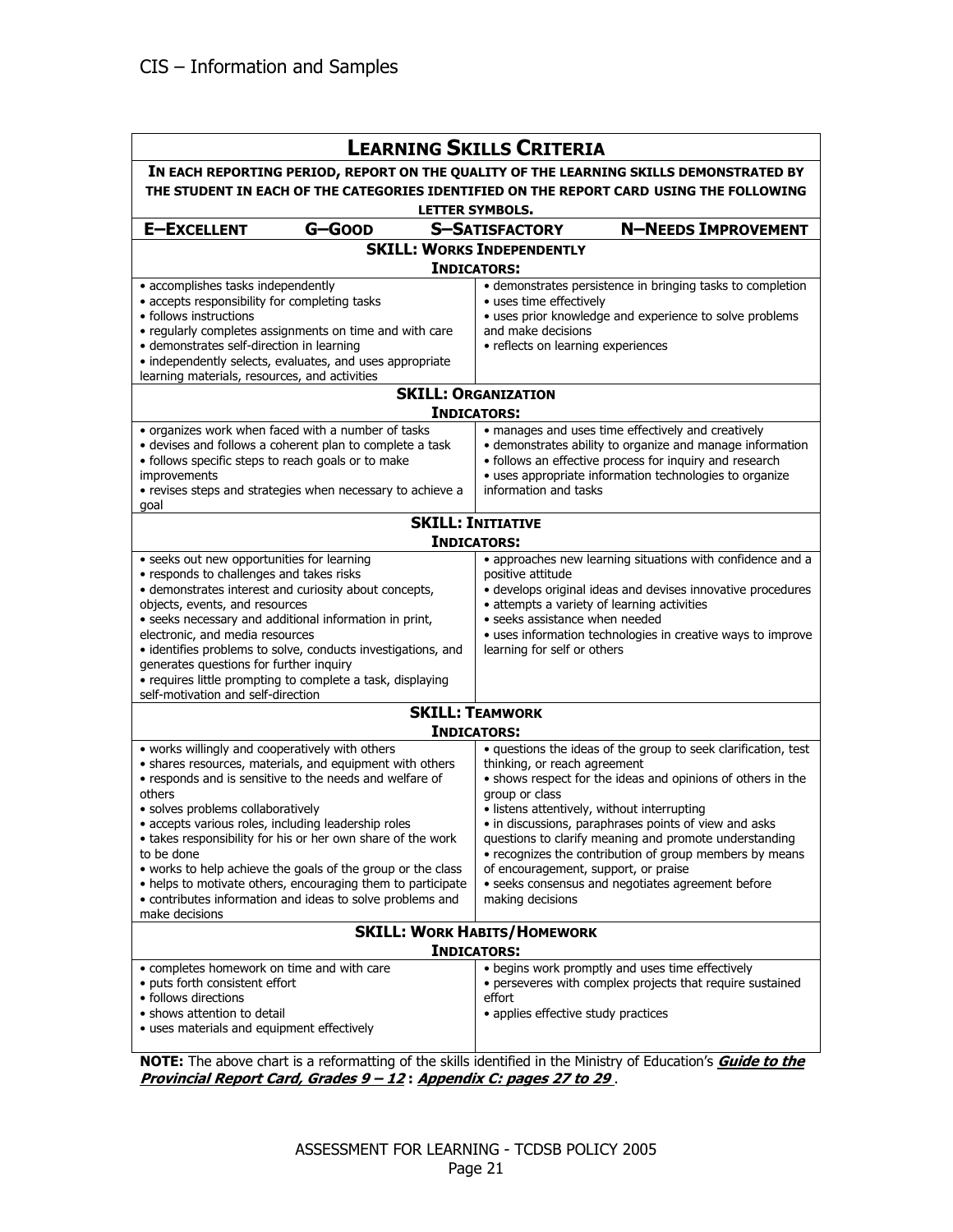|                                                                                                 | <b>LEARNING SKILLS CRITERIA</b> |  |                                                                                            |                                                                                                                   |  |  |
|-------------------------------------------------------------------------------------------------|---------------------------------|--|--------------------------------------------------------------------------------------------|-------------------------------------------------------------------------------------------------------------------|--|--|
|                                                                                                 |                                 |  |                                                                                            | IN EACH REPORTING PERIOD, REPORT ON THE QUALITY OF THE LEARNING SKILLS DEMONSTRATED BY                            |  |  |
| THE STUDENT IN EACH OF THE CATEGORIES IDENTIFIED ON THE REPORT CARD USING THE FOLLOWING         |                                 |  |                                                                                            |                                                                                                                   |  |  |
| <b>E-EXCELLENT</b>                                                                              | G-Goop                          |  | <b>LETTER SYMBOLS.</b><br><b>S-SATISFACTORY</b>                                            | <b>N-NEEDS IMPROVEMENT</b>                                                                                        |  |  |
|                                                                                                 |                                 |  | <b>SKILL: WORKS INDEPENDENTLY</b>                                                          |                                                                                                                   |  |  |
|                                                                                                 |                                 |  | <b>INDICATORS:</b>                                                                         |                                                                                                                   |  |  |
| • accomplishes tasks independently                                                              |                                 |  |                                                                                            | · demonstrates persistence in bringing tasks to completion                                                        |  |  |
| • accepts responsibility for completing tasks                                                   |                                 |  | · uses time effectively                                                                    |                                                                                                                   |  |  |
| • follows instructions<br>• regularly completes assignments on time and with care               |                                 |  | and make decisions                                                                         | • uses prior knowledge and experience to solve problems                                                           |  |  |
| · demonstrates self-direction in learning                                                       |                                 |  | • reflects on learning experiences                                                         |                                                                                                                   |  |  |
| • independently selects, evaluates, and uses appropriate                                        |                                 |  |                                                                                            |                                                                                                                   |  |  |
| learning materials, resources, and activities                                                   |                                 |  |                                                                                            |                                                                                                                   |  |  |
|                                                                                                 |                                 |  | <b>SKILL: ORGANIZATION</b><br><b>INDICATORS:</b>                                           |                                                                                                                   |  |  |
| • organizes work when faced with a number of tasks                                              |                                 |  |                                                                                            | • manages and uses time effectively and creatively                                                                |  |  |
| • devises and follows a coherent plan to complete a task                                        |                                 |  |                                                                                            | · demonstrates ability to organize and manage information                                                         |  |  |
| · follows specific steps to reach goals or to make                                              |                                 |  |                                                                                            | • follows an effective process for inquiry and research                                                           |  |  |
| improvements<br>• revises steps and strategies when necessary to achieve a                      |                                 |  | information and tasks                                                                      | • uses appropriate information technologies to organize                                                           |  |  |
| goal                                                                                            |                                 |  |                                                                                            |                                                                                                                   |  |  |
|                                                                                                 |                                 |  | <b>SKILL: INITIATIVE</b>                                                                   |                                                                                                                   |  |  |
|                                                                                                 |                                 |  | <b>INDICATORS:</b>                                                                         |                                                                                                                   |  |  |
| · seeks out new opportunities for learning<br>• responds to challenges and takes risks          |                                 |  | positive attitude                                                                          | • approaches new learning situations with confidence and a                                                        |  |  |
| · demonstrates interest and curiosity about concepts,                                           |                                 |  |                                                                                            | • develops original ideas and devises innovative procedures                                                       |  |  |
| objects, events, and resources                                                                  |                                 |  |                                                                                            | • attempts a variety of learning activities                                                                       |  |  |
| • seeks necessary and additional information in print,                                          |                                 |  | • seeks assistance when needed                                                             |                                                                                                                   |  |  |
| electronic, and media resources<br>· identifies problems to solve, conducts investigations, and |                                 |  | • uses information technologies in creative ways to improve<br>learning for self or others |                                                                                                                   |  |  |
| generates questions for further inquiry                                                         |                                 |  |                                                                                            |                                                                                                                   |  |  |
| • requires little prompting to complete a task, displaying                                      |                                 |  |                                                                                            |                                                                                                                   |  |  |
| self-motivation and self-direction<br><b>SKILL: TEAMWORK</b>                                    |                                 |  |                                                                                            |                                                                                                                   |  |  |
|                                                                                                 |                                 |  | <b>INDICATORS:</b>                                                                         |                                                                                                                   |  |  |
| • works willingly and cooperatively with others                                                 |                                 |  |                                                                                            | • questions the ideas of the group to seek clarification, test                                                    |  |  |
| · shares resources, materials, and equipment with others                                        |                                 |  | thinking, or reach agreement                                                               |                                                                                                                   |  |  |
| • responds and is sensitive to the needs and welfare of<br>others                               |                                 |  | group or class                                                                             | • shows respect for the ideas and opinions of others in the                                                       |  |  |
| • solves problems collaboratively                                                               |                                 |  |                                                                                            | • listens attentively, without interrupting                                                                       |  |  |
| · accepts various roles, including leadership roles                                             |                                 |  |                                                                                            | • in discussions, paraphrases points of view and asks                                                             |  |  |
| • takes responsibility for his or her own share of the work<br>to be done                       |                                 |  |                                                                                            | questions to clarify meaning and promote understanding<br>• recognizes the contribution of group members by means |  |  |
| • works to help achieve the goals of the group or the class                                     |                                 |  |                                                                                            | of encouragement, support, or praise                                                                              |  |  |
| • helps to motivate others, encouraging them to participate                                     |                                 |  |                                                                                            | · seeks consensus and negotiates agreement before                                                                 |  |  |
| • contributes information and ideas to solve problems and<br>make decisions                     |                                 |  | making decisions                                                                           |                                                                                                                   |  |  |
| <b>SKILL: WORK HABITS/HOMEWORK</b>                                                              |                                 |  |                                                                                            |                                                                                                                   |  |  |
|                                                                                                 |                                 |  | <b>INDICATORS:</b>                                                                         |                                                                                                                   |  |  |
| • completes homework on time and with care                                                      |                                 |  |                                                                                            | • begins work promptly and uses time effectively                                                                  |  |  |
| • puts forth consistent effort<br>· follows directions                                          |                                 |  | effort                                                                                     | • perseveres with complex projects that require sustained                                                         |  |  |
| • shows attention to detail                                                                     |                                 |  | • applies effective study practices                                                        |                                                                                                                   |  |  |
| • uses materials and equipment effectively                                                      |                                 |  |                                                                                            |                                                                                                                   |  |  |
|                                                                                                 |                                 |  |                                                                                            |                                                                                                                   |  |  |
|                                                                                                 |                                 |  |                                                                                            | NOTE: The above chart is a reformatting of the skills identified in the Ministry of Education's Guide to the      |  |  |

**Provincial Report Card, Grades 9 – 12 : Appendix C: pages 27 to 29** .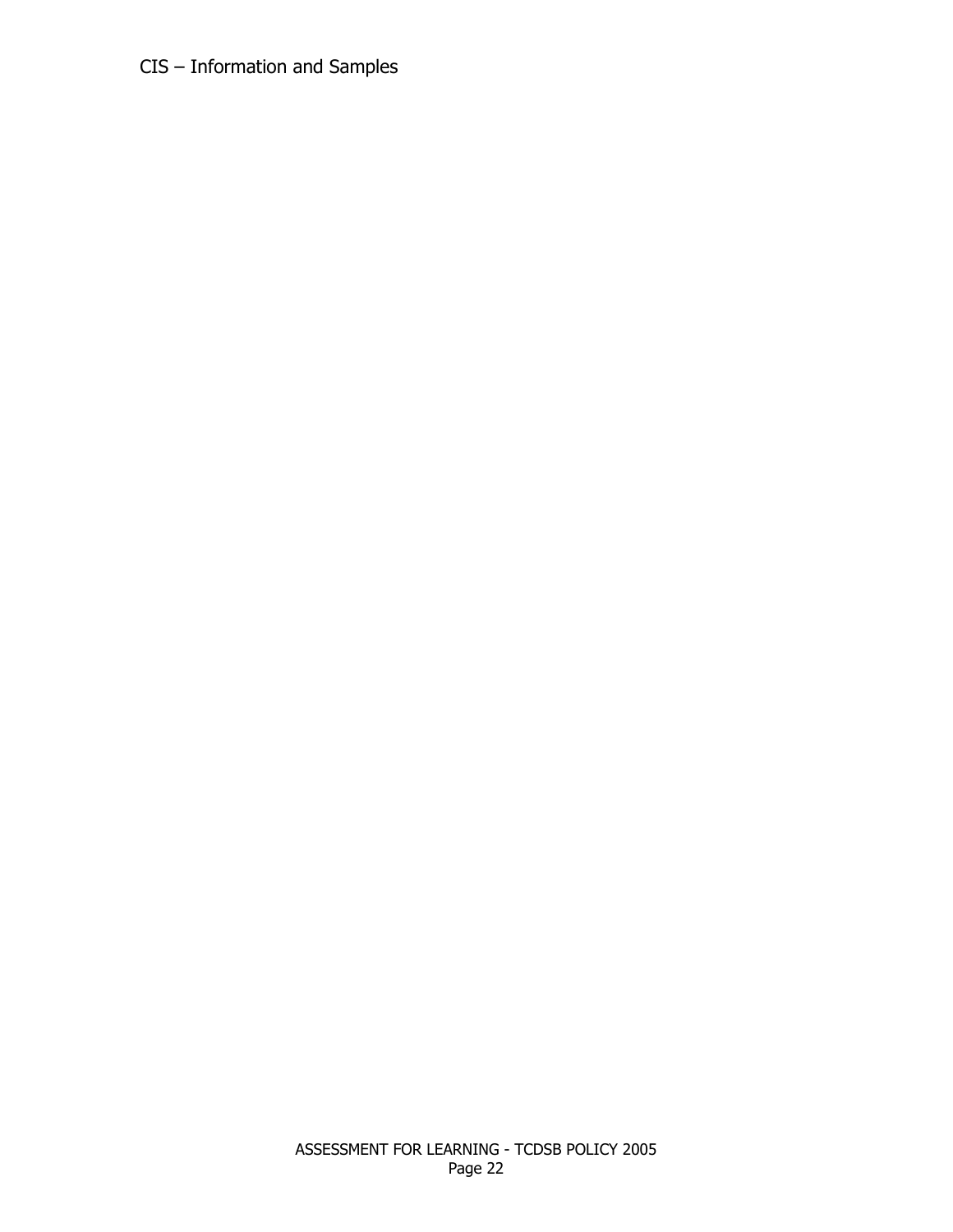## CIS – Information and Samples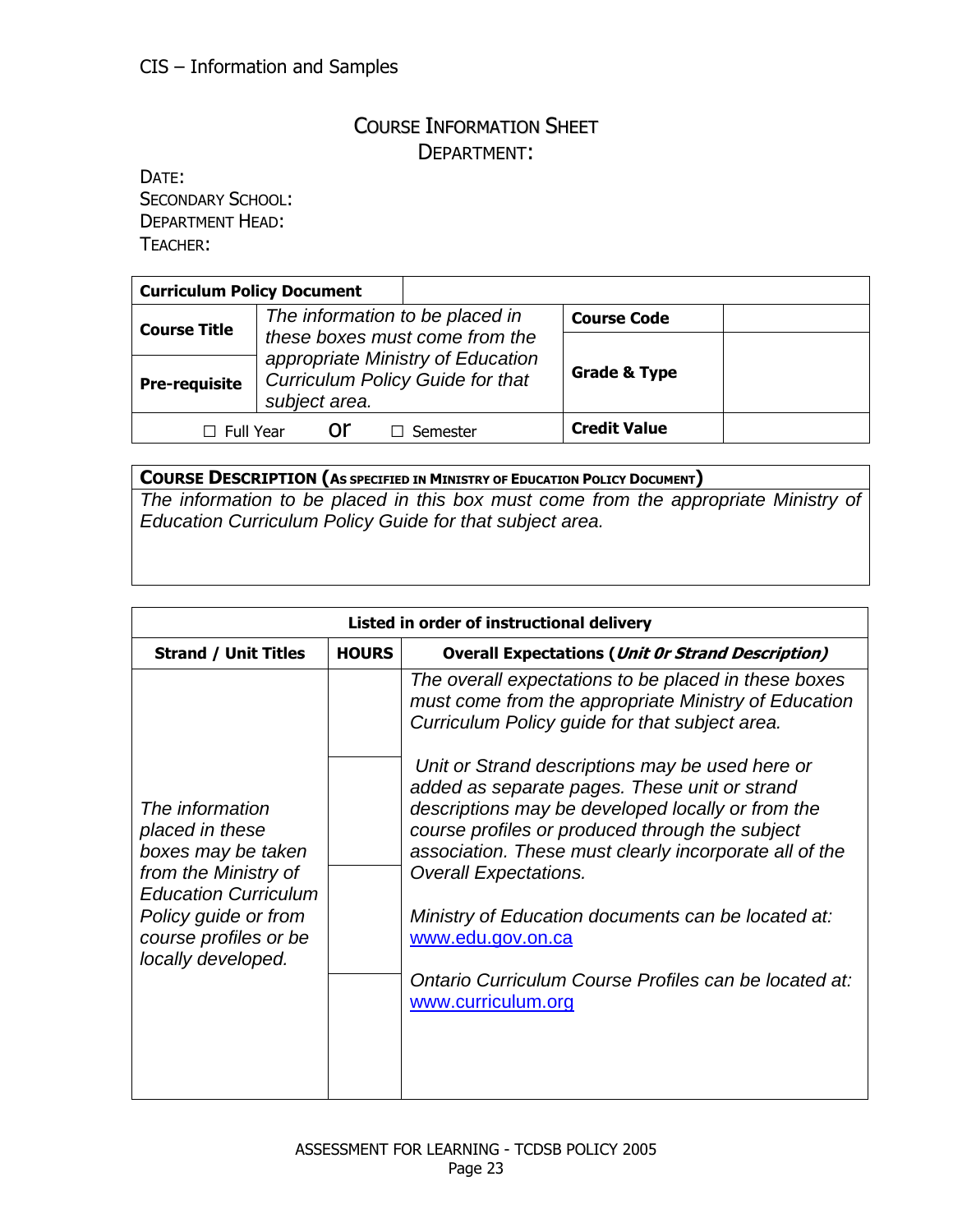## COURSE INFORMATION SHEET DEPARTMENT:

DATE: SECONDARY SCHOOL: DEPARTMENT HEAD: TEACHER:

| <b>Curriculum Policy Document</b> |                                                                                               |                                |                         |  |
|-----------------------------------|-----------------------------------------------------------------------------------------------|--------------------------------|-------------------------|--|
| <b>Course Title</b>               | The information to be placed in                                                               |                                | <b>Course Code</b>      |  |
|                                   |                                                                                               | these boxes must come from the |                         |  |
| <b>Pre-requisite</b>              | appropriate Ministry of Education<br><b>Curriculum Policy Guide for that</b><br>subject area. |                                | <b>Grade &amp; Type</b> |  |
| $\Box$ Full Year                  |                                                                                               | Semester                       | <b>Credit Value</b>     |  |

**COURSE DESCRIPTION (AS SPECIFIED IN MINISTRY OF EDUCATION POLICY DOCUMENT)**  *The information to be placed in this box must come from the appropriate Ministry of Education Curriculum Policy Guide for that subject area.*

| Listed in order of instructional delivery                                        |              |                                                                                                                                                                                                                                                                                                                                                                            |  |  |  |
|----------------------------------------------------------------------------------|--------------|----------------------------------------------------------------------------------------------------------------------------------------------------------------------------------------------------------------------------------------------------------------------------------------------------------------------------------------------------------------------------|--|--|--|
| <b>Strand / Unit Titles</b>                                                      | <b>HOURS</b> | <b>Overall Expectations (Unit Or Strand Description)</b>                                                                                                                                                                                                                                                                                                                   |  |  |  |
| The information<br>placed in these<br>boxes may be taken<br>from the Ministry of |              | The overall expectations to be placed in these boxes<br>must come from the appropriate Ministry of Education<br>Curriculum Policy guide for that subject area.<br>Unit or Strand descriptions may be used here or<br>added as separate pages. These unit or strand<br>descriptions may be developed locally or from the<br>course profiles or produced through the subject |  |  |  |
|                                                                                  |              | association. These must clearly incorporate all of the<br><b>Overall Expectations.</b>                                                                                                                                                                                                                                                                                     |  |  |  |
| <b>Education Curriculum</b>                                                      |              |                                                                                                                                                                                                                                                                                                                                                                            |  |  |  |
| Policy guide or from<br>course profiles or be<br>locally developed.              |              | Ministry of Education documents can be located at:<br>www.edu.gov.on.ca                                                                                                                                                                                                                                                                                                    |  |  |  |
|                                                                                  |              | Ontario Curriculum Course Profiles can be located at:<br>www.curriculum.org                                                                                                                                                                                                                                                                                                |  |  |  |
|                                                                                  |              |                                                                                                                                                                                                                                                                                                                                                                            |  |  |  |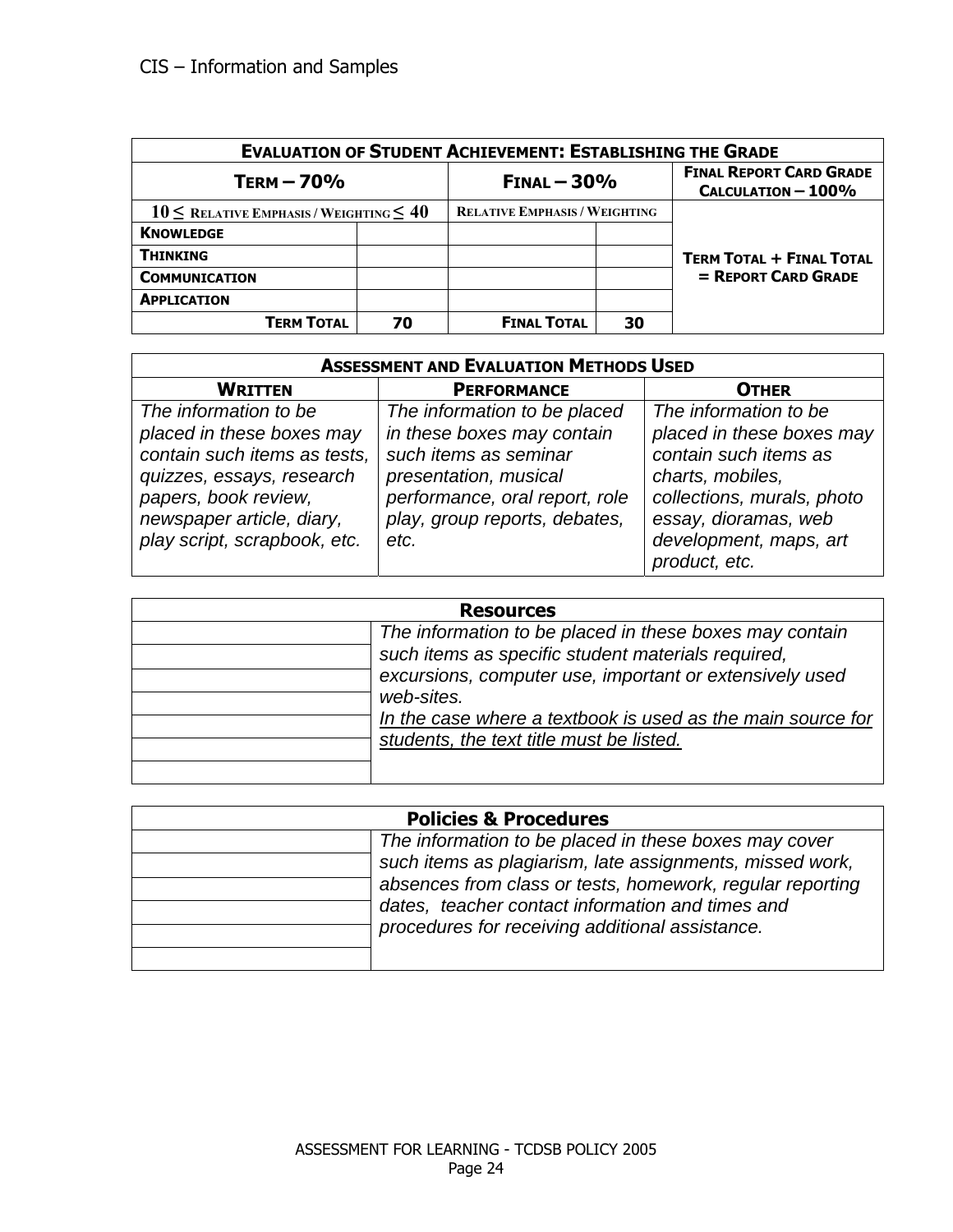| <b>EVALUATION OF STUDENT ACHIEVEMENT: ESTABLISHING THE GRADE</b> |                                                      |                                      |    |                                 |  |  |
|------------------------------------------------------------------|------------------------------------------------------|--------------------------------------|----|---------------------------------|--|--|
| $T$ ERM – 70%                                                    | <b>FINAL REPORT CARD GRADE</b><br>CALCULATION - 100% |                                      |    |                                 |  |  |
| $10 \leq$ RELATIVE EMPHASIS / WEIGHTING $\leq 40$                |                                                      | <b>RELATIVE EMPHASIS / WEIGHTING</b> |    |                                 |  |  |
| <b>KNOWLEDGE</b>                                                 |                                                      |                                      |    |                                 |  |  |
| <b>THINKING</b>                                                  |                                                      |                                      |    | <b>TERM TOTAL + FINAL TOTAL</b> |  |  |
| <b>COMMUNICATION</b>                                             |                                                      |                                      |    | $=$ REPORT CARD GRADE           |  |  |
| <b>APPLICATION</b>                                               |                                                      |                                      |    |                                 |  |  |
| <b>TERM TOTAL</b>                                                | 70                                                   | <b>FINAL TOTAL</b>                   | 30 |                                 |  |  |

| <b>ASSESSMENT AND EVALUATION METHODS USED</b>                                                                                                                                                        |                                                                                                                                                                                         |                                                                                                                                                                                                  |  |
|------------------------------------------------------------------------------------------------------------------------------------------------------------------------------------------------------|-----------------------------------------------------------------------------------------------------------------------------------------------------------------------------------------|--------------------------------------------------------------------------------------------------------------------------------------------------------------------------------------------------|--|
| <b>WRITTEN</b>                                                                                                                                                                                       | <b>PERFORMANCE</b>                                                                                                                                                                      | <b>OTHER</b>                                                                                                                                                                                     |  |
| The information to be<br>placed in these boxes may<br>contain such items as tests,<br>quizzes, essays, research<br>papers, book review,<br>newspaper article, diary,<br>play script, scrapbook, etc. | The information to be placed<br>in these boxes may contain<br>such items as seminar<br>presentation, musical<br>performance, oral report, role<br>play, group reports, debates,<br>etc. | The information to be<br>placed in these boxes may<br>contain such items as<br>charts, mobiles,<br>collections, murals, photo<br>essay, dioramas, web<br>development, maps, art<br>product, etc. |  |

| <b>Resources</b> |                                                                                                                                                                                        |  |
|------------------|----------------------------------------------------------------------------------------------------------------------------------------------------------------------------------------|--|
|                  | The information to be placed in these boxes may contain<br>such items as specific student materials required,<br>excursions, computer use, important or extensively used<br>web-sites. |  |
|                  | In the case where a textbook is used as the main source for<br>students, the text title must be listed.                                                                                |  |

| <b>Policies &amp; Procedures</b> |                                                                                                                                                                                                                                                                                       |  |
|----------------------------------|---------------------------------------------------------------------------------------------------------------------------------------------------------------------------------------------------------------------------------------------------------------------------------------|--|
|                                  | The information to be placed in these boxes may cover<br>such items as plagiarism, late assignments, missed work,<br>absences from class or tests, homework, regular reporting<br>dates, teacher contact information and times and<br>procedures for receiving additional assistance. |  |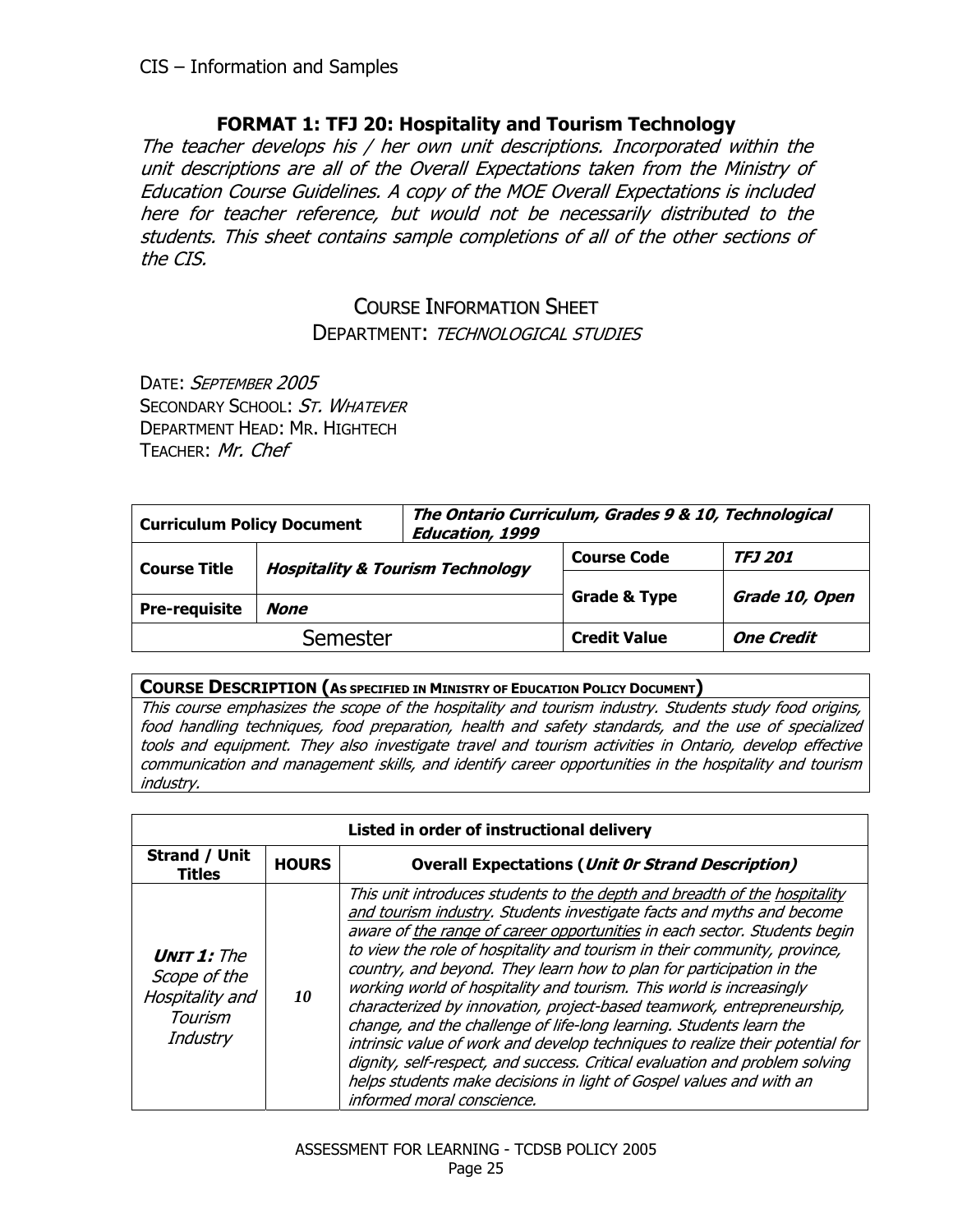#### **FORMAT 1: TFJ 20: Hospitality and Tourism Technology**

The teacher develops his / her own unit descriptions. Incorporated within the unit descriptions are all of the Overall Expectations taken from the Ministry of Education Course Guidelines. A copy of the MOE Overall Expectations is included here for teacher reference, but would not be necessarily distributed to the students. This sheet contains sample completions of all of the other sections of the CIS.

## COURSE INFORMATION SHEET DEPARTMENT: TECHNOLOGICAL STUDIES

DATE: SFPTFMBFR 2005 SECONDARY SCHOOL: ST. WHATEVER DEPARTMENT HEAD: MR. HIGHTECH TEACHER: Mr. Chef

| <b>Curriculum Policy Document</b>                                  |  | The Ontario Curriculum, Grades 9 & 10, Technological<br><b>Education, 1999</b> |                         |  |
|--------------------------------------------------------------------|--|--------------------------------------------------------------------------------|-------------------------|--|
| <b>Hospitality &amp; Tourism Technology</b><br><b>Course Title</b> |  | <b>Course Code</b>                                                             | <i><b>TFJ 201</b></i>   |  |
|                                                                    |  |                                                                                |                         |  |
| <b>Pre-requisite</b><br>None                                       |  |                                                                                | Grade 10, Open          |  |
| Semester                                                           |  | <b>Credit Value</b>                                                            | <b>One Credit</b>       |  |
|                                                                    |  |                                                                                | <b>Grade &amp; Type</b> |  |

**COURSE DESCRIPTION (AS SPECIFIED IN MINISTRY OF EDUCATION POLICY DOCUMENT)** 

This course emphasizes the scope of the hospitality and tourism industry. Students study food origins, food handling techniques, food preparation, health and safety standards, and the use of specialized tools and equipment. They also investigate travel and tourism activities in Ontario, develop effective communication and management skills, and identify career opportunities in the hospitality and tourism industry.

| Listed in order of instructional delivery                                    |                                                                          |                                                                                                                                                                                                                                                                                                                                                                                                                                                                                                                                                                                                                                                                                                                                                                                                                                                                                    |  |
|------------------------------------------------------------------------------|--------------------------------------------------------------------------|------------------------------------------------------------------------------------------------------------------------------------------------------------------------------------------------------------------------------------------------------------------------------------------------------------------------------------------------------------------------------------------------------------------------------------------------------------------------------------------------------------------------------------------------------------------------------------------------------------------------------------------------------------------------------------------------------------------------------------------------------------------------------------------------------------------------------------------------------------------------------------|--|
| <b>Strand / Unit</b><br><b>Titles</b>                                        | <b>HOURS</b><br><b>Overall Expectations (Unit Or Strand Description)</b> |                                                                                                                                                                                                                                                                                                                                                                                                                                                                                                                                                                                                                                                                                                                                                                                                                                                                                    |  |
| <b>UNIT 1: The</b><br>Scope of the<br>Hospitality and<br>Tourism<br>Industry | 10                                                                       | This unit introduces students to the depth and breadth of the hospitality<br>and tourism industry. Students investigate facts and myths and become<br>aware of the range of career opportunities in each sector. Students begin<br>to view the role of hospitality and tourism in their community, province,<br>country, and beyond. They learn how to plan for participation in the<br>working world of hospitality and tourism. This world is increasingly<br>characterized by innovation, project-based teamwork, entrepreneurship,<br>change, and the challenge of life-long learning. Students learn the<br>intrinsic value of work and develop techniques to realize their potential for<br>dignity, self-respect, and success. Critical evaluation and problem solving<br>helps students make decisions in light of Gospel values and with an<br>informed moral conscience. |  |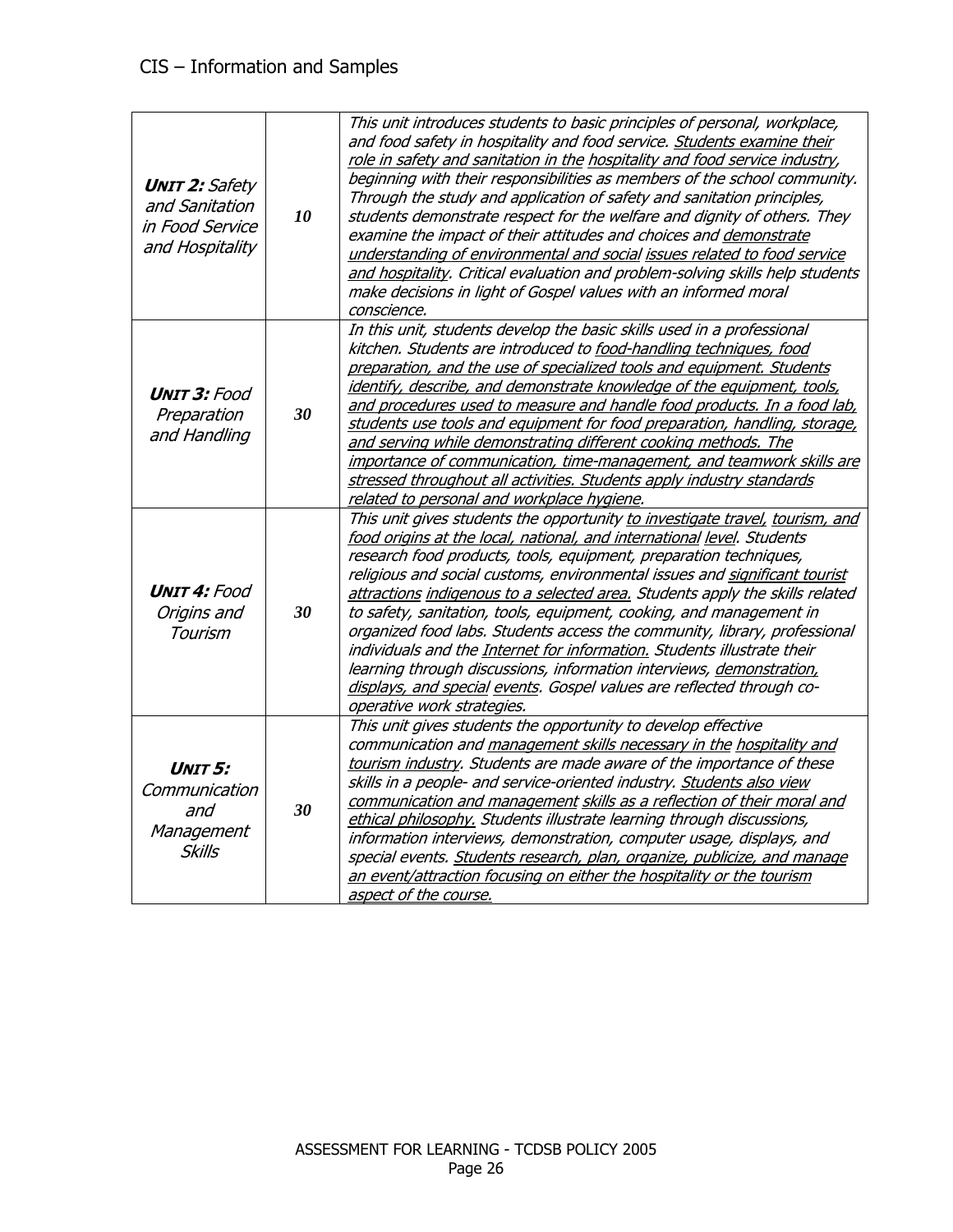| <b>UNIT 2: Safety</b><br>and Sanitation<br>in Food Service<br>and Hospitality | 10 | This unit introduces students to basic principles of personal, workplace,<br>and food safety in hospitality and food service. Students examine their<br>role in safety and sanitation in the hospitality and food service industry,<br>beginning with their responsibilities as members of the school community.<br>Through the study and application of safety and sanitation principles,<br>students demonstrate respect for the welfare and dignity of others. They<br>examine the impact of their attitudes and choices and demonstrate<br>understanding of environmental and social issues related to food service<br>and hospitality. Critical evaluation and problem-solving skills help students<br>make decisions in light of Gospel values with an informed moral<br>conscience.              |
|-------------------------------------------------------------------------------|----|---------------------------------------------------------------------------------------------------------------------------------------------------------------------------------------------------------------------------------------------------------------------------------------------------------------------------------------------------------------------------------------------------------------------------------------------------------------------------------------------------------------------------------------------------------------------------------------------------------------------------------------------------------------------------------------------------------------------------------------------------------------------------------------------------------|
| <b>UNIT 3: Food</b><br>Preparation<br>and Handling                            | 30 | In this unit, students develop the basic skills used in a professional<br>kitchen. Students are introduced to food-handling techniques, food<br>preparation, and the use of specialized tools and equipment. Students<br>identify, describe, and demonstrate knowledge of the equipment, tools,<br>and procedures used to measure and handle food products. In a food lab,<br>students use tools and equipment for food preparation, handling, storage,<br>and serving while demonstrating different cooking methods. The<br>importance of communication, time-management, and teamwork skills are<br>stressed throughout all activities. Students apply industry standards<br>related to personal and workplace hygiene.                                                                               |
| <b>UNIT 4: Food</b><br>Origins and<br><b>Tourism</b>                          | 30 | This unit gives students the opportunity to investigate travel, tourism, and<br>food origins at the local, national, and international level. Students<br>research food products, tools, equipment, preparation techniques,<br>religious and social customs, environmental issues and significant tourist<br>attractions indigenous to a selected area. Students apply the skills related<br>to safety, sanitation, tools, equipment, cooking, and management in<br>organized food labs. Students access the community, library, professional<br>individuals and the Internet for information. Students illustrate their<br>learning through discussions, information interviews, demonstration,<br>displays, and special events. Gospel values are reflected through co-<br>operative work strategies. |
| <b>UNIT 5:</b><br>Communication<br>and<br>Management<br><b>Skills</b>         | 30 | This unit gives students the opportunity to develop effective<br>communication and management skills necessary in the hospitality and<br>tourism industry. Students are made aware of the importance of these<br>skills in a people- and service-oriented industry. Students also view<br>communication and management skills as a reflection of their moral and<br>ethical philosophy. Students illustrate learning through discussions,<br>information interviews, demonstration, computer usage, displays, and<br>special events. Students research, plan, organize, publicize, and manage<br>an event/attraction focusing on either the hospitality or the tourism<br>aspect of the course.                                                                                                         |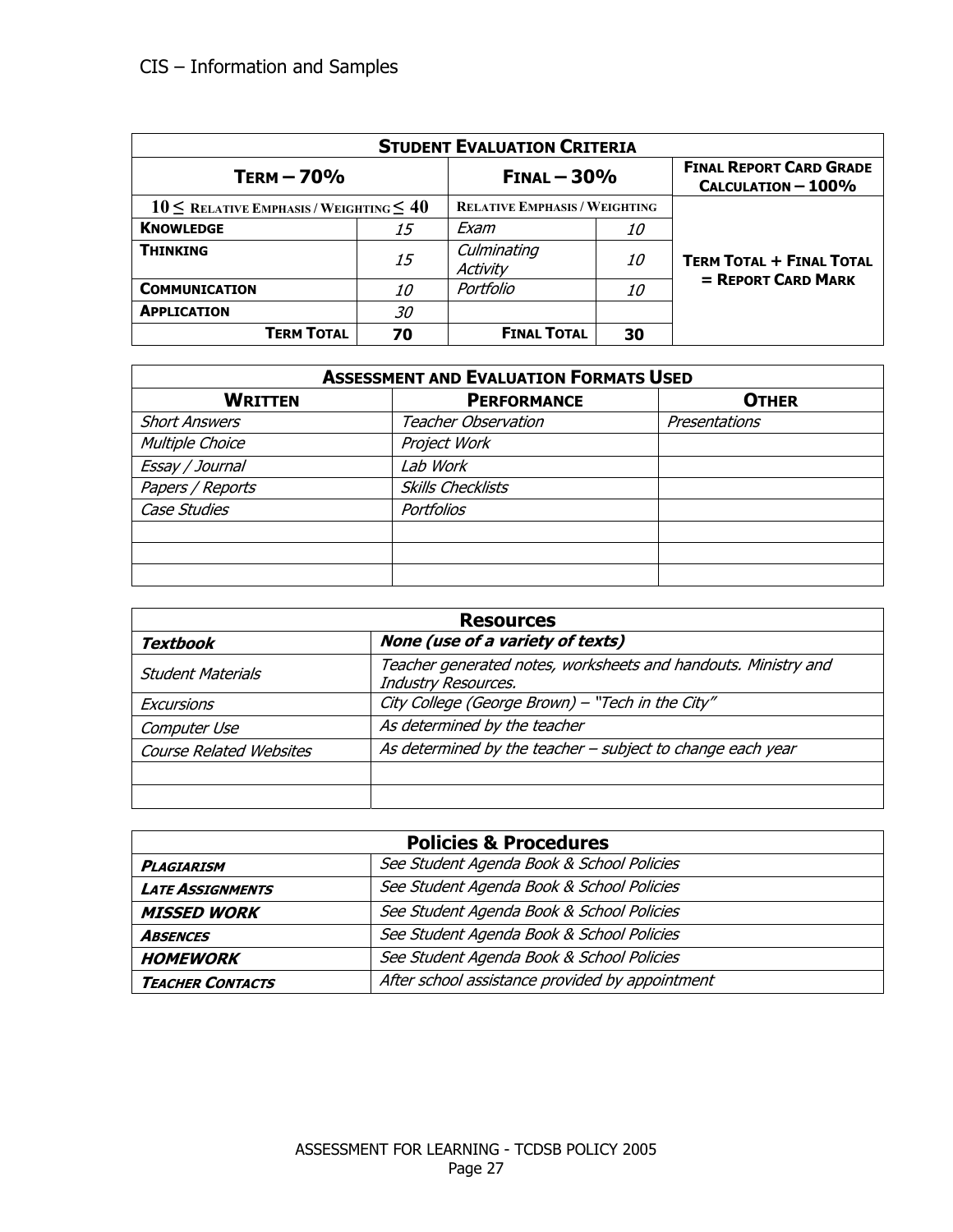## CIS – Information and Samples

| <b>STUDENT EVALUATION CRITERIA</b>                                                     |           |                                      |           |                                 |  |
|----------------------------------------------------------------------------------------|-----------|--------------------------------------|-----------|---------------------------------|--|
| <b>FINAL REPORT CARD GRADE</b><br>$FINAL - 30%$<br>$T$ ERM – 70%<br>CALCULATION - 100% |           |                                      |           |                                 |  |
| $10 \leq$ RELATIVE EMPHASIS / WEIGHTING $\leq 40$                                      |           | <b>RELATIVE EMPHASIS / WEIGHTING</b> |           |                                 |  |
| <b>KNOWLEDGE</b>                                                                       | 15        | Exam                                 | <i>10</i> |                                 |  |
| <b>THINKING</b>                                                                        | 15        | Culminating<br>Activity              | <i>10</i> | <b>TERM TOTAL + FINAL TOTAL</b> |  |
| <b>COMMUNICATION</b>                                                                   | <i>10</i> | Portfolio                            | <i>10</i> | $=$ REPORT CARD MARK            |  |
| <b>APPLICATION</b>                                                                     | 30        |                                      |           |                                 |  |
| <b>TERM TOTAL</b>                                                                      | 70        | <b>FINAL TOTAL</b>                   | 30        |                                 |  |

| <b>ASSESSMENT AND EVALUATION FORMATS USED</b> |                            |               |  |
|-----------------------------------------------|----------------------------|---------------|--|
| <b>WRITTEN</b>                                | <b>PERFORMANCE</b>         | <b>OTHER</b>  |  |
| <b>Short Answers</b>                          | <b>Teacher Observation</b> | Presentations |  |
| Multiple Choice                               | Project Work               |               |  |
| Essay / Journal                               | Lab Work                   |               |  |
| Papers / Reports                              | <b>Skills Checklists</b>   |               |  |
| Case Studies                                  | <b>Portfolios</b>          |               |  |
|                                               |                            |               |  |
|                                               |                            |               |  |
|                                               |                            |               |  |

| <b>Resources</b>               |                                                                                       |  |  |
|--------------------------------|---------------------------------------------------------------------------------------|--|--|
| Textbook                       | None (use of a variety of texts)                                                      |  |  |
| <b>Student Materials</b>       | Teacher generated notes, worksheets and handouts. Ministry and<br>Industry Resources. |  |  |
| Excursions                     | City College (George Brown) - "Tech in the City"                                      |  |  |
| Computer Use                   | As determined by the teacher                                                          |  |  |
| <b>Course Related Websites</b> | As determined by the teacher $-$ subject to change each year                          |  |  |
|                                |                                                                                       |  |  |
|                                |                                                                                       |  |  |

| <b>Policies &amp; Procedures</b> |                                                 |  |
|----------------------------------|-------------------------------------------------|--|
| <b>PLAGIARISM</b>                | See Student Agenda Book & School Policies       |  |
| <b>LATE ASSIGNMENTS</b>          | See Student Agenda Book & School Policies       |  |
| <b>MISSED WORK</b>               | See Student Agenda Book & School Policies       |  |
| <b>ABSENCES</b>                  | See Student Agenda Book & School Policies       |  |
| <b>HOMEWORK</b>                  | See Student Agenda Book & School Policies       |  |
| <b>TEACHER CONTACTS</b>          | After school assistance provided by appointment |  |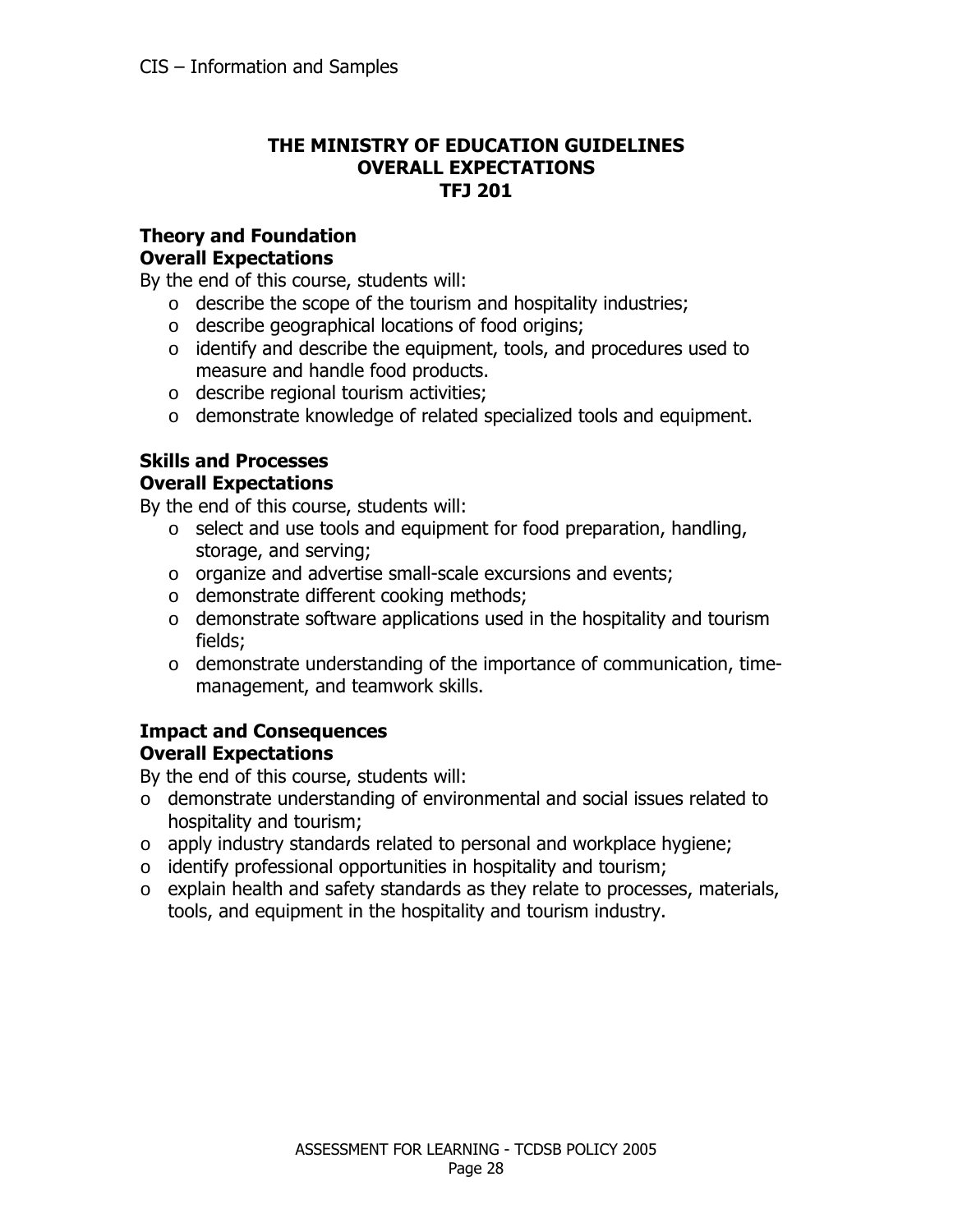#### **THE MINISTRY OF EDUCATION GUIDELINES OVERALL EXPECTATIONS TFJ 201**

# **Theory and Foundation**

#### **Overall Expectations**

By the end of this course, students will:

- o describe the scope of the tourism and hospitality industries;
- o describe geographical locations of food origins;
- $\circ$  identify and describe the equipment, tools, and procedures used to measure and handle food products.
- o describe regional tourism activities;
- o demonstrate knowledge of related specialized tools and equipment.

# **Skills and Processes**

#### **Overall Expectations**

By the end of this course, students will:

- o select and use tools and equipment for food preparation, handling, storage, and serving;
- o organize and advertise small-scale excursions and events;
- o demonstrate different cooking methods;
- o demonstrate software applications used in the hospitality and tourism fields;
- o demonstrate understanding of the importance of communication, timemanagement, and teamwork skills.

#### **Impact and Consequences Overall Expectations**

By the end of this course, students will:

- o demonstrate understanding of environmental and social issues related to hospitality and tourism;
- o apply industry standards related to personal and workplace hygiene;
- o identify professional opportunities in hospitality and tourism;
- o explain health and safety standards as they relate to processes, materials, tools, and equipment in the hospitality and tourism industry.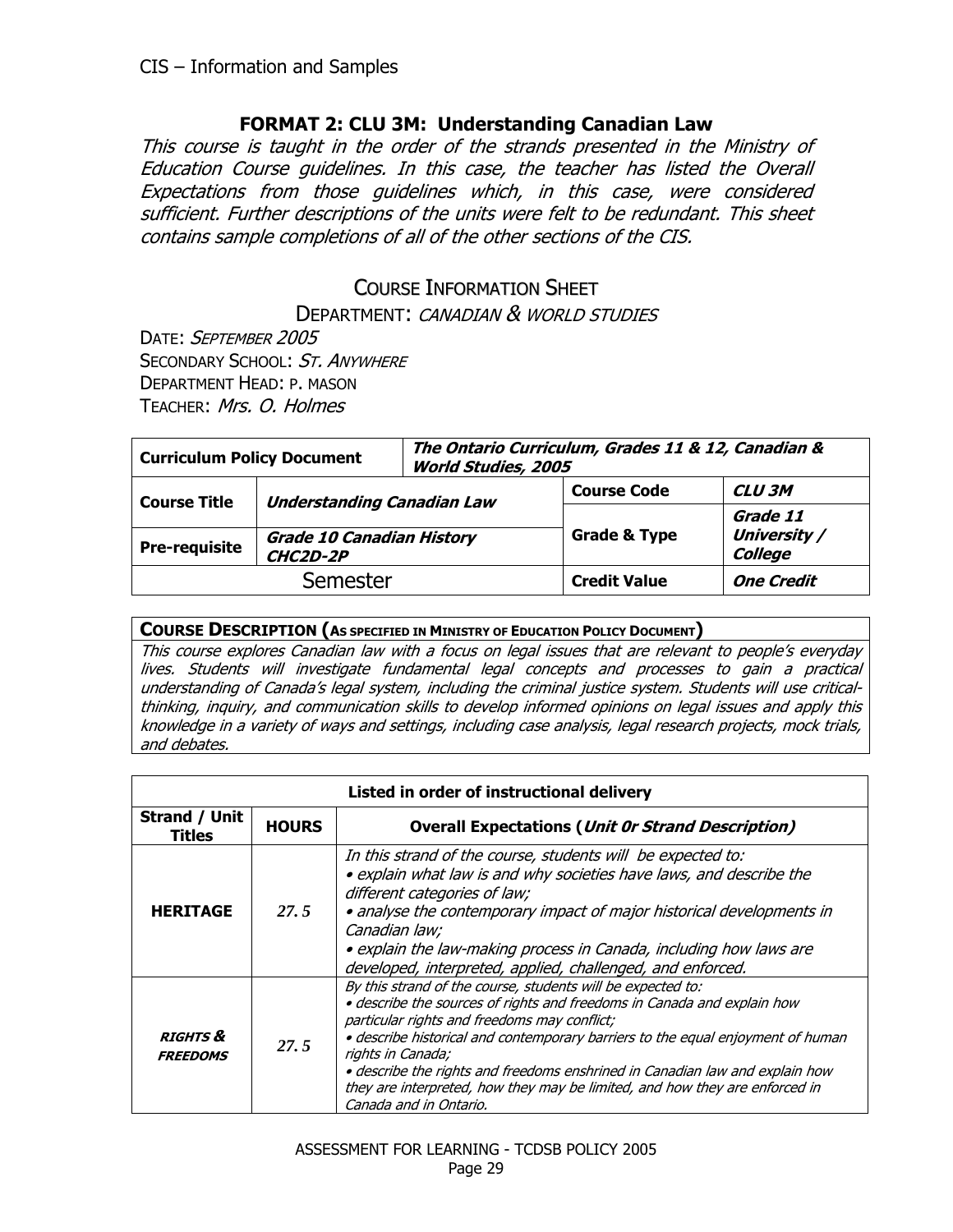#### **FORMAT 2: CLU 3M: Understanding Canadian Law**

This course is taught in the order of the strands presented in the Ministry of Education Course guidelines. In this case, the teacher has listed the Overall Expectations from those guidelines which, in this case, were considered sufficient. Further descriptions of the units were felt to be redundant. This sheet contains sample completions of all of the other sections of the CIS.

#### COURSE INFORMATION SHEET

DEPARTMENT: CANADIAN & WORLD STUDIES

DATE: SEPTEMBER 2005 SECONDARY SCHOOL: ST. ANYWHERE DEPARTMENT HEAD: P. MASON TEACHER: Mrs. O. Holmes

| <b>Curriculum Policy Document</b>                                    |  | The Ontario Curriculum, Grades 11 & 12, Canadian &<br><b>World Studies, 2005</b> |                         |                   |
|----------------------------------------------------------------------|--|----------------------------------------------------------------------------------|-------------------------|-------------------|
| <b>Understanding Canadian Law</b><br><b>Course Title</b>             |  |                                                                                  | <b>Course Code</b>      | <b>CLU 3M</b>     |
|                                                                      |  |                                                                                  |                         | Grade 11          |
| <b>Grade 10 Canadian History</b><br><b>Pre-requisite</b><br>CHC2D-2P |  | <b>Grade &amp; Type</b>                                                          | University /<br>College |                   |
| Semester                                                             |  |                                                                                  | <b>Credit Value</b>     | <b>One Credit</b> |

#### **COURSE DESCRIPTION (AS SPECIFIED IN MINISTRY OF EDUCATION POLICY DOCUMENT)**

This course explores Canadian law with a focus on legal issues that are relevant to people's everyday lives. Students will investigate fundamental legal concepts and processes to gain a practical understanding of Canada's legal system, including the criminal justice system. Students will use criticalthinking, inquiry, and communication skills to develop informed opinions on legal issues and apply this knowledge in a variety of ways and settings, including case analysis, legal research projects, mock trials, and debates.

| Listed in order of instructional delivery |              |                                                                                                                                                                                                                                                                                                                                                                                                                                                                                         |  |  |
|-------------------------------------------|--------------|-----------------------------------------------------------------------------------------------------------------------------------------------------------------------------------------------------------------------------------------------------------------------------------------------------------------------------------------------------------------------------------------------------------------------------------------------------------------------------------------|--|--|
| Strand / Unit<br><b>Titles</b>            | <b>HOURS</b> | <b>Overall Expectations (Unit Or Strand Description)</b>                                                                                                                                                                                                                                                                                                                                                                                                                                |  |  |
| <b>HERITAGE</b>                           | 27.5         | In this strand of the course, students will be expected to:<br>. explain what law is and why societies have laws, and describe the<br>different categories of law;<br>• analyse the contemporary impact of major historical developments in<br>Canadian law;<br>• explain the law-making process in Canada, including how laws are<br>developed, interpreted, applied, challenged, and enforced.                                                                                        |  |  |
| <b>RIGHTS &amp;</b><br><b>FREEDOMS</b>    | 27.5         | By this strand of the course, students will be expected to:<br>· describe the sources of rights and freedoms in Canada and explain how<br>particular rights and freedoms may conflict;<br>• describe historical and contemporary barriers to the equal enjoyment of human<br>rights in Canada;<br>• describe the rights and freedoms enshrined in Canadian law and explain how<br>they are interpreted, how they may be limited, and how they are enforced in<br>Canada and in Ontario. |  |  |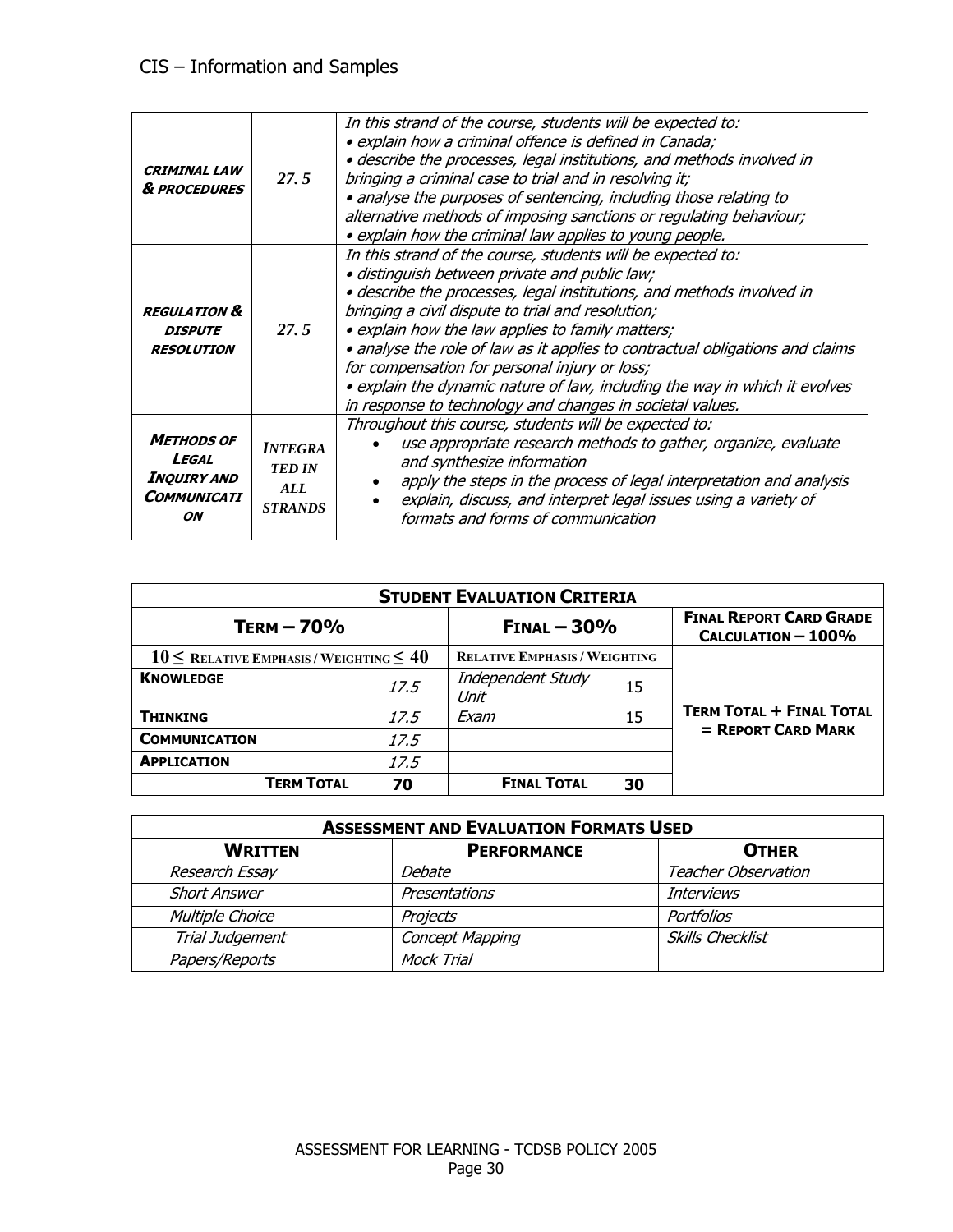| <b>CRIMINAL LAW</b><br><b>&amp; PROCEDURES</b>                        | 27.5                                                     | In this strand of the course, students will be expected to:<br>• explain how a criminal offence is defined in Canada;<br>· describe the processes, legal institutions, and methods involved in<br>bringing a criminal case to trial and in resolving it;<br>• analyse the purposes of sentencing, including those relating to<br>alternative methods of imposing sanctions or regulating behaviour;<br>• explain how the criminal law applies to young people.                                                                                                              |  |  |
|-----------------------------------------------------------------------|----------------------------------------------------------|-----------------------------------------------------------------------------------------------------------------------------------------------------------------------------------------------------------------------------------------------------------------------------------------------------------------------------------------------------------------------------------------------------------------------------------------------------------------------------------------------------------------------------------------------------------------------------|--|--|
| <b>REGULATION &amp;</b><br><b>DISPUTE</b><br><b>RESOLUTION</b>        | 27.5                                                     | In this strand of the course, students will be expected to:<br>· distinguish between private and public law;<br>· describe the processes, legal institutions, and methods involved in<br>bringing a civil dispute to trial and resolution;<br>• explain how the law applies to family matters;<br>• analyse the role of law as it applies to contractual obligations and claims<br>for compensation for personal injury or loss;<br>• explain the dynamic nature of law, including the way in which it evolves<br>in response to technology and changes in societal values. |  |  |
| <b>METHODS OF</b><br>LEGAL<br><b>INQUIRY AND</b><br>COMMUNICATI<br>ON | <b>INTEGRA</b><br><b>TED IN</b><br>ALL<br><b>STRANDS</b> | Throughout this course, students will be expected to:<br>use appropriate research methods to gather, organize, evaluate<br>and synthesize information<br>apply the steps in the process of legal interpretation and analysis<br>explain, discuss, and interpret legal issues using a variety of<br>formats and forms of communication                                                                                                                                                                                                                                       |  |  |

|                                                   |      | <b>STUDENT EVALUATION CRITERIA</b>   |    |                                                      |
|---------------------------------------------------|------|--------------------------------------|----|------------------------------------------------------|
| $T$ ERM $-$ 70%                                   |      | $FinAL - 30%$                        |    | <b>FINAL REPORT CARD GRADE</b><br>CALCULATION - 100% |
| $10 \leq$ RELATIVE EMPHASIS / WEIGHTING $\leq 40$ |      | <b>RELATIVE EMPHASIS / WEIGHTING</b> |    |                                                      |
| <b>KNOWLEDGE</b>                                  | 17.5 | Independent Study<br>Unit            | 15 |                                                      |
| <b>THINKING</b>                                   | 17.5 | Exam                                 | 15 | <b>TERM TOTAL + FINAL TOTAL</b>                      |
| <b>COMMUNICATION</b>                              | 17.5 |                                      |    | $=$ REPORT CARD MARK                                 |
| <b>APPLICATION</b>                                | 17.5 |                                      |    |                                                      |
| <b>TERM TOTAL</b>                                 | 70   | <b>FINAL TOTAL</b>                   | 30 |                                                      |

| <b>ASSESSMENT AND EVALUATION FORMATS USED</b> |                    |                            |  |
|-----------------------------------------------|--------------------|----------------------------|--|
| <b>WRITTEN</b>                                | <b>PERFORMANCE</b> | <b>OTHER</b>               |  |
| Research Essay                                | Debate             | <b>Teacher Observation</b> |  |
| <b>Short Answer</b>                           | Presentations      | <b>Interviews</b>          |  |
| Multiple Choice                               | Projects           | <b>Portfolios</b>          |  |
| Trial Judgement                               | Concept Mapping    | <b>Skills Checklist</b>    |  |
| Papers/Reports                                | <b>Mock Trial</b>  |                            |  |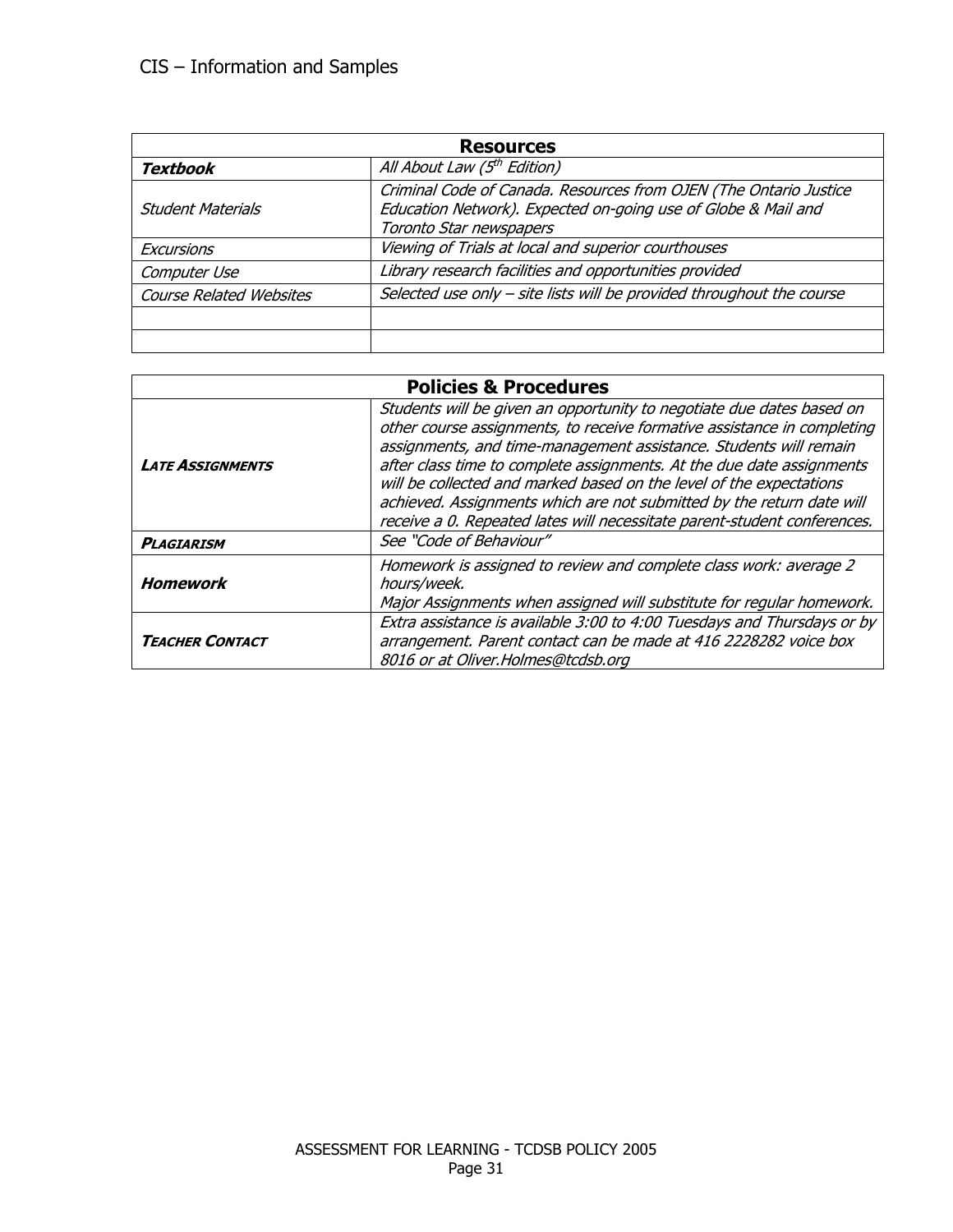## CIS – Information and Samples

| <b>Resources</b>               |                                                                                                                                                               |  |  |
|--------------------------------|---------------------------------------------------------------------------------------------------------------------------------------------------------------|--|--|
| Textbook                       | All About Law (5 <sup>th</sup> Edition)                                                                                                                       |  |  |
| Student Materials              | Criminal Code of Canada. Resources from OJEN (The Ontario Justice<br>Education Network). Expected on-going use of Globe & Mail and<br>Toronto Star newspapers |  |  |
| Excursions                     | Viewing of Trials at local and superior courthouses                                                                                                           |  |  |
| Computer Use                   | Library research facilities and opportunities provided                                                                                                        |  |  |
| <b>Course Related Websites</b> | Selected use only - site lists will be provided throughout the course                                                                                         |  |  |
|                                |                                                                                                                                                               |  |  |

|                         | <b>Policies &amp; Procedures</b>                                                                                                                                                                                                                                                                                                                                                                                                                                                                                           |
|-------------------------|----------------------------------------------------------------------------------------------------------------------------------------------------------------------------------------------------------------------------------------------------------------------------------------------------------------------------------------------------------------------------------------------------------------------------------------------------------------------------------------------------------------------------|
| <b>LATE ASSIGNMENTS</b> | Students will be given an opportunity to negotiate due dates based on<br>other course assignments, to receive formative assistance in completing<br>assignments, and time-management assistance. Students will remain<br>after class time to complete assignments. At the due date assignments<br>will be collected and marked based on the level of the expectations<br>achieved. Assignments which are not submitted by the return date will<br>receive a 0. Repeated lates will necessitate parent-student conferences. |
| PLAGIARISM              | See "Code of Behaviour"                                                                                                                                                                                                                                                                                                                                                                                                                                                                                                    |
| <b>Homework</b>         | Homework is assigned to review and complete class work: average 2<br>hours/week.<br>Major Assignments when assigned will substitute for regular homework.                                                                                                                                                                                                                                                                                                                                                                  |
| <b>TEACHER CONTACT</b>  | Extra assistance is available 3:00 to 4:00 Tuesdays and Thursdays or by<br>arrangement. Parent contact can be made at 416 2228282 voice box<br>8016 or at Oliver.Holmes@tcdsb.org                                                                                                                                                                                                                                                                                                                                          |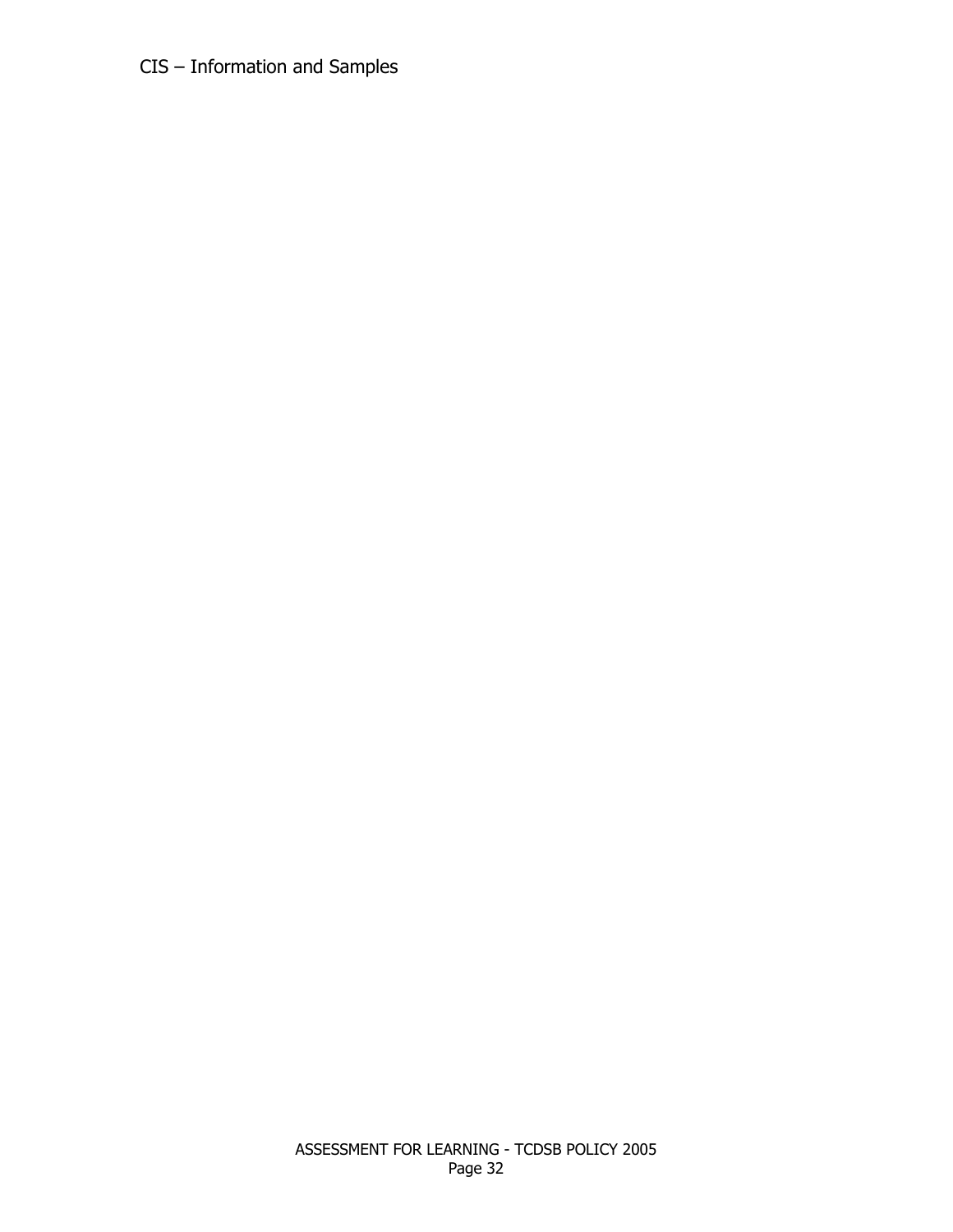## CIS – Information and Samples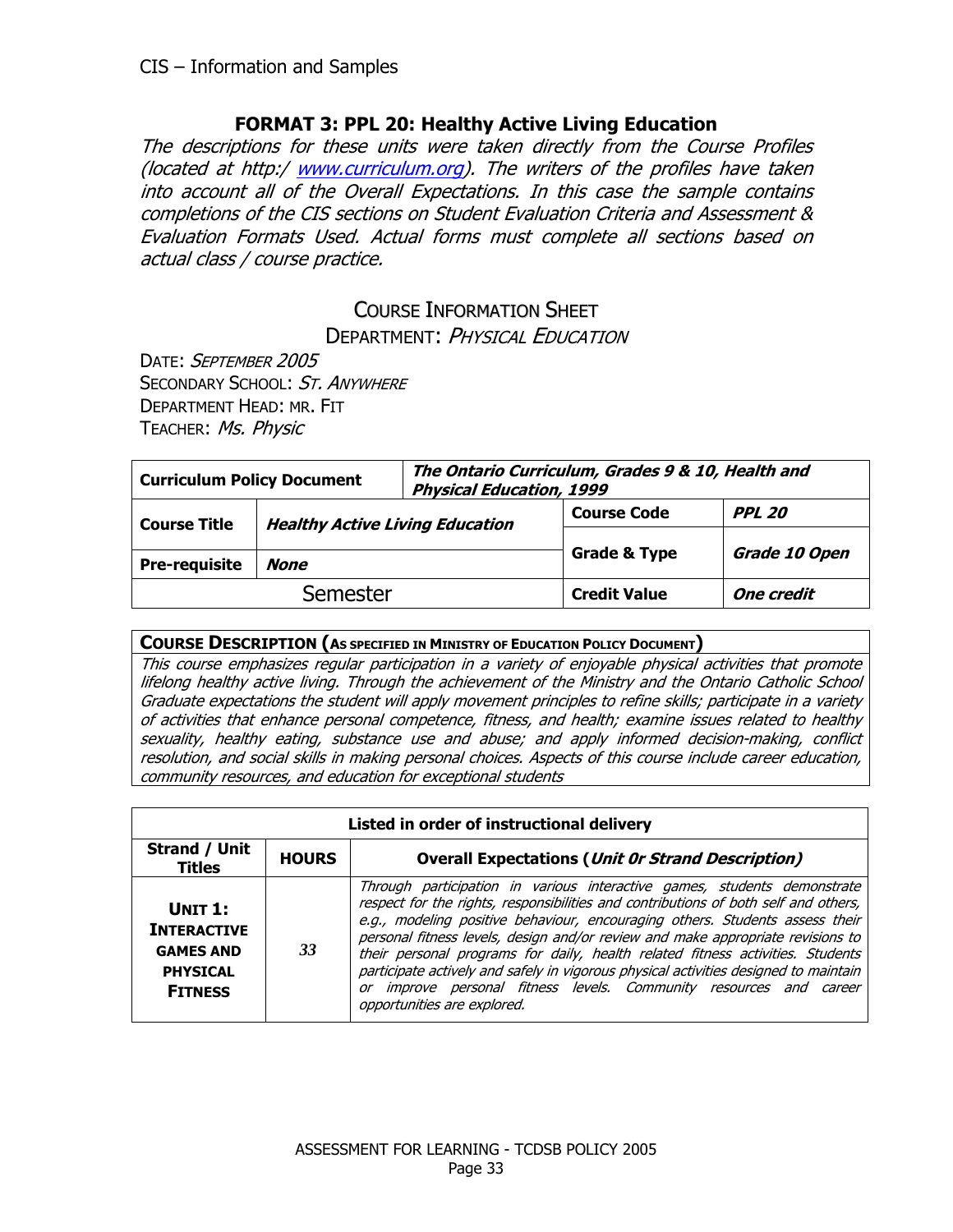#### **FORMAT 3: PPL 20: Healthy Active Living Education**

The descriptions for these units were taken directly from the Course Profiles (located at http:/ www.curriculum.org). The writers of the profiles have taken into account all of the Overall Expectations. In this case the sample contains completions of the CIS sections on Student Evaluation Criteria and Assessment & Evaluation Formats Used. Actual forms must complete all sections based on actual class / course practice.

#### COURSE INFORMATION SHEET DEPARTMENT: PHYSICAL FOLICATION

DATE: SEPTEMBER 2005 SECONDARY SCHOOL: ST. ANYWHERE DEPARTMENT HEAD: MR. FIT TEACHER: Ms. Physic

| <b>Curriculum Policy Document</b> |                                        | The Ontario Curriculum, Grades 9 & 10, Health and<br><b>Physical Education, 1999</b> |                         |               |
|-----------------------------------|----------------------------------------|--------------------------------------------------------------------------------------|-------------------------|---------------|
| <b>Course Title</b>               | <b>Healthy Active Living Education</b> |                                                                                      | <b>Course Code</b>      | <b>PPL 20</b> |
|                                   |                                        |                                                                                      |                         |               |
| <b>Pre-requisite</b>              | None                                   |                                                                                      | <b>Grade &amp; Type</b> | Grade 10 Open |
| Semester                          |                                        |                                                                                      | <b>Credit Value</b>     | One credit    |

#### **COURSE DESCRIPTION (AS SPECIFIED IN MINISTRY OF EDUCATION POLICY DOCUMENT)**

This course emphasizes regular participation in a variety of enjoyable physical activities that promote lifelong healthy active living. Through the achievement of the Ministry and the Ontario Catholic School Graduate expectations the student will apply movement principles to refine skills; participate in a variety of activities that enhance personal competence, fitness, and health; examine issues related to healthy sexuality, healthy eating, substance use and abuse; and apply informed decision-making, conflict resolution, and social skills in making personal choices. Aspects of this course include career education, community resources, and education for exceptional students

| Listed in order of instructional delivery                                                |                                                                          |                                                                                                                                                                                                                                                                                                                                                                                                                                                                                                                                                                                                                   |  |
|------------------------------------------------------------------------------------------|--------------------------------------------------------------------------|-------------------------------------------------------------------------------------------------------------------------------------------------------------------------------------------------------------------------------------------------------------------------------------------------------------------------------------------------------------------------------------------------------------------------------------------------------------------------------------------------------------------------------------------------------------------------------------------------------------------|--|
| <b>Strand / Unit</b><br>Titles                                                           | <b>Overall Expectations (Unit Or Strand Description)</b><br><b>HOURS</b> |                                                                                                                                                                                                                                                                                                                                                                                                                                                                                                                                                                                                                   |  |
| UNIT $1:$<br><b>INTERACTIVE</b><br><b>GAMES AND</b><br><b>PHYSICAL</b><br><b>FITNESS</b> | 33                                                                       | Through participation in various interactive games, students demonstrate<br>respect for the rights, responsibilities and contributions of both self and others,<br>e.g., modeling positive behaviour, encouraging others. Students assess their<br>personal fitness levels, design and/or review and make appropriate revisions to<br>their personal programs for daily, health related fitness activities. Students<br>participate actively and safely in vigorous physical activities designed to maintain<br>or improve personal fitness levels. Community resources and career<br>opportunities are explored. |  |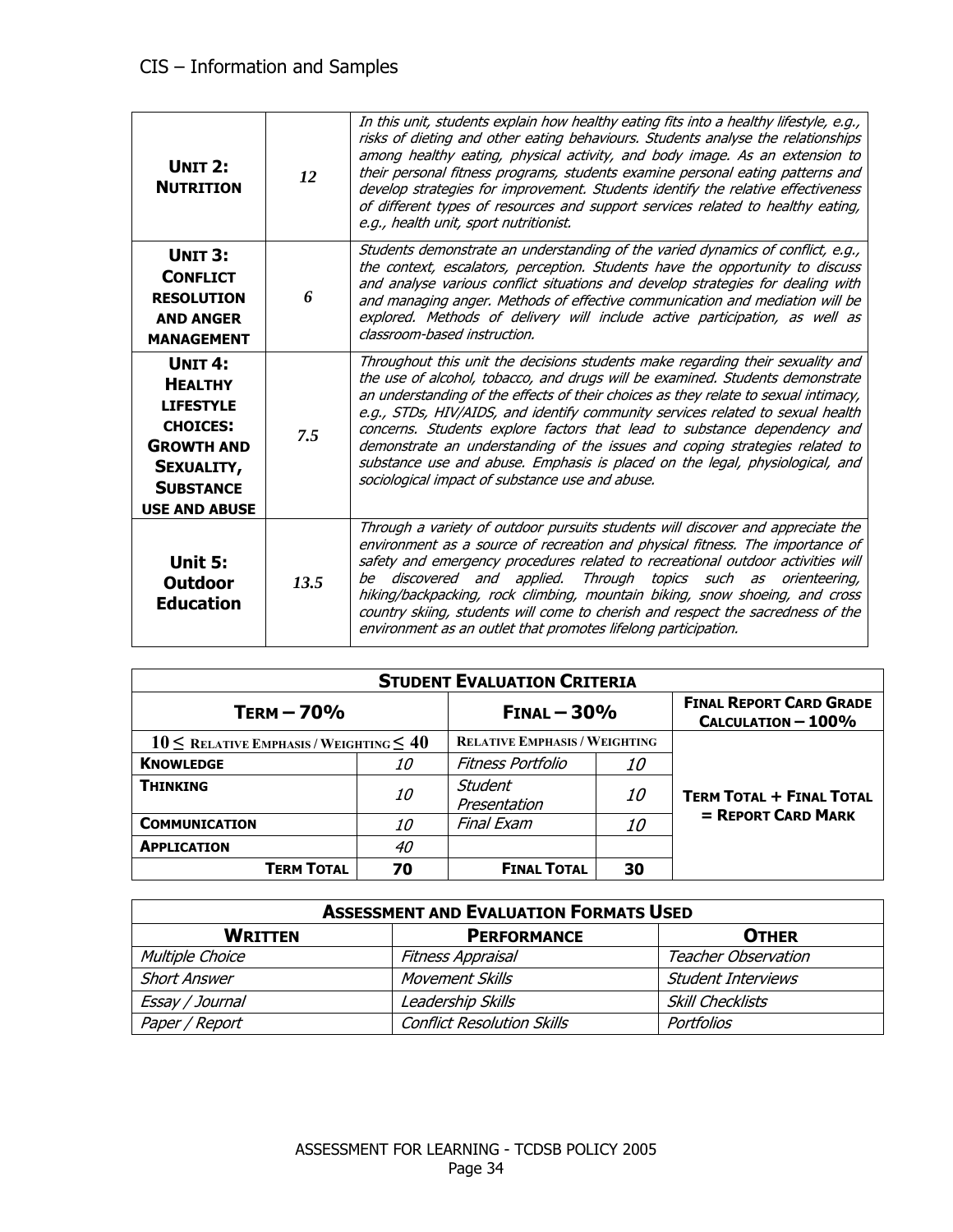| <b>UNIT 2:</b><br><b>NUTRITION</b>                                                                                                                     | 12   | In this unit, students explain how healthy eating fits into a healthy lifestyle, e.g.,<br>risks of dieting and other eating behaviours. Students analyse the relationships<br>among healthy eating, physical activity, and body image. As an extension to<br>their personal fitness programs, students examine personal eating patterns and<br>develop strategies for improvement. Students identify the relative effectiveness<br>of different types of resources and support services related to healthy eating,<br>e.g., health unit, sport nutritionist.                                                                           |
|--------------------------------------------------------------------------------------------------------------------------------------------------------|------|----------------------------------------------------------------------------------------------------------------------------------------------------------------------------------------------------------------------------------------------------------------------------------------------------------------------------------------------------------------------------------------------------------------------------------------------------------------------------------------------------------------------------------------------------------------------------------------------------------------------------------------|
| <b>UNIT 3:</b><br><b>CONFLICT</b><br><b>RESOLUTION</b><br><b>AND ANGER</b><br><b>MANAGEMENT</b>                                                        | 6    | Students demonstrate an understanding of the varied dynamics of conflict, e.g.,<br>the context, escalators, perception. Students have the opportunity to discuss<br>and analyse various conflict situations and develop strategies for dealing with<br>and managing anger. Methods of effective communication and mediation will be<br>explored. Methods of delivery will include active participation, as well as<br>classroom-based instruction.                                                                                                                                                                                     |
| <b>UNIT 4:</b><br><b>HEALTHY</b><br><b>LIFESTYLE</b><br><b>CHOICES:</b><br><b>GROWTH AND</b><br>SEXUALITY,<br><b>SUBSTANCE</b><br><b>USE AND ABUSE</b> | 7.5  | Throughout this unit the decisions students make regarding their sexuality and<br>the use of alcohol, tobacco, and drugs will be examined. Students demonstrate<br>an understanding of the effects of their choices as they relate to sexual intimacy,<br>e.g., STDs, HIV/AIDS, and identify community services related to sexual health<br>concerns. Students explore factors that lead to substance dependency and<br>demonstrate an understanding of the issues and coping strategies related to<br>substance use and abuse. Emphasis is placed on the legal, physiological, and<br>sociological impact of substance use and abuse. |
| Unit 5:<br><b>Outdoor</b><br><b>Education</b>                                                                                                          | 13.5 | Through a variety of outdoor pursuits students will discover and appreciate the<br>environment as a source of recreation and physical fitness. The importance of<br>safety and emergency procedures related to recreational outdoor activities will<br>discovered and applied. Through topics such as orienteering,<br>be<br>hiking/backpacking, rock climbing, mountain biking, snow shoeing, and cross<br>country skiing, students will come to cherish and respect the sacredness of the<br>environment as an outlet that promotes lifelong participation.                                                                          |

|                                                   |           | <b>STUDENT EVALUATION CRITERIA</b>   |           |                                                         |  |
|---------------------------------------------------|-----------|--------------------------------------|-----------|---------------------------------------------------------|--|
| $T$ ERM – 70%                                     |           | $FinAL - 30%$                        |           | <b>FINAL REPORT CARD GRADE</b><br>CALCULATION - 100%    |  |
| $10 \leq$ RELATIVE EMPHASIS / WEIGHTING $\leq 40$ |           | <b>RELATIVE EMPHASIS / WEIGHTING</b> |           |                                                         |  |
| <b>KNOWLEDGE</b>                                  | <i>10</i> | Fitness Portfolio                    | <i>10</i> |                                                         |  |
| <b>THINKING</b>                                   | <i>10</i> | Student<br>Presentation              | <i>10</i> | <b>TERM TOTAL + FINAL TOTAL</b><br>$=$ REPORT CARD MARK |  |
| <b>COMMUNICATION</b>                              | 10        | Final Exam                           | <i>10</i> |                                                         |  |
| <b>APPLICATION</b>                                | 40        |                                      |           |                                                         |  |
| <b>TERM TOTAL</b>                                 | 70        | <b>FINAL TOTAL</b>                   | 30        |                                                         |  |

| <b>ASSESSMENT AND EVALUATION FORMATS USED</b> |                                   |                            |  |
|-----------------------------------------------|-----------------------------------|----------------------------|--|
| <b>WRITTEN</b>                                | <b>PERFORMANCE</b>                | <b>OTHER</b>               |  |
| Multiple Choice                               | <b>Fitness Appraisal</b>          | <b>Teacher Observation</b> |  |
| <b>Short Answer</b>                           | <b>Movement Skills</b>            | <b>Student Interviews</b>  |  |
| Essay / Journal                               | Leadership Skills                 | <b>Skill Checklists</b>    |  |
| Paper / Report                                | <b>Conflict Resolution Skills</b> | Portfolios                 |  |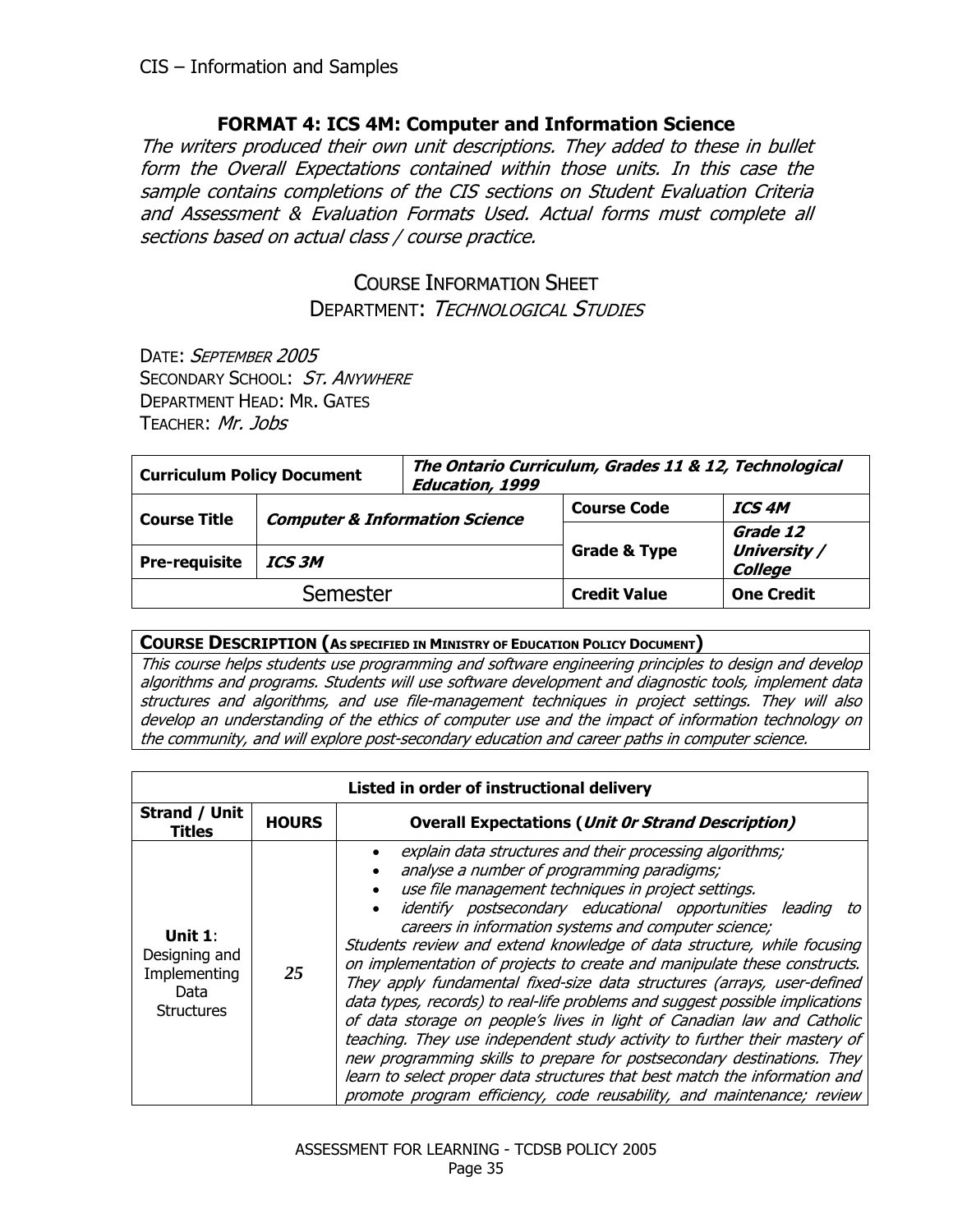#### **FORMAT 4: ICS 4M: Computer and Information Science**

The writers produced their own unit descriptions. They added to these in bullet form the Overall Expectations contained within those units. In this case the sample contains completions of the CIS sections on Student Evaluation Criteria and Assessment & Evaluation Formats Used. Actual forms must complete all sections based on actual class / course practice.

> COURSE INFORMATION SHEET DEPARTMENT: TECHNOLOGICAL STUDIES

DATE: SEPTEMBER 2005 SECONDARY SCHOOL: ST. ANYWHERE DEPARTMENT HEAD: MR. GATES TEACHER: Mr. Jobs

| <b>Curriculum Policy Document</b> |        | The Ontario Curriculum, Grades 11 & 12, Technological<br><b>Education, 1999</b> |                         |                         |
|-----------------------------------|--------|---------------------------------------------------------------------------------|-------------------------|-------------------------|
| <b>Course Title</b>               |        |                                                                                 | <b>Course Code</b>      | ICS 4M                  |
|                                   |        | <b>Computer &amp; Information Science</b>                                       |                         | Grade 12                |
| <b>Pre-requisite</b>              | ICS 3M |                                                                                 | <b>Grade &amp; Type</b> | University /<br>College |
| Semester                          |        |                                                                                 | <b>Credit Value</b>     | <b>One Credit</b>       |

**COURSE DESCRIPTION (AS SPECIFIED IN MINISTRY OF EDUCATION POLICY DOCUMENT)** 

This course helps students use programming and software engineering principles to design and develop algorithms and programs. Students will use software development and diagnostic tools, implement data structures and algorithms, and use file-management techniques in project settings. They will also develop an understanding of the ethics of computer use and the impact of information technology on the community, and will explore post-secondary education and career paths in computer science.

| Listed in order of instructional delivery                                |              |                                                                                                                                                                                                                                                                                                                                                                                                                                                                                                                                                                                                                                                                                                                                                                                                                                                                                                                                                                                                   |  |  |
|--------------------------------------------------------------------------|--------------|---------------------------------------------------------------------------------------------------------------------------------------------------------------------------------------------------------------------------------------------------------------------------------------------------------------------------------------------------------------------------------------------------------------------------------------------------------------------------------------------------------------------------------------------------------------------------------------------------------------------------------------------------------------------------------------------------------------------------------------------------------------------------------------------------------------------------------------------------------------------------------------------------------------------------------------------------------------------------------------------------|--|--|
| Strand / Unit<br>Titles                                                  | <b>HOURS</b> | <b>Overall Expectations (Unit Or Strand Description)</b>                                                                                                                                                                                                                                                                                                                                                                                                                                                                                                                                                                                                                                                                                                                                                                                                                                                                                                                                          |  |  |
| Unit $1$ :<br>Designing and<br>Implementing<br>Data<br><b>Structures</b> | 25           | explain data structures and their processing algorithms;<br>analyse a number of programming paradigms;<br>use file management techniques in project settings.<br>identify postsecondary educational opportunities leading<br>to<br>careers in information systems and computer science;<br>Students review and extend knowledge of data structure, while focusing<br>on implementation of projects to create and manipulate these constructs.<br>They apply fundamental fixed-size data structures (arrays, user-defined<br>data types, records) to real-life problems and suggest possible implications<br>of data storage on people's lives in light of Canadian law and Catholic<br>teaching. They use independent study activity to further their mastery of<br>new programming skills to prepare for postsecondary destinations. They<br>learn to select proper data structures that best match the information and<br>promote program efficiency, code reusability, and maintenance; review |  |  |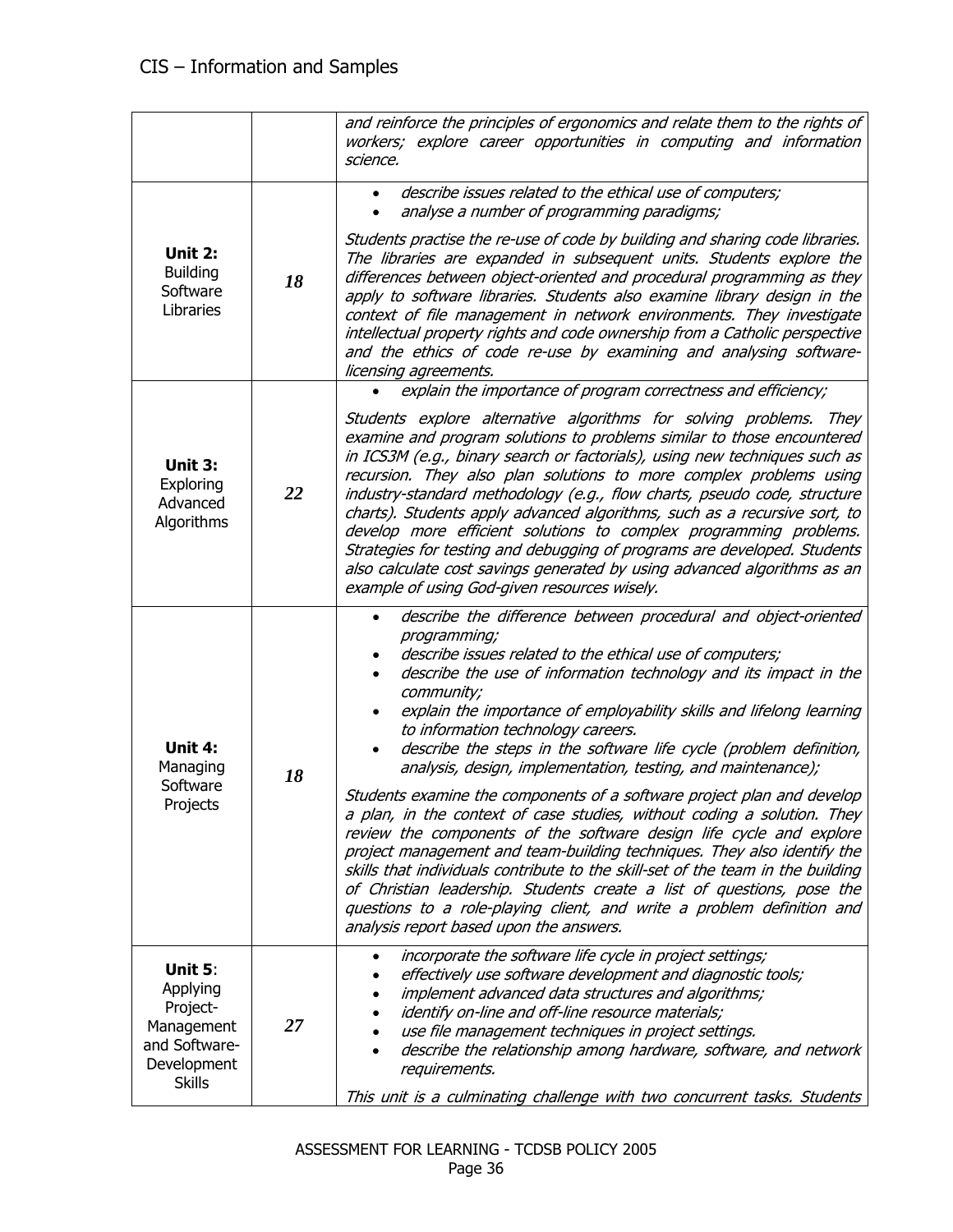|                                                                                                |    | and reinforce the principles of ergonomics and relate them to the rights of<br>workers; explore career opportunities in computing and information<br>science.                                                                                                                                                                                                                                                                                                                                                                                                                                                                                                                                                                                                                                                                                                                                                                                                                                                                                                                          |  |
|------------------------------------------------------------------------------------------------|----|----------------------------------------------------------------------------------------------------------------------------------------------------------------------------------------------------------------------------------------------------------------------------------------------------------------------------------------------------------------------------------------------------------------------------------------------------------------------------------------------------------------------------------------------------------------------------------------------------------------------------------------------------------------------------------------------------------------------------------------------------------------------------------------------------------------------------------------------------------------------------------------------------------------------------------------------------------------------------------------------------------------------------------------------------------------------------------------|--|
|                                                                                                |    | describe issues related to the ethical use of computers;<br>analyse a number of programming paradigms;                                                                                                                                                                                                                                                                                                                                                                                                                                                                                                                                                                                                                                                                                                                                                                                                                                                                                                                                                                                 |  |
| Unit 2:<br><b>Building</b><br>Software<br>Libraries                                            | 18 | Students practise the re-use of code by building and sharing code libraries.<br>The libraries are expanded in subsequent units. Students explore the<br>differences between object-oriented and procedural programming as they<br>apply to software libraries. Students also examine library design in the<br>context of file management in network environments. They investigate<br>intellectual property rights and code ownership from a Catholic perspective<br>and the ethics of code re-use by examining and analysing software-<br>licensing agreements.                                                                                                                                                                                                                                                                                                                                                                                                                                                                                                                       |  |
| Unit 3:<br>Exploring<br>Advanced<br>Algorithms                                                 | 22 | explain the importance of program correctness and efficiency;<br>Students explore alternative algorithms for solving problems. They<br>examine and program solutions to problems similar to those encountered<br>in ICS3M (e.g., binary search or factorials), using new techniques such as<br>recursion. They also plan solutions to more complex problems using<br>industry-standard methodology (e.g., flow charts, pseudo code, structure<br>charts). Students apply advanced algorithms, such as a recursive sort, to<br>develop more efficient solutions to complex programming problems.<br>Strategies for testing and debugging of programs are developed. Students<br>also calculate cost savings generated by using advanced algorithms as an<br>example of using God-given resources wisely.                                                                                                                                                                                                                                                                                |  |
| Unit 4:<br>Managing<br>Software<br>Projects                                                    | 18 | describe the difference between procedural and object-oriented<br>$\bullet$<br>programming;<br>describe issues related to the ethical use of computers;<br>describe the use of information technology and its impact in the<br>community;<br>explain the importance of employability skills and lifelong learning<br>to information technology careers.<br>describe the steps in the software life cycle (problem definition,<br>analysis, design, implementation, testing, and maintenance);<br>Students examine the components of a software project plan and develop<br>a plan, in the context of case studies, without coding a solution. They<br>review the components of the software design life cycle and explore<br>project management and team-building techniques. They also identify the<br>skills that individuals contribute to the skill-set of the team in the building<br>of Christian leadership. Students create a list of questions, pose the<br>questions to a role-playing client, and write a problem definition and<br>analysis report based upon the answers. |  |
| Unit 5:<br>Applying<br>Project-<br>Management<br>and Software-<br>Development<br><b>Skills</b> | 27 | incorporate the software life cycle in project settings;<br>effectively use software development and diagnostic tools;<br>implement advanced data structures and algorithms;<br>identify on-line and off-line resource materials;<br>use file management techniques in project settings.<br>describe the relationship among hardware, software, and network<br>requirements.<br>This unit is a culminating challenge with two concurrent tasks. Students                                                                                                                                                                                                                                                                                                                                                                                                                                                                                                                                                                                                                               |  |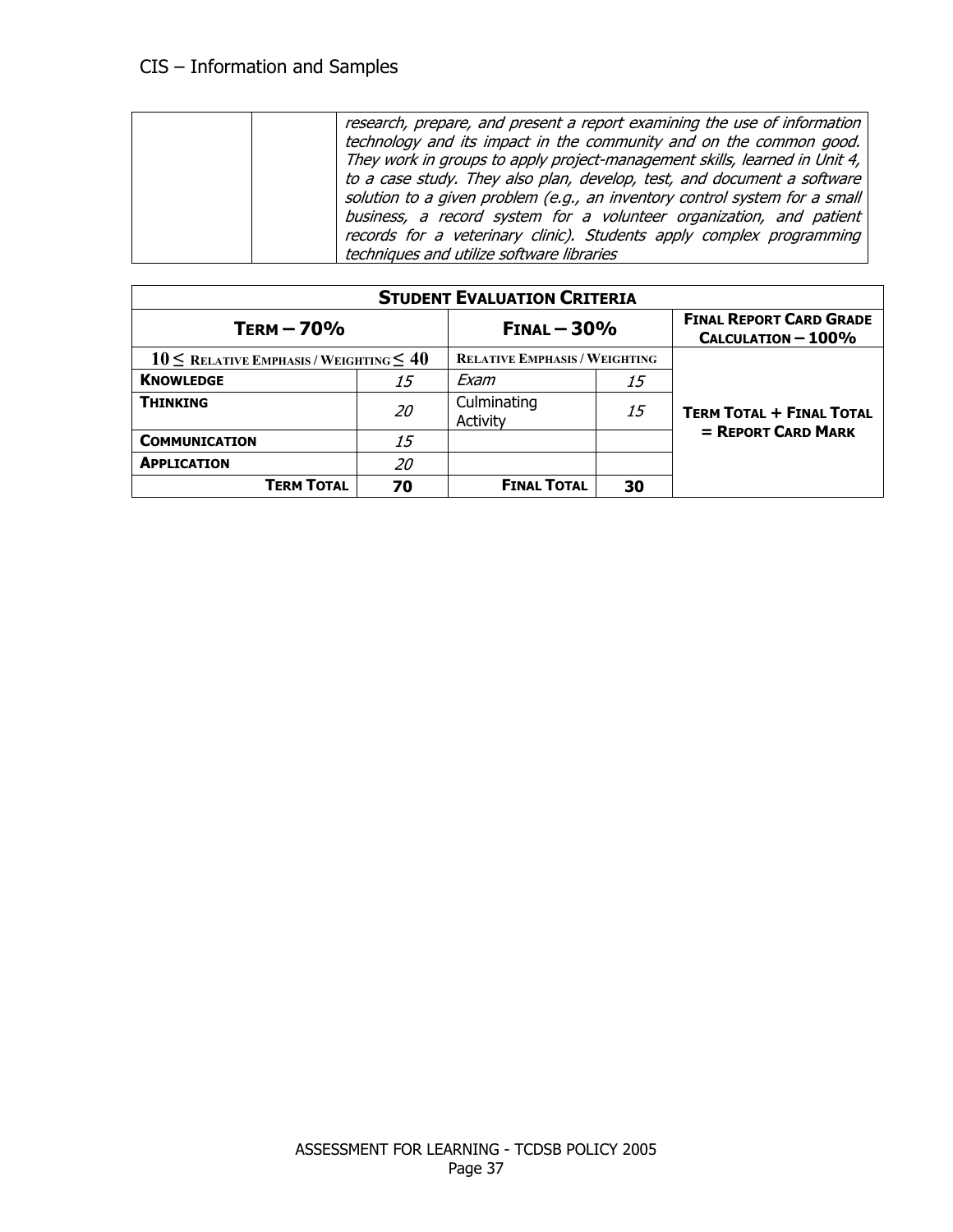## CIS – Information and Samples

| research, prepare, and present a report examining the use of information<br>technology and its impact in the community and on the common good.<br>They work in groups to apply project-management skills, learned in Unit 4,<br>to a case study. They also plan, develop, test, and document a software |
|---------------------------------------------------------------------------------------------------------------------------------------------------------------------------------------------------------------------------------------------------------------------------------------------------------|
| solution to a given problem (e.g., an inventory control system for a small<br>business, a record system for a volunteer organization, and patient<br>records for a veterinary clinic). Students apply complex programming<br>techniques and utilize software libraries                                  |

| <b>STUDENT EVALUATION CRITERIA</b>                |               |                                      |                                                      |                                 |
|---------------------------------------------------|---------------|--------------------------------------|------------------------------------------------------|---------------------------------|
| $T$ ERM $-$ 70%                                   | $FinAL - 30%$ |                                      | <b>FINAL REPORT CARD GRADE</b><br>CALCULATION - 100% |                                 |
| $10 \leq$ RELATIVE EMPHASIS / WEIGHTING $\leq 40$ |               | <b>RELATIVE EMPHASIS / WEIGHTING</b> |                                                      |                                 |
| <b>KNOWLEDGE</b>                                  | 15            | Exam                                 | 15                                                   |                                 |
| <b>THINKING</b>                                   | 20            | Culminating<br>Activity              | 15                                                   | <b>TERM TOTAL + FINAL TOTAL</b> |
| <b>COMMUNICATION</b>                              | 15            |                                      |                                                      | $=$ REPORT CARD MARK            |
| <b>APPLICATION</b>                                | 20            |                                      |                                                      |                                 |
| <b>TERM TOTAL</b>                                 | 70            | <b>FINAL TOTAL</b>                   | 30                                                   |                                 |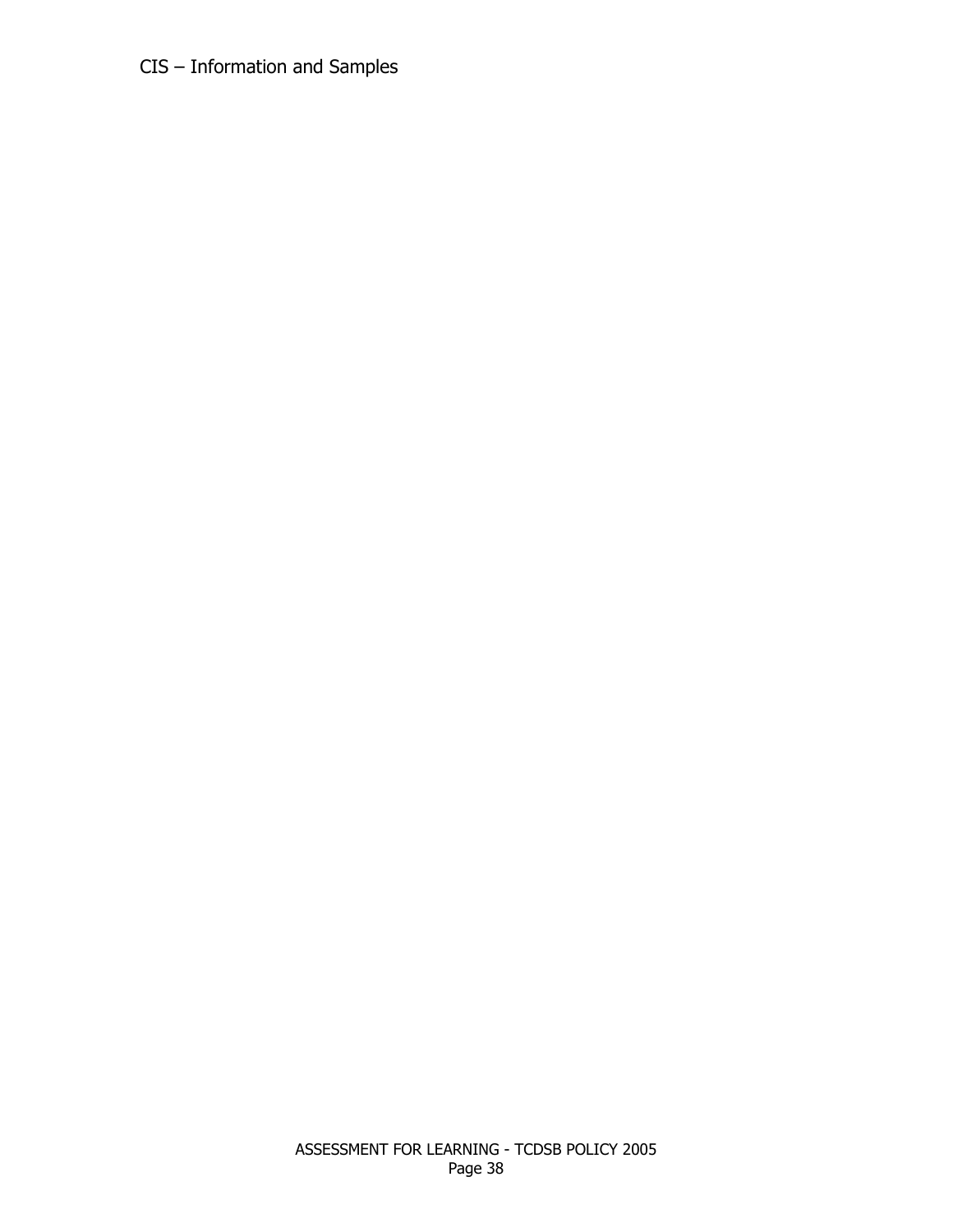## CIS – Information and Samples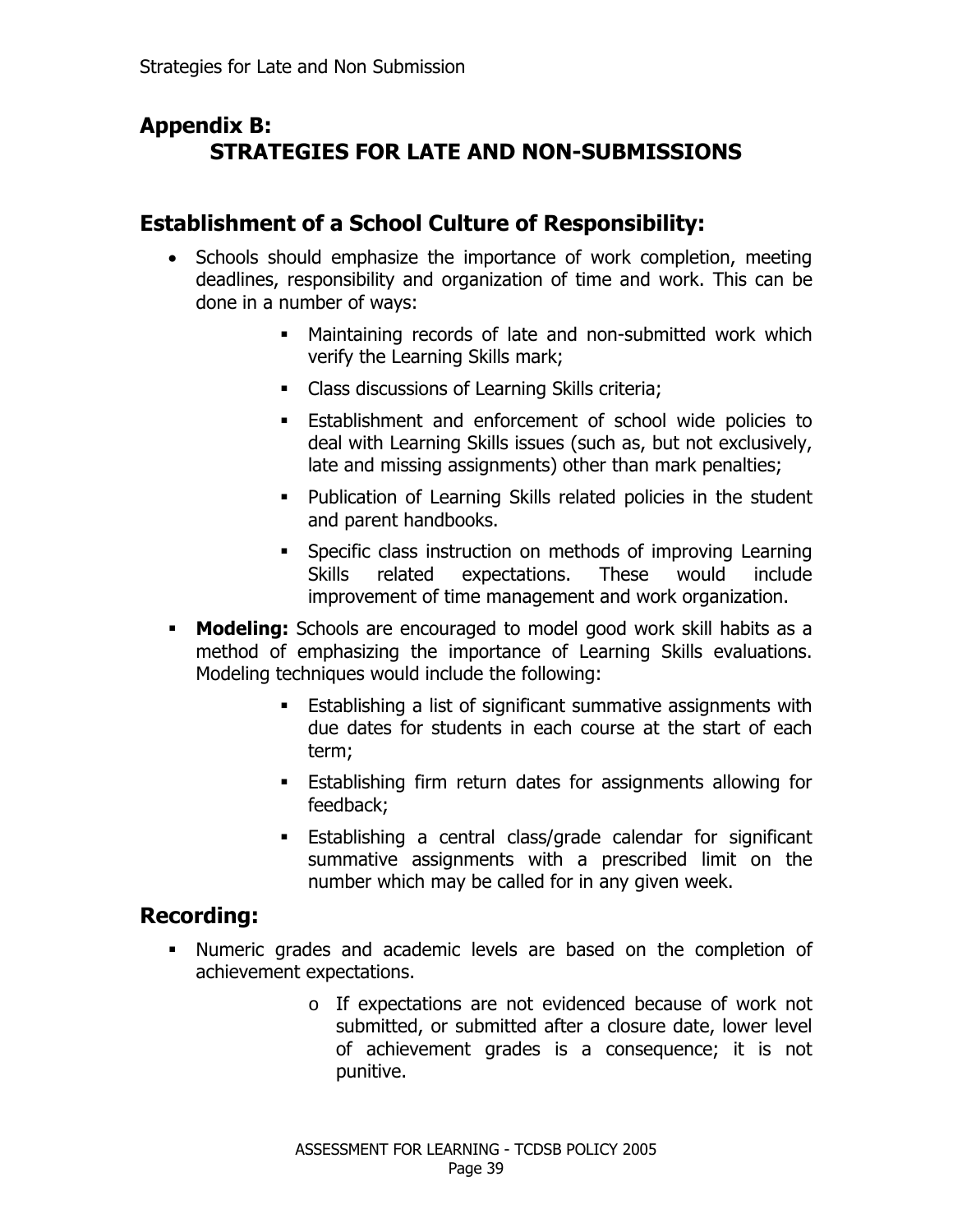## **Appendix B: STRATEGIES FOR LATE AND NON-SUBMISSIONS**

## **Establishment of a School Culture of Responsibility:**

- Schools should emphasize the importance of work completion, meeting deadlines, responsibility and organization of time and work. This can be done in a number of ways:
	- Maintaining records of late and non-submitted work which verify the Learning Skills mark;
	- Class discussions of Learning Skills criteria;
	- Establishment and enforcement of school wide policies to deal with Learning Skills issues (such as, but not exclusively, late and missing assignments) other than mark penalties;
	- Publication of Learning Skills related policies in the student and parent handbooks.
	- Specific class instruction on methods of improving Learning Skills related expectations. These would include improvement of time management and work organization.
- **Modeling:** Schools are encouraged to model good work skill habits as a method of emphasizing the importance of Learning Skills evaluations. Modeling techniques would include the following:
	- Establishing a list of significant summative assignments with due dates for students in each course at the start of each term;
	- Establishing firm return dates for assignments allowing for feedback;
	- Establishing a central class/grade calendar for significant summative assignments with a prescribed limit on the number which may be called for in any given week.

### **Recording:**

- Numeric grades and academic levels are based on the completion of achievement expectations.
	- o If expectations are not evidenced because of work not submitted, or submitted after a closure date, lower level of achievement grades is a consequence; it is not punitive.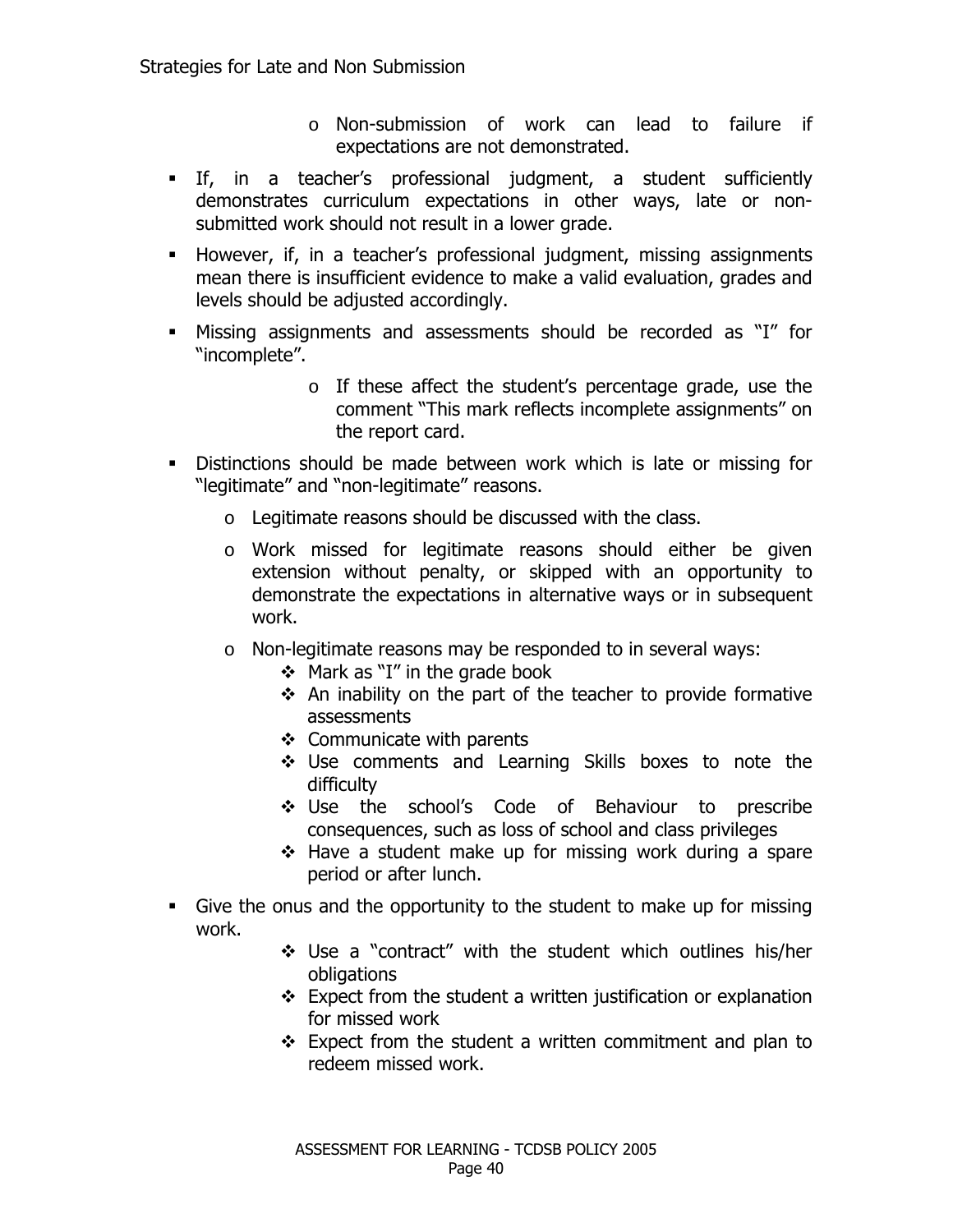- o Non-submission of work can lead to failure if expectations are not demonstrated.
- If, in a teacher's professional judgment, a student sufficiently demonstrates curriculum expectations in other ways, late or nonsubmitted work should not result in a lower grade.
- However, if, in a teacher's professional judgment, missing assignments mean there is insufficient evidence to make a valid evaluation, grades and levels should be adjusted accordingly.
- Missing assignments and assessments should be recorded as "I" for "incomplete".
	- o If these affect the student's percentage grade, use the comment "This mark reflects incomplete assignments" on the report card.
- Distinctions should be made between work which is late or missing for "legitimate" and "non-legitimate" reasons.
	- o Legitimate reasons should be discussed with the class.
	- o Work missed for legitimate reasons should either be given extension without penalty, or skipped with an opportunity to demonstrate the expectations in alternative ways or in subsequent work.
	- o Non-legitimate reasons may be responded to in several ways:
		- $\div$  Mark as "I" in the grade book
		- $\triangle$  An inability on the part of the teacher to provide formative assessments
		- $\div$  Communicate with parents
		- Use comments and Learning Skills boxes to note the difficulty
		- Use the school's Code of Behaviour to prescribe consequences, such as loss of school and class privileges
		- $\div$  Have a student make up for missing work during a spare period or after lunch.
- Give the onus and the opportunity to the student to make up for missing work.
	- Use a "contract" with the student which outlines his/her obligations
	- $\div$  Expect from the student a written justification or explanation for missed work
	- $\div$  Expect from the student a written commitment and plan to redeem missed work.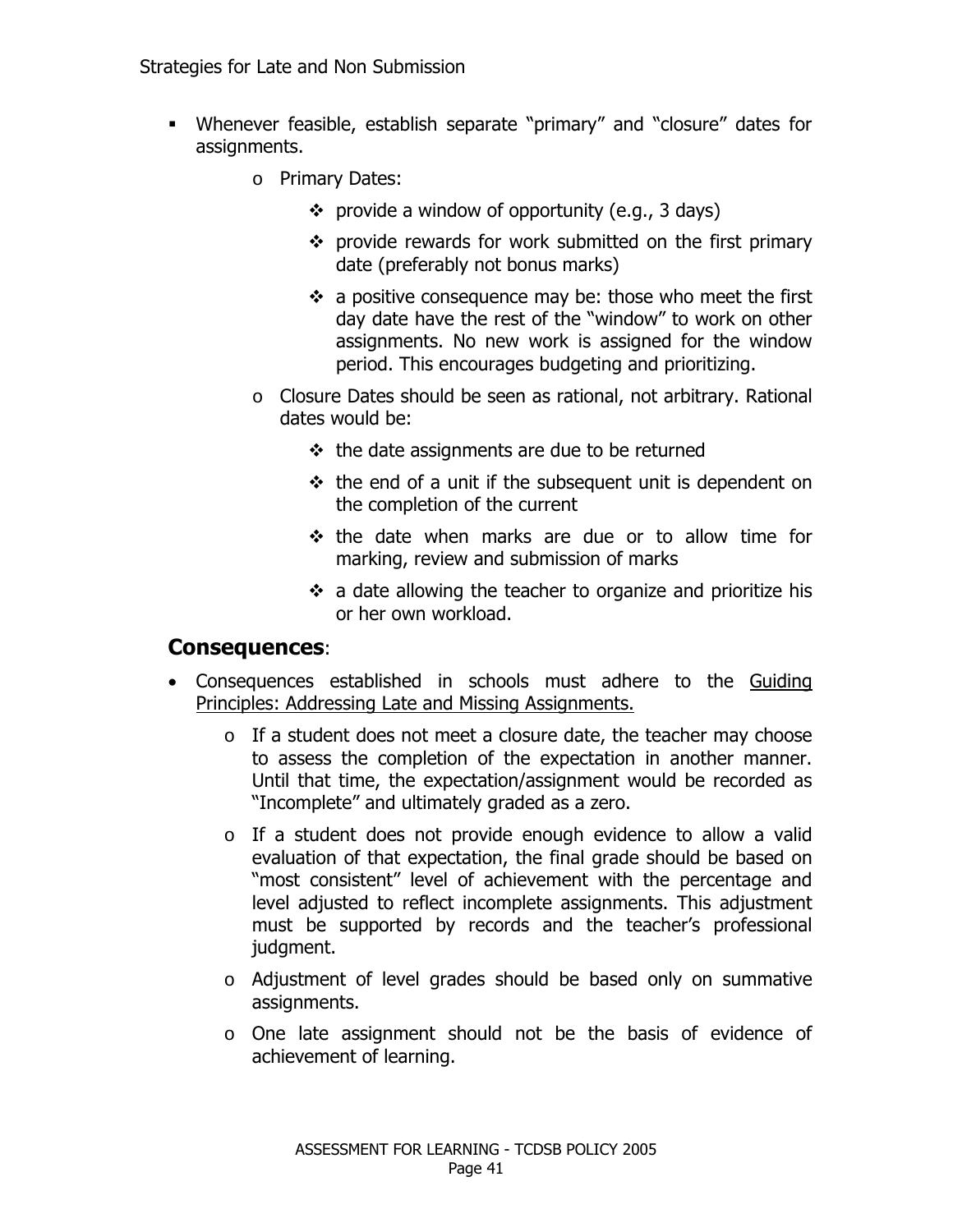Strategies for Late and Non Submission

- Whenever feasible, establish separate "primary" and "closure" dates for assignments.
	- o Primary Dates:
		- $\div$  provide a window of opportunity (e.g., 3 days)
		- $\div$  provide rewards for work submitted on the first primary date (preferably not bonus marks)
		- $\cdot$  a positive consequence may be: those who meet the first day date have the rest of the "window" to work on other assignments. No new work is assigned for the window period. This encourages budgeting and prioritizing.
	- o Closure Dates should be seen as rational, not arbitrary. Rational dates would be:
		- $\div$  the date assignments are due to be returned
		- $\cdot \cdot$  the end of a unit if the subsequent unit is dependent on the completion of the current
		- $\div$  the date when marks are due or to allow time for marking, review and submission of marks
		- $\div$  a date allowing the teacher to organize and prioritize his or her own workload.

#### **Consequences**:

- Consequences established in schools must adhere to the Guiding Principles: Addressing Late and Missing Assignments.
	- $\circ$  If a student does not meet a closure date, the teacher may choose to assess the completion of the expectation in another manner. Until that time, the expectation/assignment would be recorded as "Incomplete" and ultimately graded as a zero.
	- o If a student does not provide enough evidence to allow a valid evaluation of that expectation, the final grade should be based on "most consistent" level of achievement with the percentage and level adjusted to reflect incomplete assignments. This adjustment must be supported by records and the teacher's professional judgment.
	- o Adjustment of level grades should be based only on summative assignments.
	- o One late assignment should not be the basis of evidence of achievement of learning.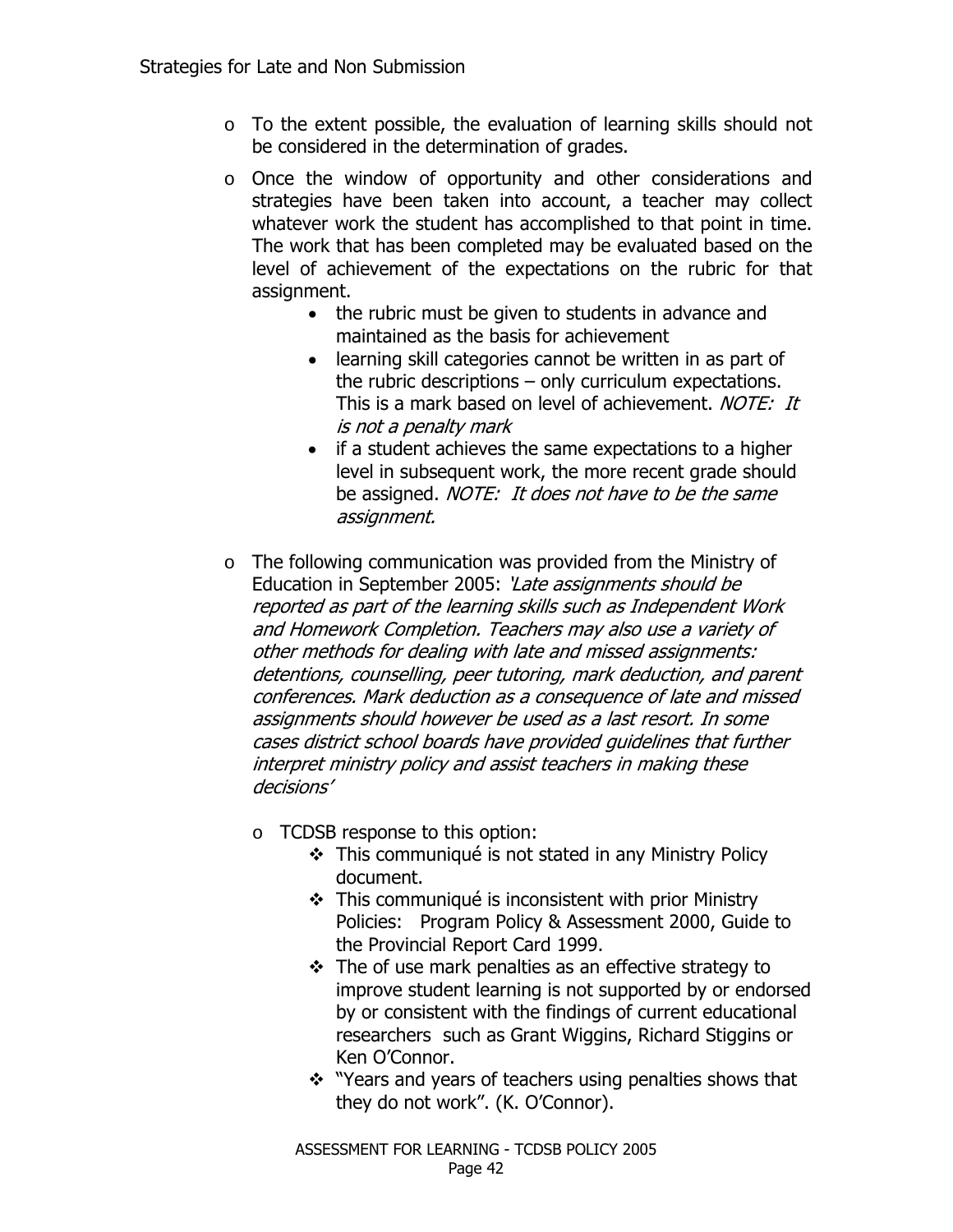- o To the extent possible, the evaluation of learning skills should not be considered in the determination of grades.
- o Once the window of opportunity and other considerations and strategies have been taken into account, a teacher may collect whatever work the student has accomplished to that point in time. The work that has been completed may be evaluated based on the level of achievement of the expectations on the rubric for that assignment.
	- the rubric must be given to students in advance and maintained as the basis for achievement
	- learning skill categories cannot be written in as part of the rubric descriptions – only curriculum expectations. This is a mark based on level of achievement. NOTE: It is not a penalty mark
	- if a student achieves the same expectations to a higher level in subsequent work, the more recent grade should be assigned. NOTE: It does not have to be the same assignment.
- o The following communication was provided from the Ministry of Education in September 2005: 'Late assignments should be reported as part of the learning skills such as Independent Work and Homework Completion. Teachers may also use a variety of other methods for dealing with late and missed assignments: detentions, counselling, peer tutoring, mark deduction, and parent conferences. Mark deduction as a consequence of late and missed assignments should however be used as a last resort. In some cases district school boards have provided guidelines that further interpret ministry policy and assist teachers in making these decisions'
	- o TCDSB response to this option:
		- This communiqué is not stated in any Ministry Policy document.
		- $\cdot$  This communiqué is inconsistent with prior Ministry Policies: Program Policy & Assessment 2000, Guide to the Provincial Report Card 1999.
		- $\div$  The of use mark penalties as an effective strategy to improve student learning is not supported by or endorsed by or consistent with the findings of current educational researchers such as Grant Wiggins, Richard Stiggins or Ken O'Connor.
		- \* "Years and years of teachers using penalties shows that they do not work". (K. O'Connor).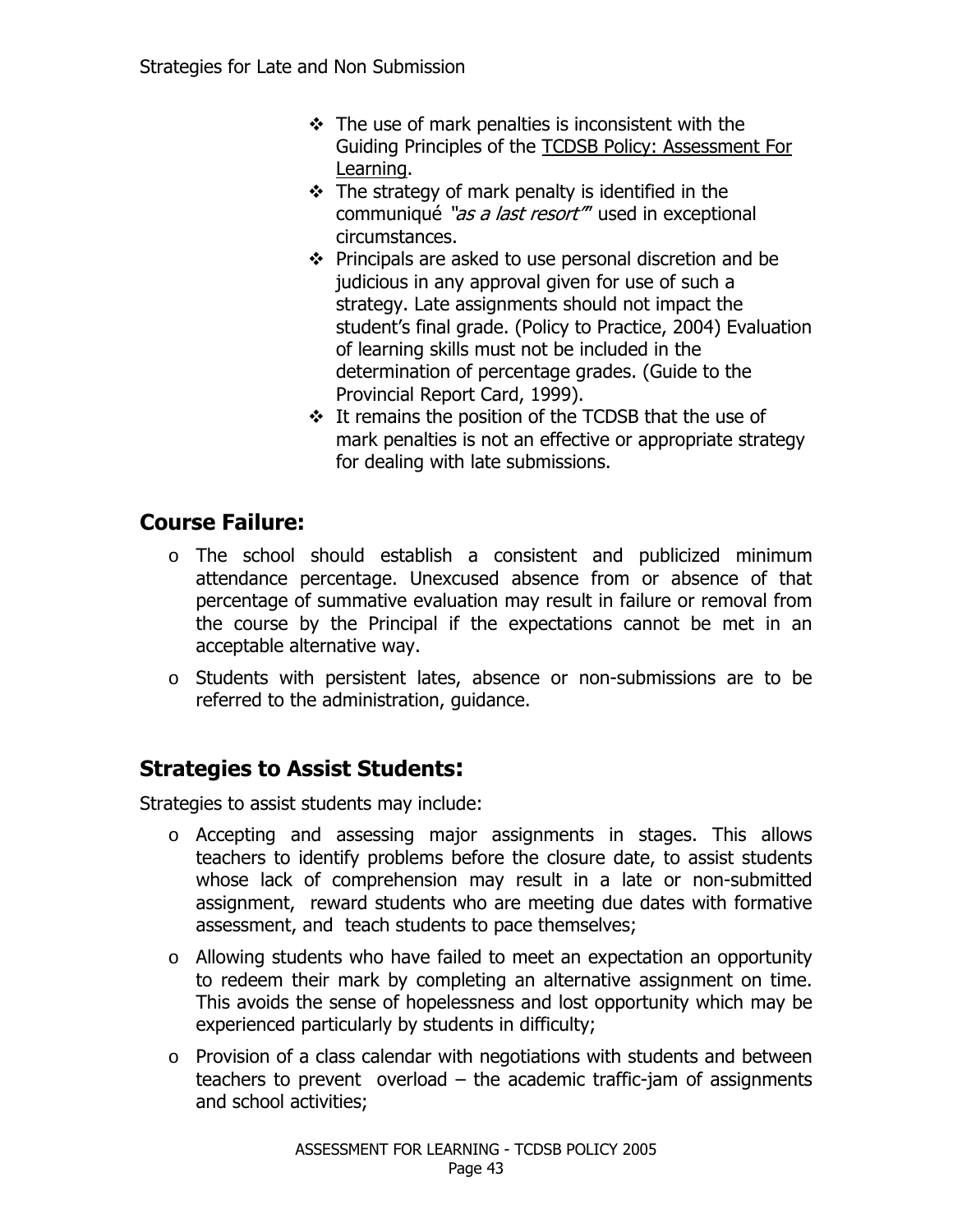- $\div$  The use of mark penalties is inconsistent with the Guiding Principles of the TCDSB Policy: Assessment For Learning.
- $\div$  The strategy of mark penalty is identified in the communiqué "as a last resort" used in exceptional circumstances.
- $\div$  Principals are asked to use personal discretion and be judicious in any approval given for use of such a strategy. Late assignments should not impact the student's final grade. (Policy to Practice, 2004) Evaluation of learning skills must not be included in the determination of percentage grades. (Guide to the Provincial Report Card, 1999).
- $\div$  It remains the position of the TCDSB that the use of mark penalties is not an effective or appropriate strategy for dealing with late submissions.

## **Course Failure:**

- o The school should establish a consistent and publicized minimum attendance percentage. Unexcused absence from or absence of that percentage of summative evaluation may result in failure or removal from the course by the Principal if the expectations cannot be met in an acceptable alternative way.
- o Students with persistent lates, absence or non-submissions are to be referred to the administration, guidance.

## **Strategies to Assist Students:**

Strategies to assist students may include:

- o Accepting and assessing major assignments in stages. This allows teachers to identify problems before the closure date, to assist students whose lack of comprehension may result in a late or non-submitted assignment, reward students who are meeting due dates with formative assessment, and teach students to pace themselves;
- $\circ$  Allowing students who have failed to meet an expectation an opportunity to redeem their mark by completing an alternative assignment on time. This avoids the sense of hopelessness and lost opportunity which may be experienced particularly by students in difficulty;
- o Provision of a class calendar with negotiations with students and between teachers to prevent overload – the academic traffic-jam of assignments and school activities;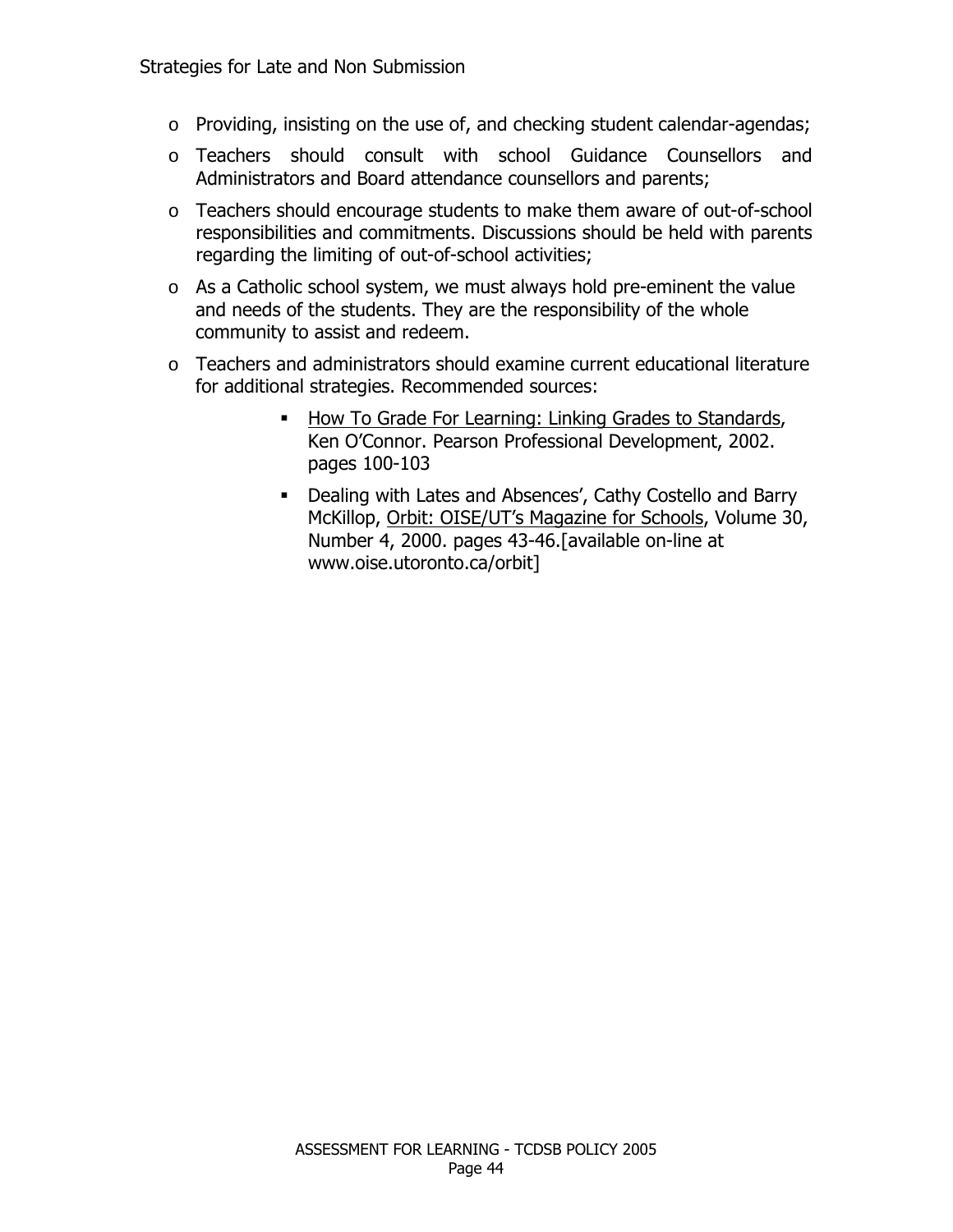- o Providing, insisting on the use of, and checking student calendar-agendas;
- o Teachers should consult with school Guidance Counsellors and Administrators and Board attendance counsellors and parents;
- o Teachers should encourage students to make them aware of out-of-school responsibilities and commitments. Discussions should be held with parents regarding the limiting of out-of-school activities;
- o As a Catholic school system, we must always hold pre-eminent the value and needs of the students. They are the responsibility of the whole community to assist and redeem.
- o Teachers and administrators should examine current educational literature for additional strategies. Recommended sources:
	- How To Grade For Learning: Linking Grades to Standards, Ken O'Connor. Pearson Professional Development, 2002. pages 100-103
	- Dealing with Lates and Absences', Cathy Costello and Barry McKillop, Orbit: OISE/UT's Magazine for Schools, Volume 30, Number 4, 2000. pages 43-46.[available on-line at www.oise.utoronto.ca/orbit]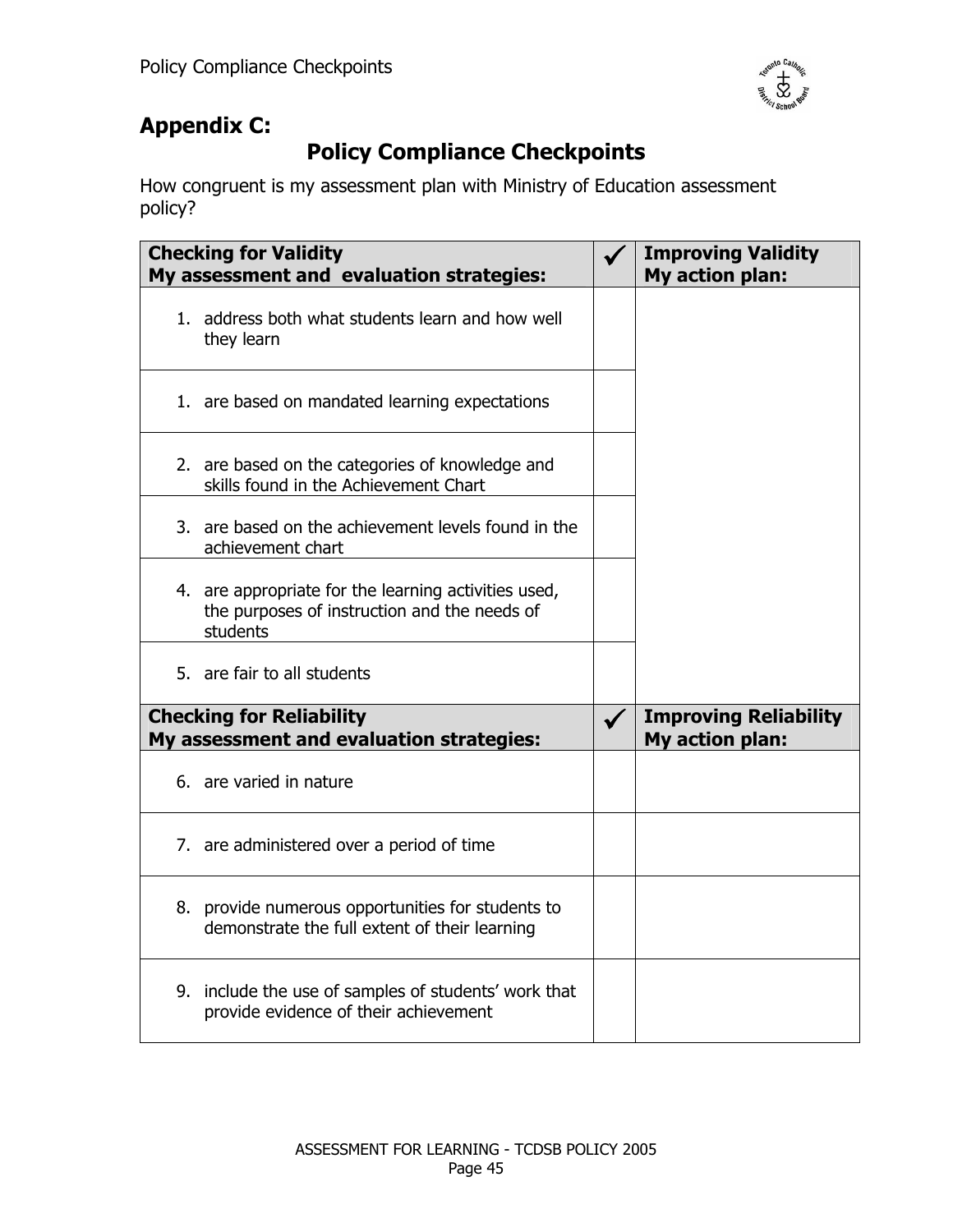

# **Appendix C:**

# **Policy Compliance Checkpoints**

How congruent is my assessment plan with Ministry of Education assessment policy?

| <b>Checking for Validity</b><br>My assessment and evaluation strategies:                                         | <b>Improving Validity</b><br><b>My action plan:</b>    |
|------------------------------------------------------------------------------------------------------------------|--------------------------------------------------------|
| 1. address both what students learn and how well<br>they learn                                                   |                                                        |
| 1. are based on mandated learning expectations                                                                   |                                                        |
| 2. are based on the categories of knowledge and<br>skills found in the Achievement Chart                         |                                                        |
| 3. are based on the achievement levels found in the<br>achievement chart                                         |                                                        |
| 4. are appropriate for the learning activities used,<br>the purposes of instruction and the needs of<br>students |                                                        |
| 5. are fair to all students                                                                                      |                                                        |
| <b>Checking for Reliability</b><br>My assessment and evaluation strategies:                                      | <b>Improving Reliability</b><br><b>My action plan:</b> |
| 6. are varied in nature                                                                                          |                                                        |
| 7. are administered over a period of time                                                                        |                                                        |
| 8. provide numerous opportunities for students to<br>demonstrate the full extent of their learning               |                                                        |
| 9. include the use of samples of students' work that<br>provide evidence of their achievement                    |                                                        |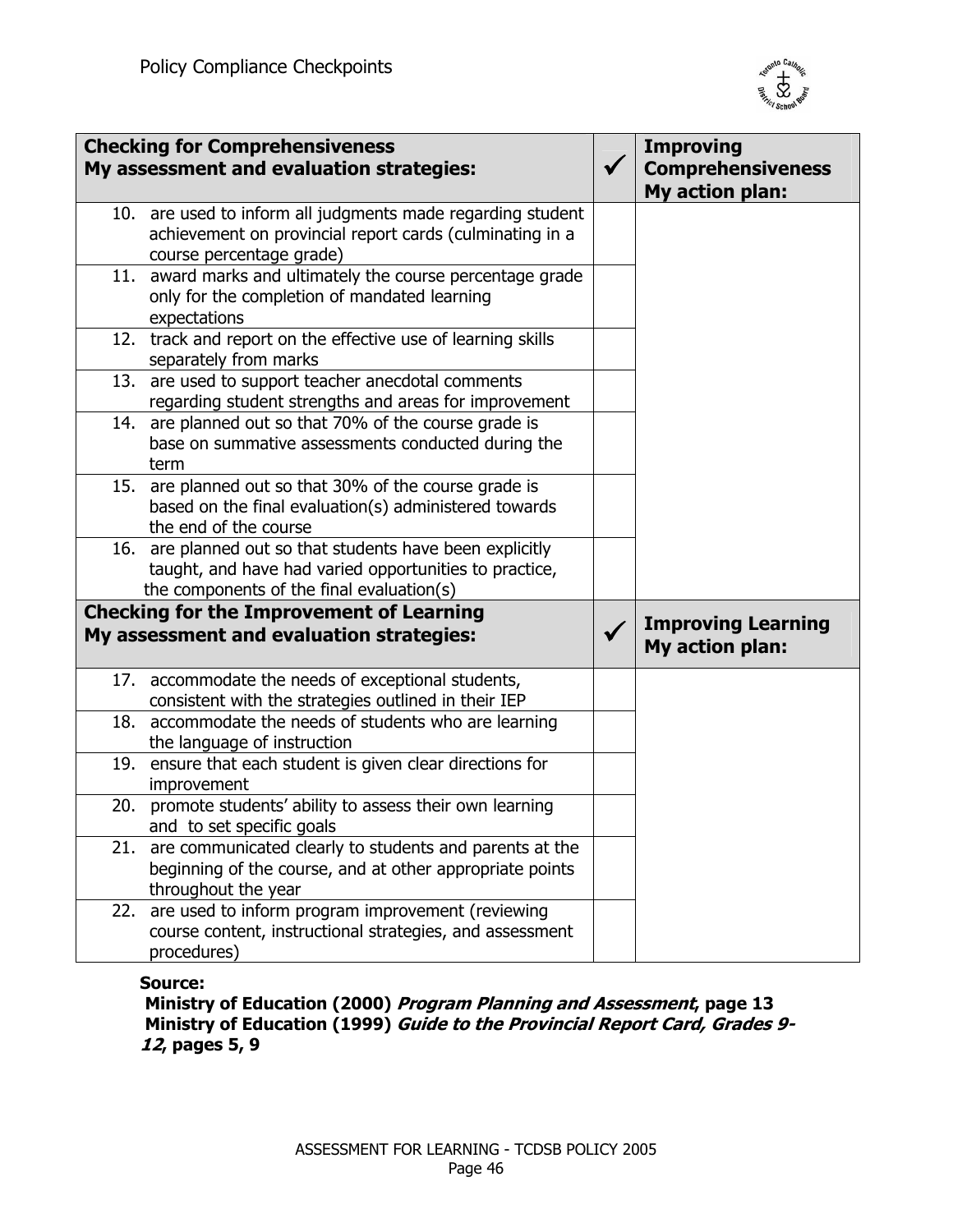

|     | <b>Checking for Comprehensiveness</b><br>My assessment and evaluation strategies:                                                                                | <b>Improving</b><br><b>Comprehensiveness</b><br>My action plan: |
|-----|------------------------------------------------------------------------------------------------------------------------------------------------------------------|-----------------------------------------------------------------|
|     | 10. are used to inform all judgments made regarding student<br>achievement on provincial report cards (culminating in a<br>course percentage grade)              |                                                                 |
|     | 11. award marks and ultimately the course percentage grade<br>only for the completion of mandated learning<br>expectations                                       |                                                                 |
|     | 12. track and report on the effective use of learning skills<br>separately from marks                                                                            |                                                                 |
|     | 13. are used to support teacher anecdotal comments<br>regarding student strengths and areas for improvement                                                      |                                                                 |
|     | 14. are planned out so that 70% of the course grade is<br>base on summative assessments conducted during the<br>term                                             |                                                                 |
|     | 15. are planned out so that 30% of the course grade is<br>based on the final evaluation(s) administered towards<br>the end of the course                         |                                                                 |
|     | 16. are planned out so that students have been explicitly<br>taught, and have had varied opportunities to practice,<br>the components of the final evaluation(s) |                                                                 |
|     | <b>Checking for the Improvement of Learning</b>                                                                                                                  |                                                                 |
|     | My assessment and evaluation strategies:                                                                                                                         | <b>Improving Learning</b><br>My action plan:                    |
|     | 17. accommodate the needs of exceptional students,<br>consistent with the strategies outlined in their IEP                                                       |                                                                 |
|     | 18. accommodate the needs of students who are learning<br>the language of instruction                                                                            |                                                                 |
|     | 19. ensure that each student is given clear directions for<br>improvement                                                                                        |                                                                 |
| 20. | promote students' ability to assess their own learning<br>and to set specific goals                                                                              |                                                                 |
|     | 21. are communicated clearly to students and parents at the<br>beginning of the course, and at other appropriate points<br>throughout the year                   |                                                                 |
|     | 22. are used to inform program improvement (reviewing<br>course content, instructional strategies, and assessment<br>procedures)                                 |                                                                 |

#### **Source:**

 **Ministry of Education (2000) Program Planning and Assessment, page 13 Ministry of Education (1999) Guide to the Provincial Report Card, Grades 9- 12, pages 5, 9**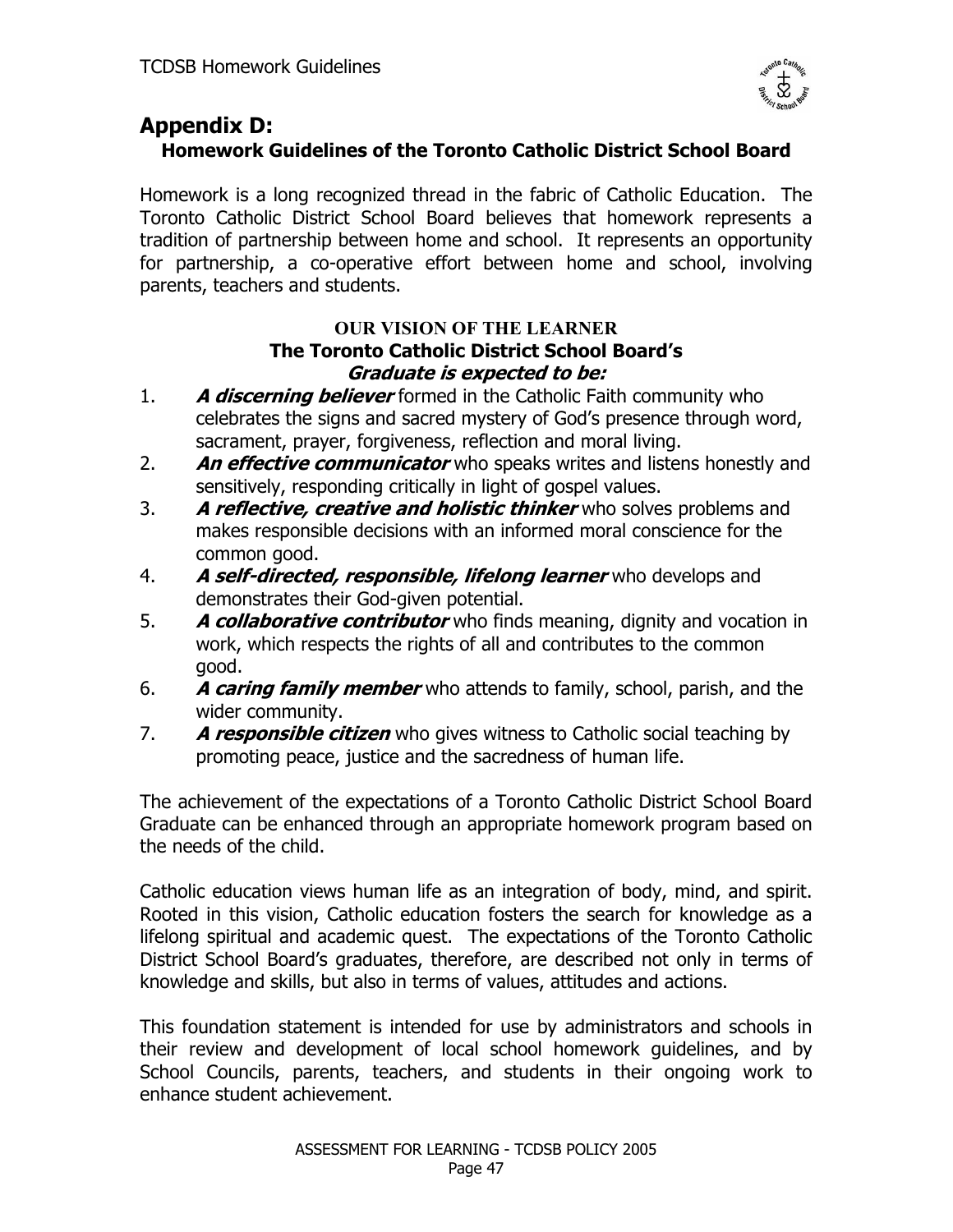

## **Appendix D:**

## **Homework Guidelines of the Toronto Catholic District School Board**

Homework is a long recognized thread in the fabric of Catholic Education. The Toronto Catholic District School Board believes that homework represents a tradition of partnership between home and school. It represents an opportunity for partnership, a co-operative effort between home and school, involving parents, teachers and students.

#### **OUR VISION OF THE LEARNER The Toronto Catholic District School Board's Graduate is expected to be:**

- 1. **A discerning believer** formed in the Catholic Faith community who celebrates the signs and sacred mystery of God's presence through word, sacrament, prayer, forgiveness, reflection and moral living.
- 2. **An effective communicator** who speaks writes and listens honestly and sensitively, responding critically in light of gospel values.
- 3. **A reflective, creative and holistic thinker** who solves problems and makes responsible decisions with an informed moral conscience for the common good.
- 4. **A self-directed, responsible, lifelong learner** who develops and demonstrates their God-given potential.
- 5. **A collaborative contributor** who finds meaning, dignity and vocation in work, which respects the rights of all and contributes to the common good.
- 6. **A caring family member** who attends to family, school, parish, and the wider community.
- 7. **A responsible citizen** who gives witness to Catholic social teaching by promoting peace, justice and the sacredness of human life.

The achievement of the expectations of a Toronto Catholic District School Board Graduate can be enhanced through an appropriate homework program based on the needs of the child.

Catholic education views human life as an integration of body, mind, and spirit. Rooted in this vision, Catholic education fosters the search for knowledge as a lifelong spiritual and academic quest. The expectations of the Toronto Catholic District School Board's graduates, therefore, are described not only in terms of knowledge and skills, but also in terms of values, attitudes and actions.

This foundation statement is intended for use by administrators and schools in their review and development of local school homework guidelines, and by School Councils, parents, teachers, and students in their ongoing work to enhance student achievement.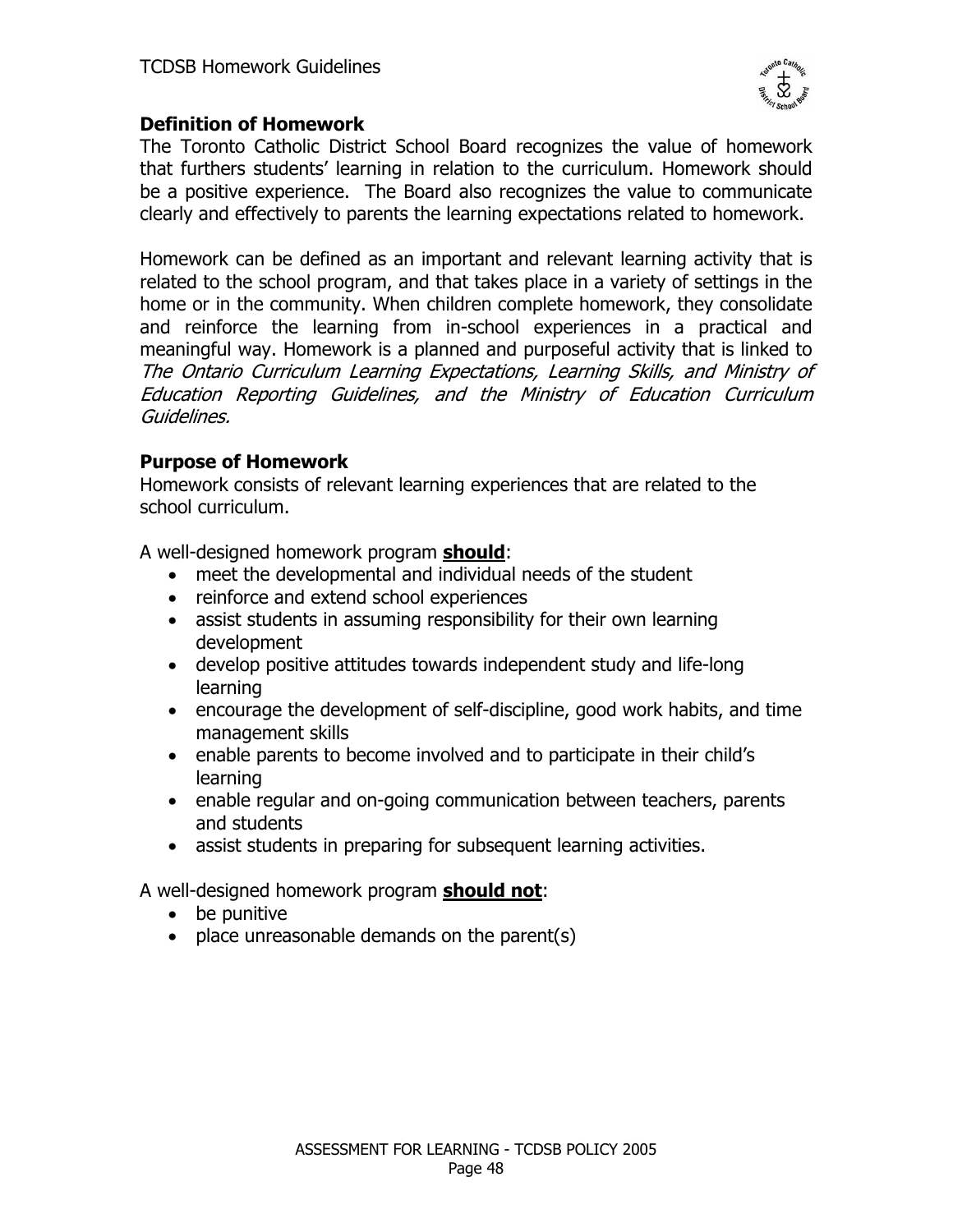

#### **Definition of Homework**

The Toronto Catholic District School Board recognizes the value of homework that furthers students' learning in relation to the curriculum. Homework should be a positive experience. The Board also recognizes the value to communicate clearly and effectively to parents the learning expectations related to homework.

Homework can be defined as an important and relevant learning activity that is related to the school program, and that takes place in a variety of settings in the home or in the community. When children complete homework, they consolidate and reinforce the learning from in-school experiences in a practical and meaningful way. Homework is a planned and purposeful activity that is linked to The Ontario Curriculum Learning Expectations, Learning Skills, and Ministry of Education Reporting Guidelines, and the Ministry of Education Curriculum Guidelines.

#### **Purpose of Homework**

Homework consists of relevant learning experiences that are related to the school curriculum.

A well-designed homework program **should**:

- meet the developmental and individual needs of the student
- reinforce and extend school experiences
- assist students in assuming responsibility for their own learning development
- develop positive attitudes towards independent study and life-long learning
- encourage the development of self-discipline, good work habits, and time management skills
- enable parents to become involved and to participate in their child's learning
- enable regular and on-going communication between teachers, parents and students
- assist students in preparing for subsequent learning activities.

A well-designed homework program **should not**:

- be punitive
- place unreasonable demands on the parent(s)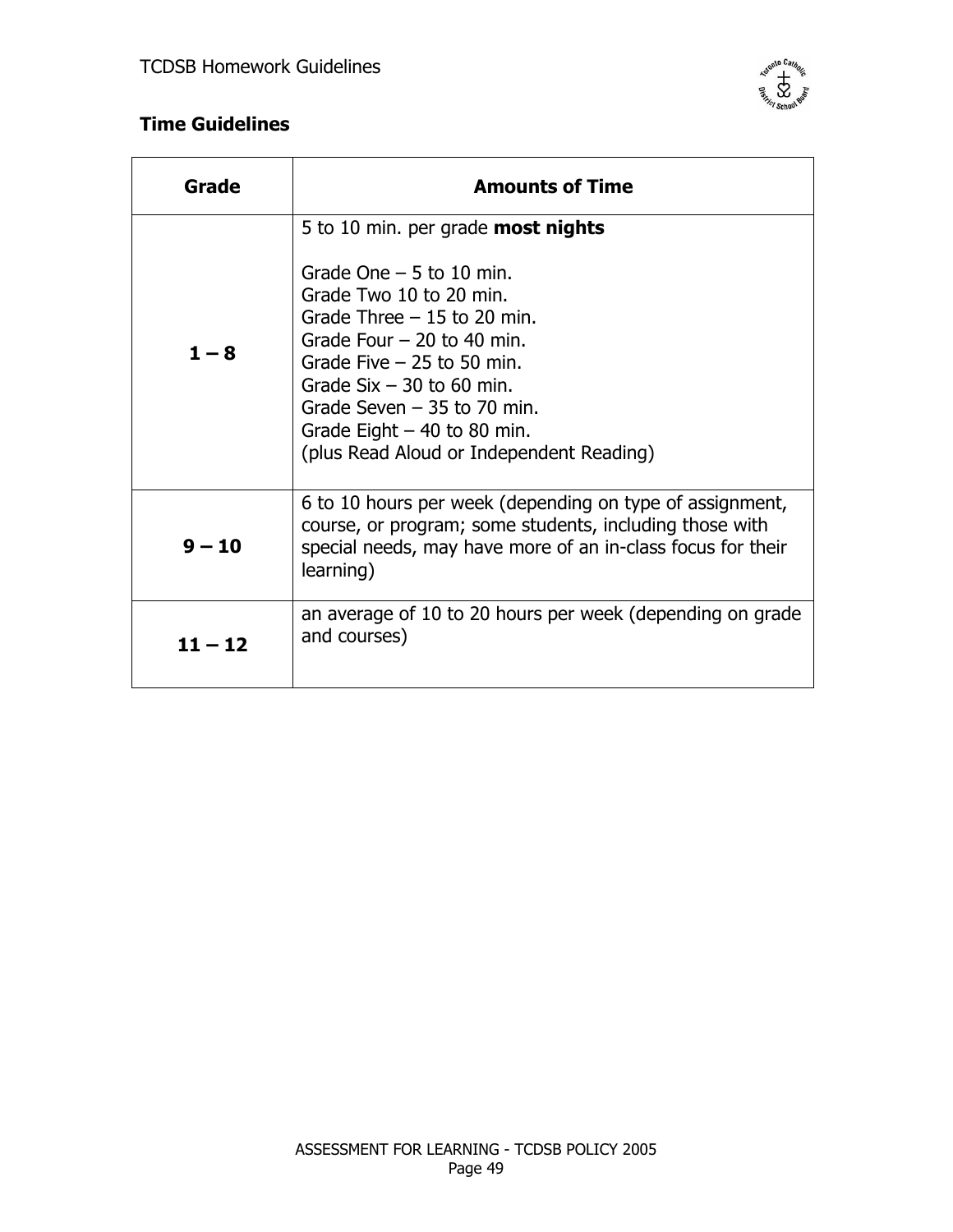

## **Time Guidelines**

| Grade    | <b>Amounts of Time</b>                                                                                                                                                                                                                                                                                                                    |  |  |
|----------|-------------------------------------------------------------------------------------------------------------------------------------------------------------------------------------------------------------------------------------------------------------------------------------------------------------------------------------------|--|--|
| $1 - 8$  | 5 to 10 min. per grade <b>most nights</b><br>Grade One $-5$ to 10 min.<br>Grade Two 10 to 20 min.<br>Grade Three $-15$ to 20 min.<br>Grade Four $-20$ to 40 min.<br>Grade Five $-25$ to 50 min.<br>Grade Six $-30$ to 60 min.<br>Grade Seven $-35$ to 70 min.<br>Grade Eight $-40$ to 80 min.<br>(plus Read Aloud or Independent Reading) |  |  |
| $9 - 10$ | 6 to 10 hours per week (depending on type of assignment,<br>course, or program; some students, including those with<br>special needs, may have more of an in-class focus for their<br>learning)                                                                                                                                           |  |  |
| 11 – 12  | an average of 10 to 20 hours per week (depending on grade<br>and courses)                                                                                                                                                                                                                                                                 |  |  |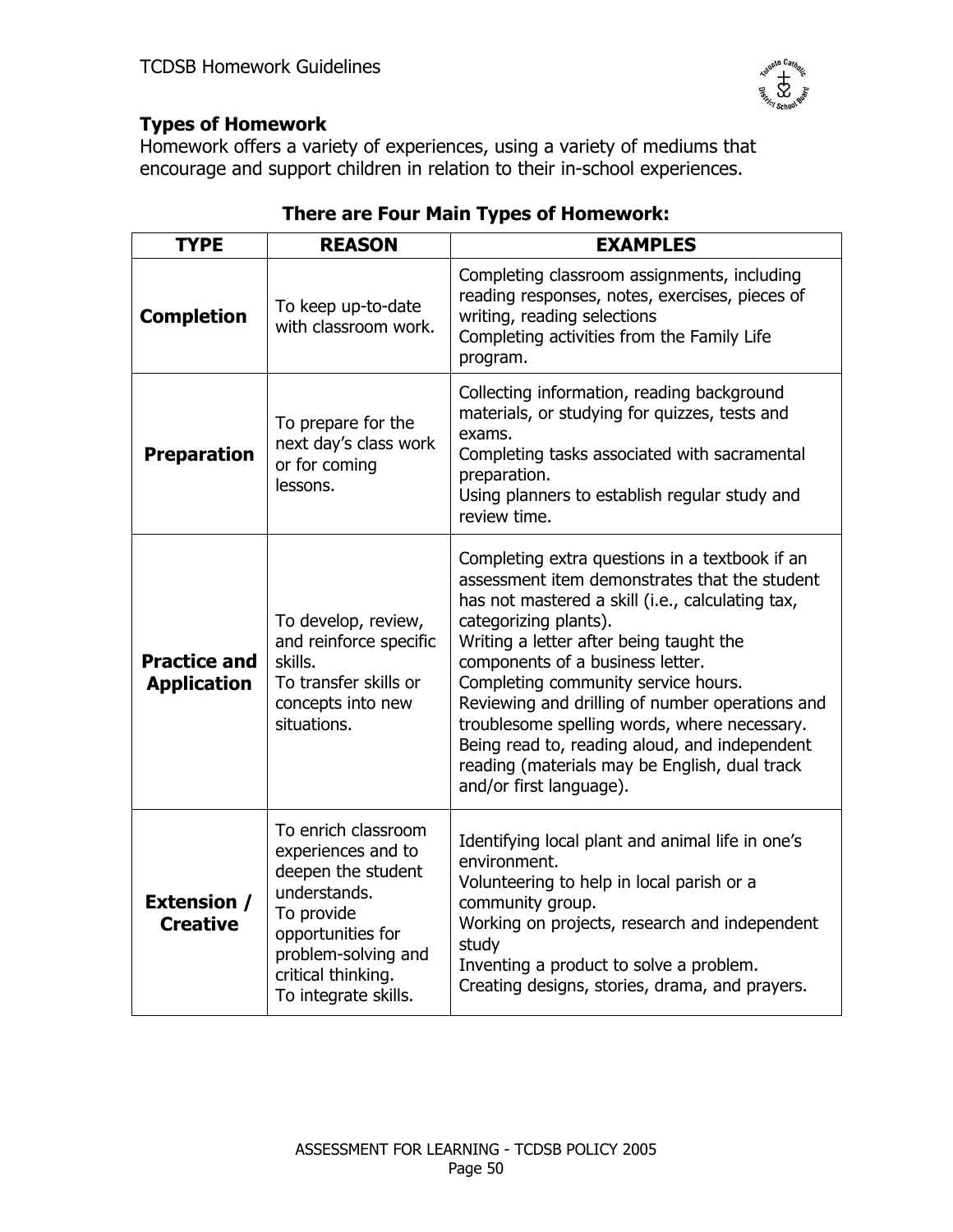

#### **Types of Homework**

Homework offers a variety of experiences, using a variety of mediums that encourage and support children in relation to their in-school experiences.

| <b>REASON</b><br><b>TYPE</b>              |                                                                                                                                                                                         | <b>EXAMPLES</b>                                                                                                                                                                                                                                                                                                                                                                                                                                                                                                                    |  |  |  |
|-------------------------------------------|-----------------------------------------------------------------------------------------------------------------------------------------------------------------------------------------|------------------------------------------------------------------------------------------------------------------------------------------------------------------------------------------------------------------------------------------------------------------------------------------------------------------------------------------------------------------------------------------------------------------------------------------------------------------------------------------------------------------------------------|--|--|--|
| <b>Completion</b>                         | To keep up-to-date<br>with classroom work.                                                                                                                                              | Completing classroom assignments, including<br>reading responses, notes, exercises, pieces of<br>writing, reading selections<br>Completing activities from the Family Life<br>program.                                                                                                                                                                                                                                                                                                                                             |  |  |  |
| <b>Preparation</b>                        | To prepare for the<br>next day's class work<br>or for coming<br>lessons.                                                                                                                | Collecting information, reading background<br>materials, or studying for quizzes, tests and<br>exams.<br>Completing tasks associated with sacramental<br>preparation.<br>Using planners to establish regular study and<br>review time.                                                                                                                                                                                                                                                                                             |  |  |  |
| <b>Practice and</b><br><b>Application</b> | To develop, review,<br>and reinforce specific<br>skills.<br>To transfer skills or<br>concepts into new<br>situations.                                                                   | Completing extra questions in a textbook if an<br>assessment item demonstrates that the student<br>has not mastered a skill (i.e., calculating tax,<br>categorizing plants).<br>Writing a letter after being taught the<br>components of a business letter.<br>Completing community service hours.<br>Reviewing and drilling of number operations and<br>troublesome spelling words, where necessary.<br>Being read to, reading aloud, and independent<br>reading (materials may be English, dual track<br>and/or first language). |  |  |  |
| <b>Extension /</b><br><b>Creative</b>     | To enrich classroom<br>experiences and to<br>deepen the student<br>understands.<br>To provide<br>opportunities for<br>problem-solving and<br>critical thinking.<br>To integrate skills. | Identifying local plant and animal life in one's<br>environment.<br>Volunteering to help in local parish or a<br>community group.<br>Working on projects, research and independent<br>study<br>Inventing a product to solve a problem.<br>Creating designs, stories, drama, and prayers.                                                                                                                                                                                                                                           |  |  |  |

## **There are Four Main Types of Homework:**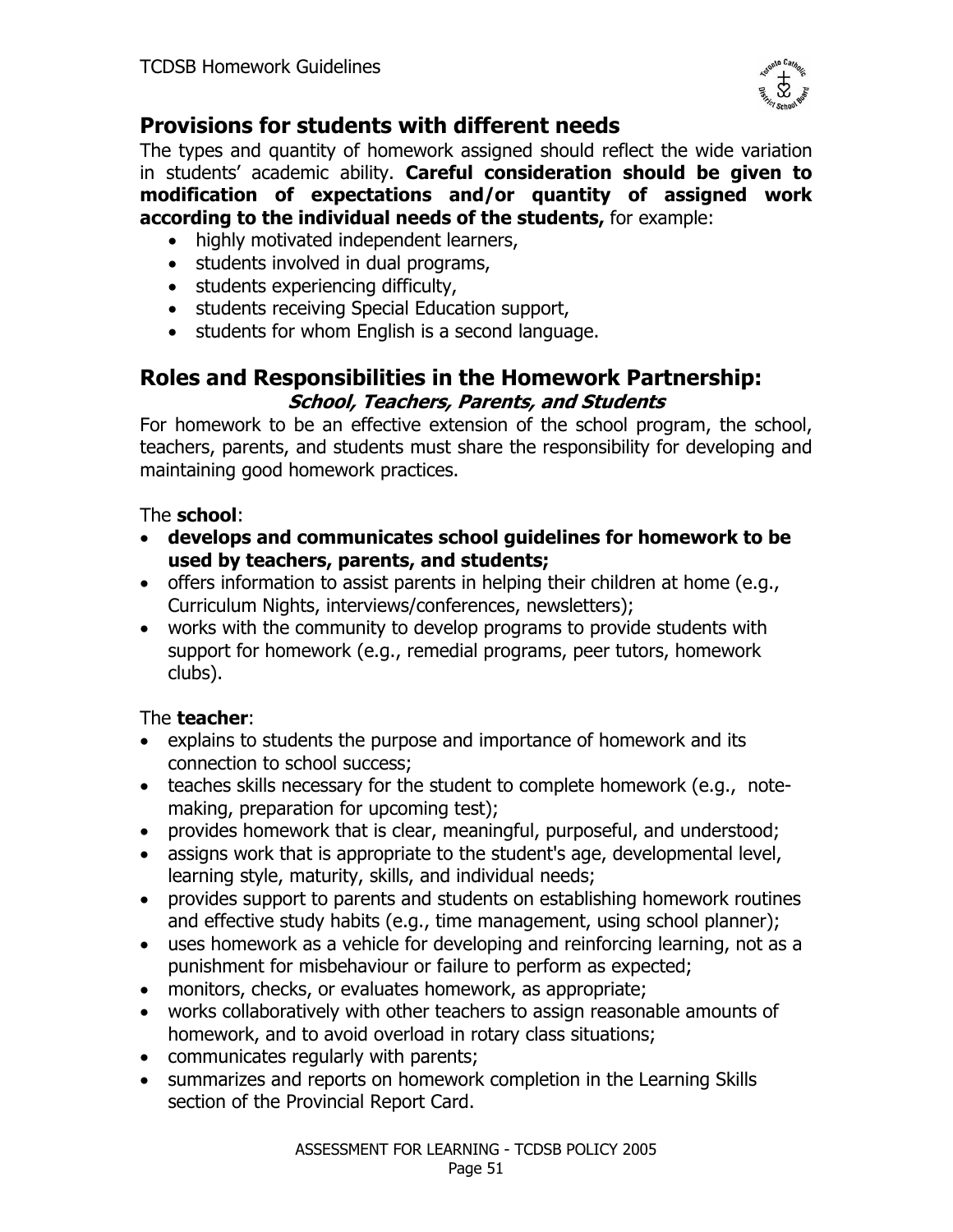

## **Provisions for students with different needs**

The types and quantity of homework assigned should reflect the wide variation in students' academic ability. **Careful consideration should be given to modification of expectations and/or quantity of assigned work according to the individual needs of the students,** for example:

- highly motivated independent learners,
- students involved in dual programs,
- students experiencing difficulty,
- students receiving Special Education support,
- students for whom English is a second language.

## **Roles and Responsibilities in the Homework Partnership: School, Teachers, Parents, and Students**

For homework to be an effective extension of the school program, the school, teachers, parents, and students must share the responsibility for developing and maintaining good homework practices.

#### The **school**:

- **develops and communicates school guidelines for homework to be used by teachers, parents, and students;**
- offers information to assist parents in helping their children at home (e.g., Curriculum Nights, interviews/conferences, newsletters);
- works with the community to develop programs to provide students with support for homework (e.g., remedial programs, peer tutors, homework clubs).

#### The **teacher**:

- explains to students the purpose and importance of homework and its connection to school success;
- teaches skills necessary for the student to complete homework (e.g., notemaking, preparation for upcoming test);
- provides homework that is clear, meaningful, purposeful, and understood;
- assigns work that is appropriate to the student's age, developmental level, learning style, maturity, skills, and individual needs;
- provides support to parents and students on establishing homework routines and effective study habits (e.g., time management, using school planner);
- uses homework as a vehicle for developing and reinforcing learning, not as a punishment for misbehaviour or failure to perform as expected;
- monitors, checks, or evaluates homework, as appropriate;
- works collaboratively with other teachers to assign reasonable amounts of homework, and to avoid overload in rotary class situations;
- communicates regularly with parents;
- summarizes and reports on homework completion in the Learning Skills section of the Provincial Report Card.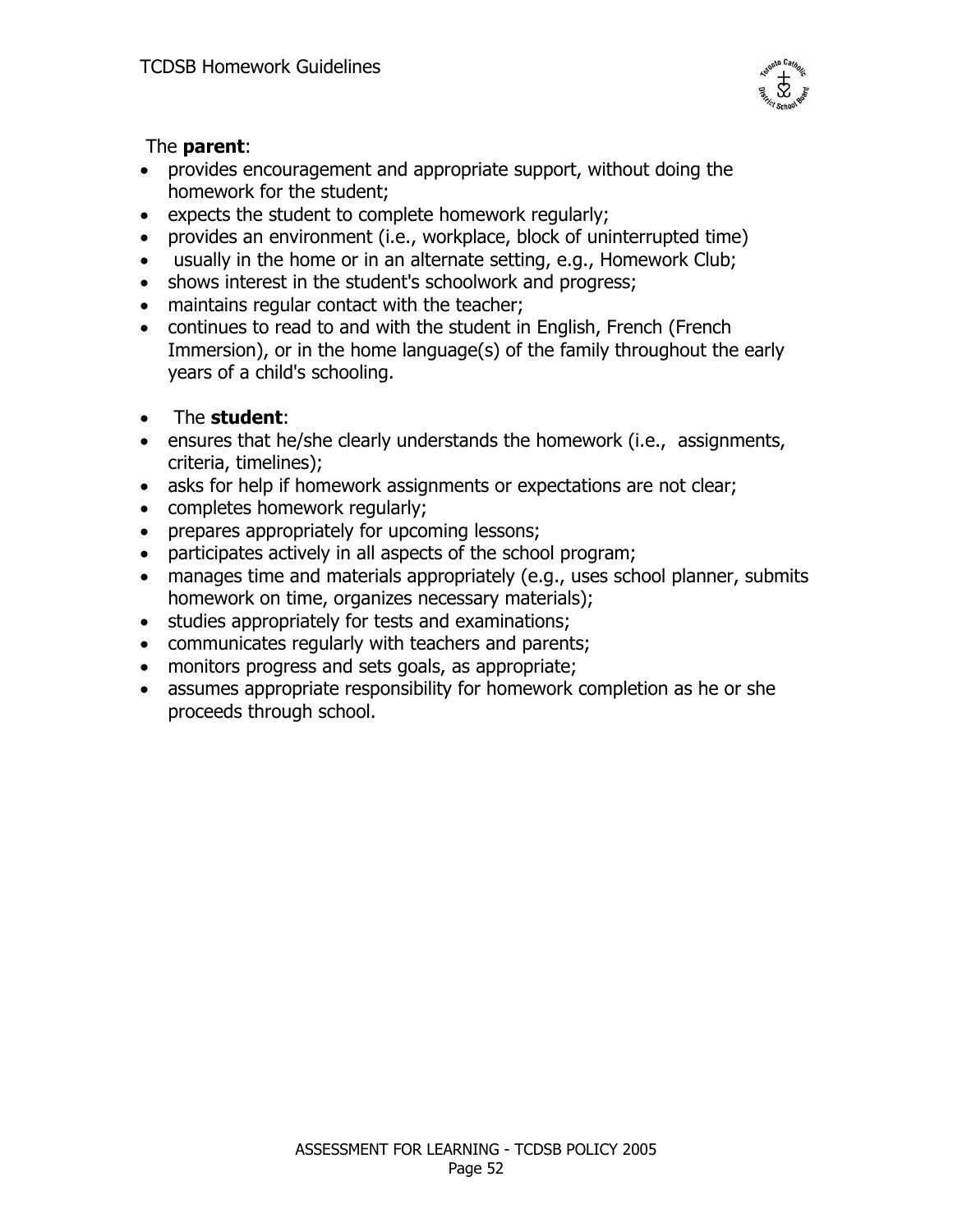

#### The **parent**:

- provides encouragement and appropriate support, without doing the homework for the student;
- expects the student to complete homework regularly;
- provides an environment (i.e., workplace, block of uninterrupted time)
- usually in the home or in an alternate setting, e.g., Homework Club;
- shows interest in the student's schoolwork and progress;
- maintains regular contact with the teacher;
- continues to read to and with the student in English, French (French Immersion), or in the home language(s) of the family throughout the early years of a child's schooling.
- The **student**:
- ensures that he/she clearly understands the homework (i.e., assignments, criteria, timelines);
- asks for help if homework assignments or expectations are not clear;
- completes homework regularly;
- prepares appropriately for upcoming lessons;
- participates actively in all aspects of the school program;
- manages time and materials appropriately (e.g., uses school planner, submits homework on time, organizes necessary materials);
- studies appropriately for tests and examinations;
- communicates regularly with teachers and parents;
- monitors progress and sets goals, as appropriate;
- assumes appropriate responsibility for homework completion as he or she proceeds through school.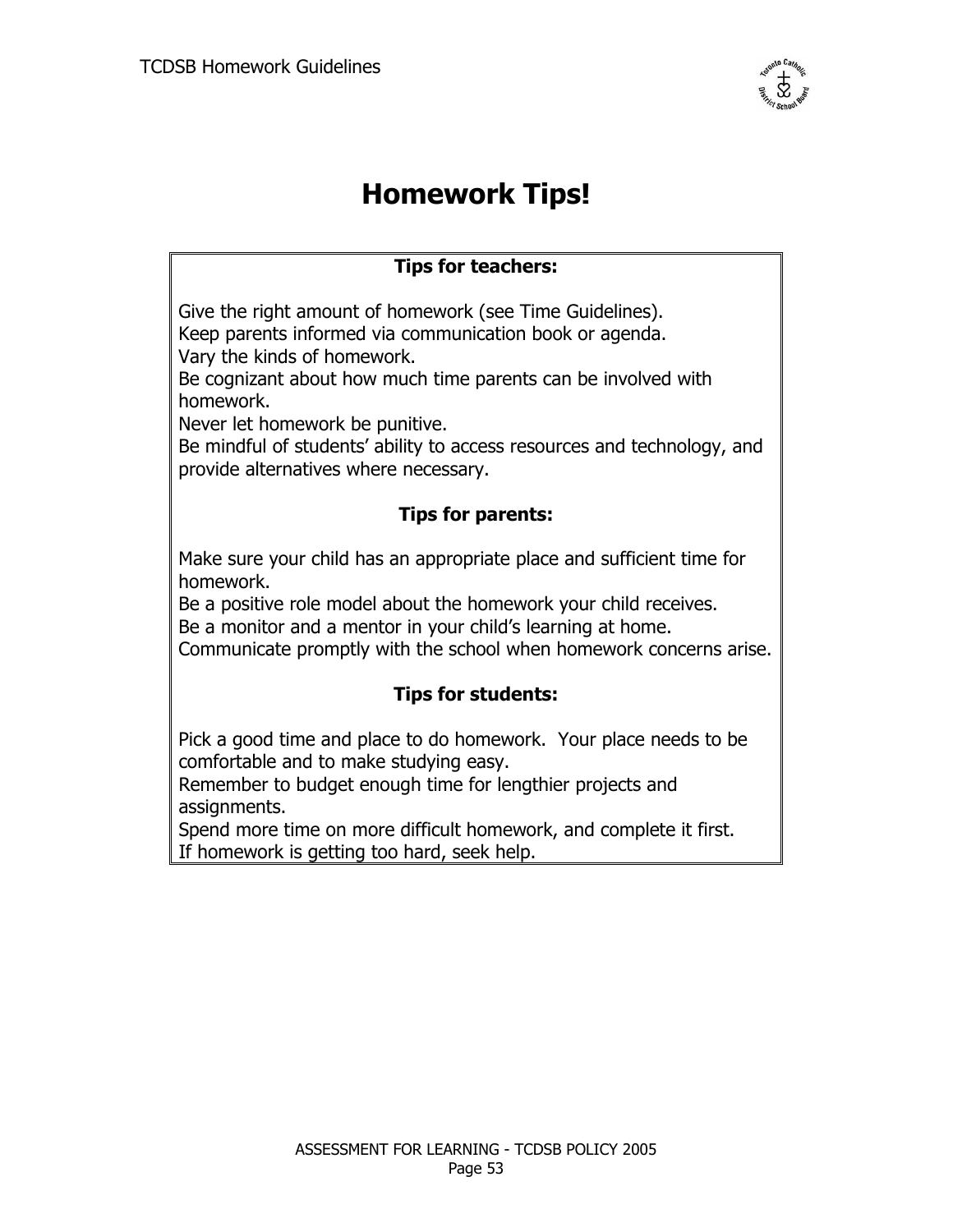

# **Homework Tips!**

#### **Tips for teachers:**

Give the right amount of homework (see Time Guidelines). Keep parents informed via communication book or agenda.

Vary the kinds of homework.

Be cognizant about how much time parents can be involved with homework.

Never let homework be punitive.

Be mindful of students' ability to access resources and technology, and provide alternatives where necessary.

#### **Tips for parents:**

Make sure your child has an appropriate place and sufficient time for homework.

Be a positive role model about the homework your child receives. Be a monitor and a mentor in your child's learning at home.

Communicate promptly with the school when homework concerns arise.

#### **Tips for students:**

Pick a good time and place to do homework. Your place needs to be comfortable and to make studying easy.

Remember to budget enough time for lengthier projects and assignments.

Spend more time on more difficult homework, and complete it first. If homework is getting too hard, seek help.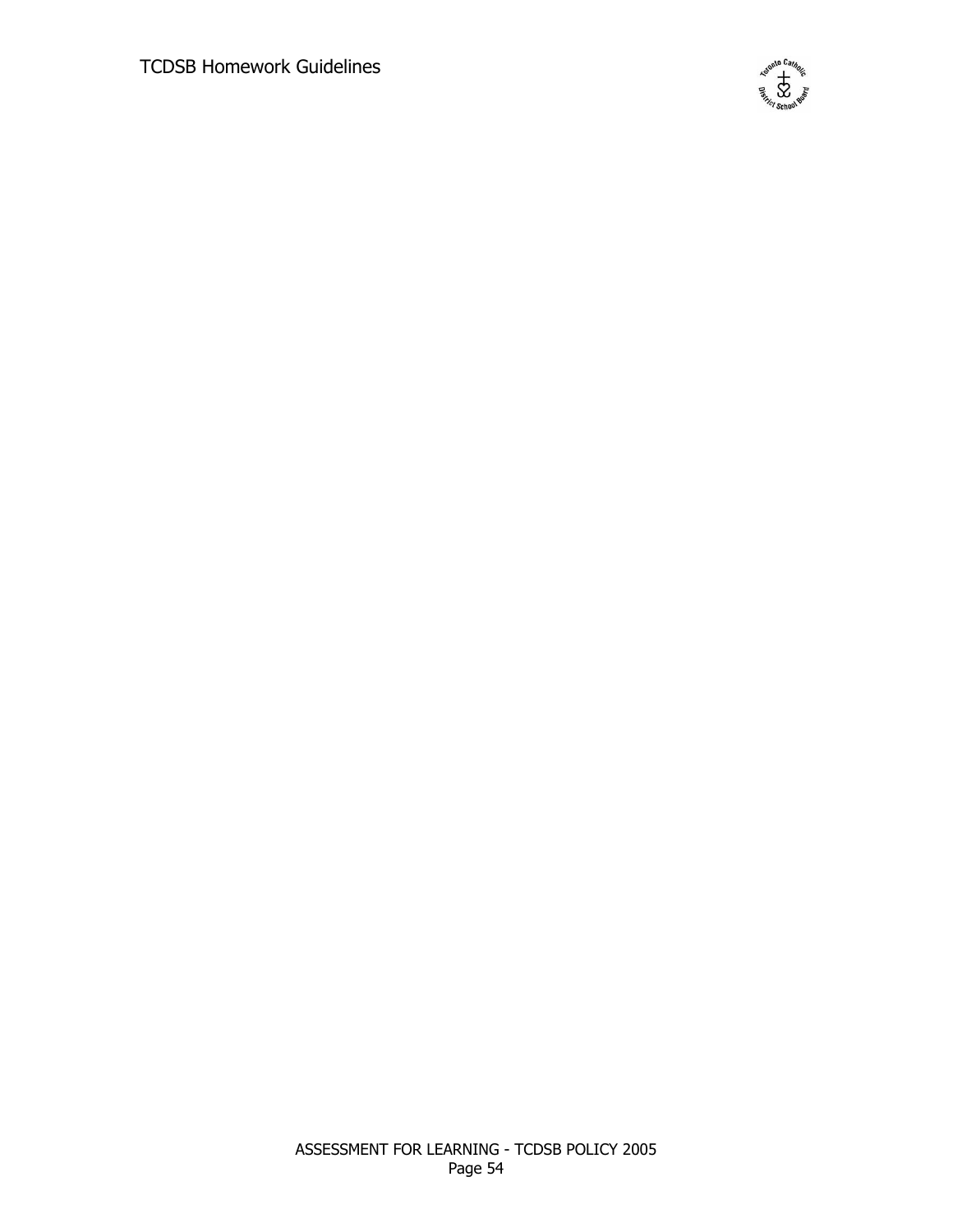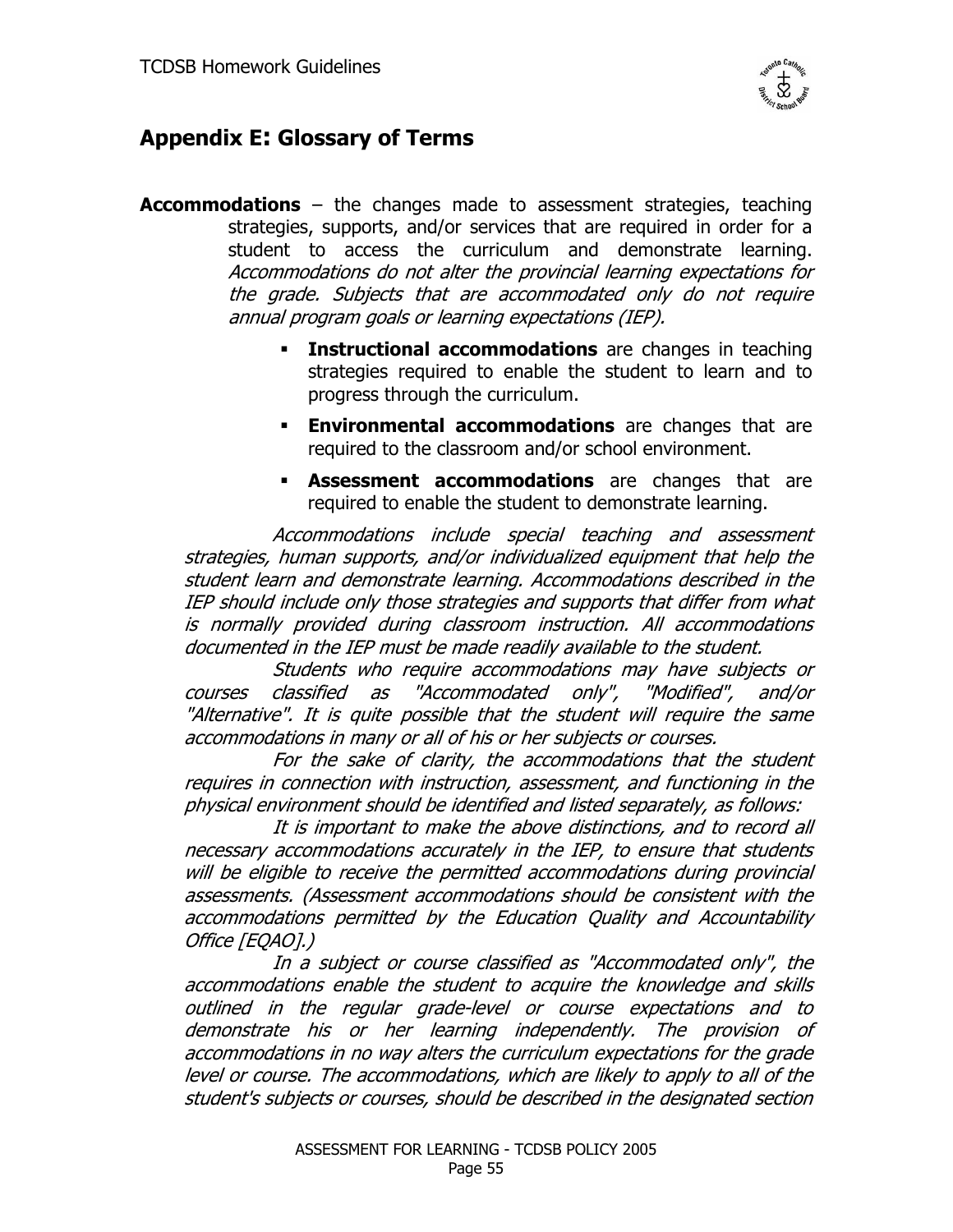

## **Appendix E: Glossary of Terms**

- **Accommodations** the changes made to assessment strategies, teaching strategies, supports, and/or services that are required in order for a student to access the curriculum and demonstrate learning. Accommodations do not alter the provincial learning expectations for the grade. Subjects that are accommodated only do not require annual program goals or learning expectations (IEP).
	- **Instructional accommodations** are changes in teaching strategies required to enable the student to learn and to progress through the curriculum.
	- **Environmental accommodations** are changes that are required to the classroom and/or school environment.
	- **Assessment accommodations** are changes that are required to enable the student to demonstrate learning.

Accommodations include special teaching and assessment strategies, human supports, and/or individualized equipment that help the student learn and demonstrate learning. Accommodations described in the IEP should include only those strategies and supports that differ from what is normally provided during classroom instruction. All accommodations documented in the IEP must be made readily available to the student.

Students who require accommodations may have subjects or courses classified as "Accommodated only", "Modified", and/or "Alternative". It is quite possible that the student will require the same accommodations in many or all of his or her subjects or courses.

For the sake of clarity, the accommodations that the student requires in connection with instruction, assessment, and functioning in the physical environment should be identified and listed separately, as follows:

It is important to make the above distinctions, and to record all necessary accommodations accurately in the IEP, to ensure that students will be eligible to receive the permitted accommodations during provincial assessments. (Assessment accommodations should be consistent with the accommodations permitted by the Education Quality and Accountability Office [EQAO].)

In a subject or course classified as "Accommodated only", the accommodations enable the student to acquire the knowledge and skills outlined in the regular grade-level or course expectations and to demonstrate his or her learning independently. The provision of accommodations in no way alters the curriculum expectations for the grade level or course. The accommodations, which are likely to apply to all of the student's subjects or courses, should be described in the designated section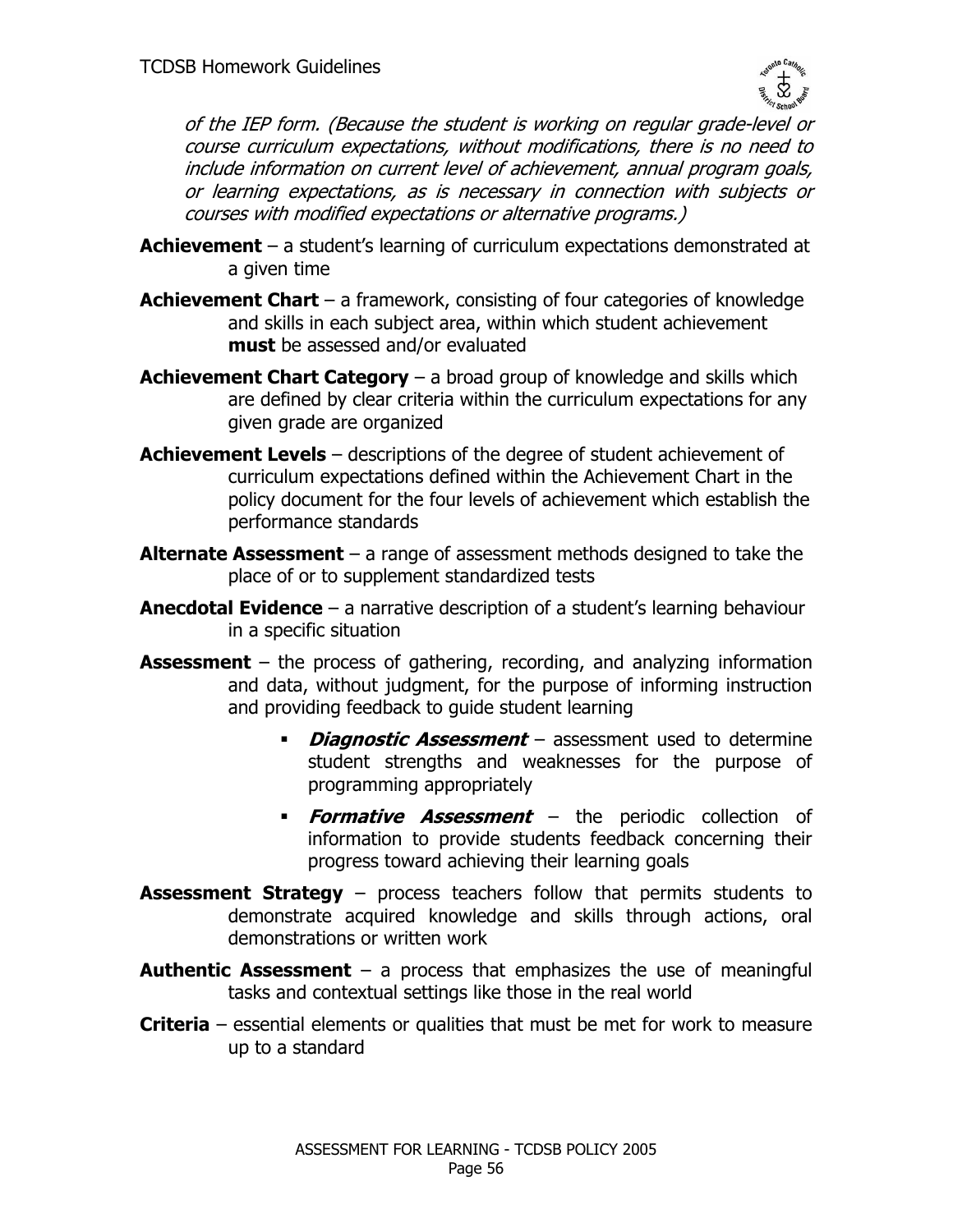

of the IEP form. (Because the student is working on regular grade-level or course curriculum expectations, without modifications, there is no need to include information on current level of achievement, annual program goals, or learning expectations, as is necessary in connection with subjects or courses with modified expectations or alternative programs.)

- **Achievement** a student's learning of curriculum expectations demonstrated at a given time
- **Achievement Chart** a framework, consisting of four categories of knowledge and skills in each subject area, within which student achievement **must** be assessed and/or evaluated
- **Achievement Chart Category** a broad group of knowledge and skills which are defined by clear criteria within the curriculum expectations for any given grade are organized
- **Achievement Levels** descriptions of the degree of student achievement of curriculum expectations defined within the Achievement Chart in the policy document for the four levels of achievement which establish the performance standards
- **Alternate Assessment** a range of assessment methods designed to take the place of or to supplement standardized tests
- **Anecdotal Evidence** a narrative description of a student's learning behaviour in a specific situation
- **Assessment**  the process of gathering, recording, and analyzing information and data, without judgment, for the purpose of informing instruction and providing feedback to guide student learning
	- **Diagnostic Assessment** assessment used to determine student strengths and weaknesses for the purpose of programming appropriately
	- **Formative Assessment** the periodic collection of information to provide students feedback concerning their progress toward achieving their learning goals
- **Assessment Strategy** process teachers follow that permits students to demonstrate acquired knowledge and skills through actions, oral demonstrations or written work
- **Authentic Assessment** a process that emphasizes the use of meaningful tasks and contextual settings like those in the real world
- **Criteria** essential elements or qualities that must be met for work to measure up to a standard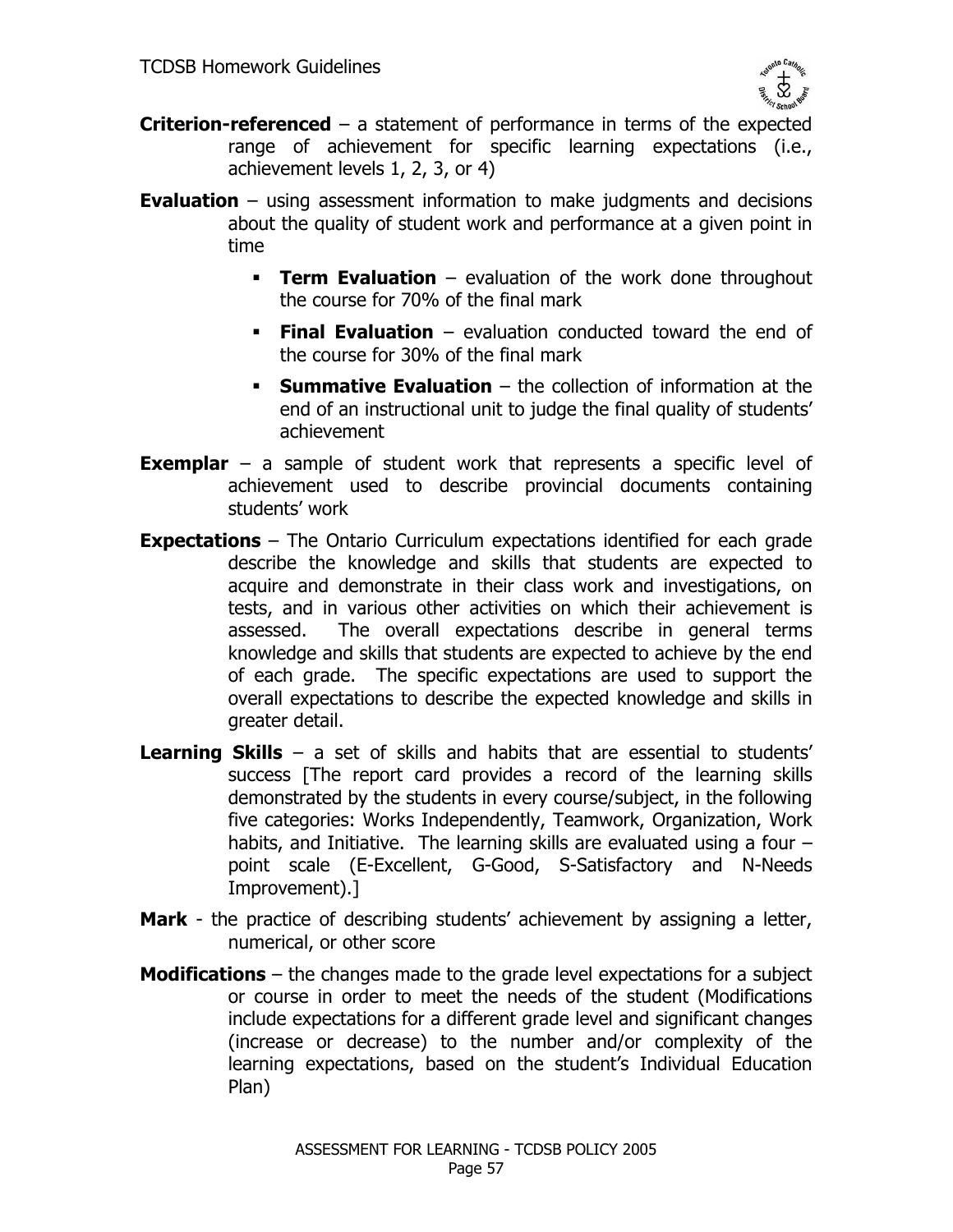

- **Criterion-referenced** a statement of performance in terms of the expected range of achievement for specific learning expectations (i.e., achievement levels 1, 2, 3, or 4)
- **Evaluation** using assessment information to make judgments and decisions about the quality of student work and performance at a given point in time
	- **Term Evaluation** evaluation of the work done throughout the course for 70% of the final mark
	- **Final Evaluation** evaluation conducted toward the end of the course for 30% of the final mark
	- **Summative Evaluation** the collection of information at the end of an instructional unit to judge the final quality of students' achievement
- **Exemplar** a sample of student work that represents a specific level of achievement used to describe provincial documents containing students' work
- **Expectations** The Ontario Curriculum expectations identified for each grade describe the knowledge and skills that students are expected to acquire and demonstrate in their class work and investigations, on tests, and in various other activities on which their achievement is assessed. The overall expectations describe in general terms knowledge and skills that students are expected to achieve by the end of each grade. The specific expectations are used to support the overall expectations to describe the expected knowledge and skills in greater detail.
- **Learning Skills** a set of skills and habits that are essential to students' success [The report card provides a record of the learning skills demonstrated by the students in every course/subject, in the following five categories: Works Independently, Teamwork, Organization, Work habits, and Initiative. The learning skills are evaluated using a four point scale (E-Excellent, G-Good, S-Satisfactory and N-Needs Improvement).]
- **Mark** the practice of describing students' achievement by assigning a letter, numerical, or other score
- **Modifications** the changes made to the grade level expectations for a subject or course in order to meet the needs of the student (Modifications include expectations for a different grade level and significant changes (increase or decrease) to the number and/or complexity of the learning expectations, based on the student's Individual Education Plan)